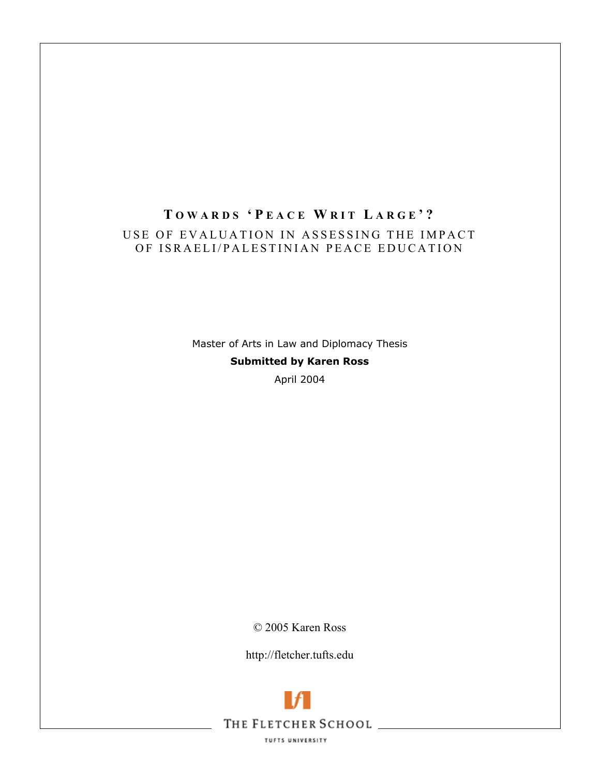# **T OWARDS ' P EACE W RIT L ARGE '?**  USE OF EVALUATION IN AS SESSING THE IMPACT OF ISRAELI/PALESTINIAN PEACE EDUCATION

Master of Arts in Law and Diplomacy Thesis **Submitted by Karen Ross**  April 2004

© 2005 Karen Ross

http://fletcher.tufts.edu



TUFTS UNIVERSITY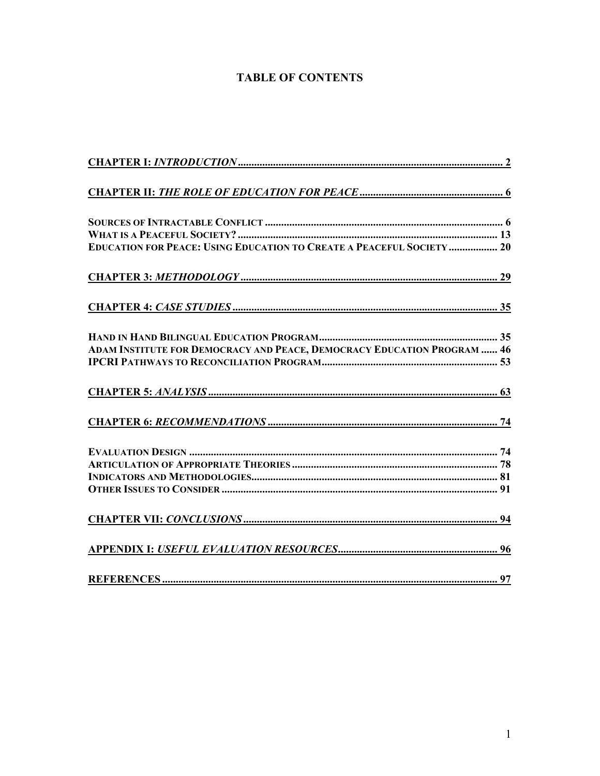# **TABLE OF CONTENTS**

| <b>EDUCATION FOR PEACE: USING EDUCATION TO CREATE A PEACEFUL SOCIETY  20</b> |
|------------------------------------------------------------------------------|
|                                                                              |
|                                                                              |
|                                                                              |
| ADAM INSTITUTE FOR DEMOCRACY AND PEACE, DEMOCRACY EDUCATION PROGRAM  46      |
|                                                                              |
|                                                                              |
|                                                                              |
|                                                                              |
|                                                                              |
|                                                                              |
|                                                                              |
|                                                                              |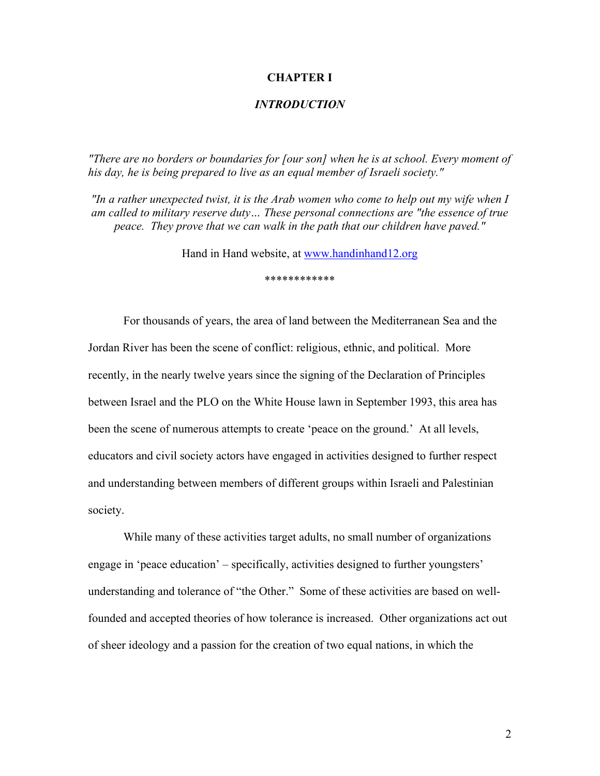#### **CHAPTER I**

## *INTRODUCTION*

*"There are no borders or boundaries for [our son] when he is at school. Every moment of his day, he is being prepared to live as an equal member of Israeli society."* 

*"In a rather unexpected twist, it is the Arab women who come to help out my wife when I am called to military reserve duty… These personal connections are "the essence of true peace. They prove that we can walk in the path that our children have paved."* 

Hand in Hand website, at www.handinhand12.org

\*\*\*\*\*\*\*\*\*\*\*\*

For thousands of years, the area of land between the Mediterranean Sea and the Jordan River has been the scene of conflict: religious, ethnic, and political. More recently, in the nearly twelve years since the signing of the Declaration of Principles between Israel and the PLO on the White House lawn in September 1993, this area has been the scene of numerous attempts to create 'peace on the ground.' At all levels, educators and civil society actors have engaged in activities designed to further respect and understanding between members of different groups within Israeli and Palestinian society.

While many of these activities target adults, no small number of organizations engage in 'peace education' – specifically, activities designed to further youngsters' understanding and tolerance of "the Other." Some of these activities are based on wellfounded and accepted theories of how tolerance is increased. Other organizations act out of sheer ideology and a passion for the creation of two equal nations, in which the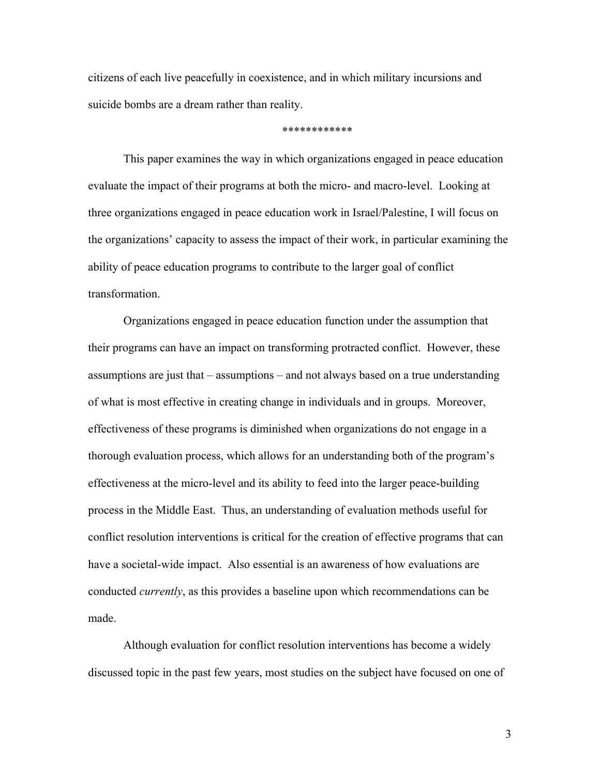citizens of each live peacefully in coexistence, and in which military incursions and suicide bombs are a dream rather than reality.

\*\*\*\*\*\*\*\*\*\*\*\*

This paper examines the way in which organizations engaged in peace education evaluate the impact of their programs at both the micro- and macro-level. Looking at three organizations engaged in peace education work in Israel/Palestine, I will focus on the organizations' capacity to assess the impact of their work, in particular examining the ability of peace education programs to contribute to the larger goal of conflict transformation.

Organizations engaged in peace education function under the assumption that their programs can have an impact on transforming protracted conflict. However, these assumptions are just that – assumptions – and not always based on a true understanding of what is most effective in creating change in individuals and in groups. Moreover, effectiveness of these programs is diminished when organizations do not engage in a thorough evaluation process, which allows for an understanding both of the program's effectiveness at the micro-level and its ability to feed into the larger peace-building process in the Middle East. Thus, an understanding of evaluation methods useful for conflict resolution interventions is critical for the creation of effective programs that can have a societal-wide impact. Also essential is an awareness of how evaluations are conducted *currently*, as this provides a baseline upon which recommendations can be made.

Although evaluation for conflict resolution interventions has become a widely discussed topic in the past few years, most studies on the subject have focused on one of

3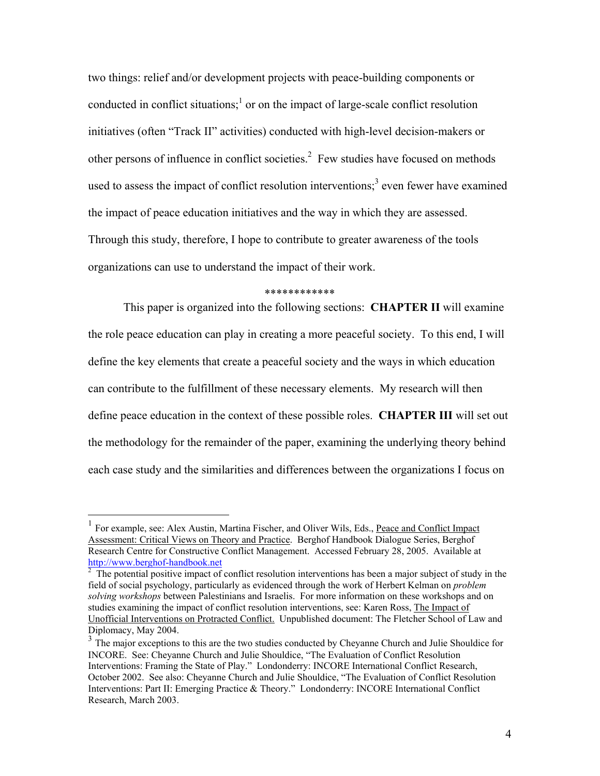two things: relief and/or development projects with peace-building components or conducted in conflict situations;<sup>1</sup> or on the impact of large-scale conflict resolution initiatives (often "Track II" activities) conducted with high-level decision-makers or other persons of influence in conflict societies.<sup>2</sup> Few studies have focused on methods used to assess the impact of conflict resolution interventions;<sup>3</sup> even fewer have examined the impact of peace education initiatives and the way in which they are assessed. Through this study, therefore, I hope to contribute to greater awareness of the tools organizations can use to understand the impact of their work.

#### \*\*\*\*\*\*\*\*\*\*\*\*

This paper is organized into the following sections: **CHAPTER II** will examine the role peace education can play in creating a more peaceful society. To this end, I will define the key elements that create a peaceful society and the ways in which education can contribute to the fulfillment of these necessary elements. My research will then define peace education in the context of these possible roles. **CHAPTER III** will set out the methodology for the remainder of the paper, examining the underlying theory behind each case study and the similarities and differences between the organizations I focus on

<sup>1</sup> For example, see: Alex Austin, Martina Fischer, and Oliver Wils, Eds., Peace and Conflict Impact Assessment: Critical Views on Theory and Practice. Berghof Handbook Dialogue Series, Berghof Research Centre for Constructive Conflict Management. Accessed February 28, 2005. Available at http://www.berghof-handbook.net

 $2\text{ }$  The potential positive impact of conflict resolution interventions has been a major subject of study in the field of social psychology, particularly as evidenced through the work of Herbert Kelman on *problem solving workshops* between Palestinians and Israelis. For more information on these workshops and on studies examining the impact of conflict resolution interventions, see: Karen Ross, The Impact of Unofficial Interventions on Protracted Conflict. Unpublished document: The Fletcher School of Law and Diplomacy, May 2004.

<sup>&</sup>lt;sup>3</sup> The major exceptions to this are the two studies conducted by Cheyanne Church and Julie Shouldice for INCORE. See: Cheyanne Church and Julie Shouldice, "The Evaluation of Conflict Resolution Interventions: Framing the State of Play." Londonderry: INCORE International Conflict Research, October 2002. See also: Cheyanne Church and Julie Shouldice, "The Evaluation of Conflict Resolution Interventions: Part II: Emerging Practice & Theory." Londonderry: INCORE International Conflict Research, March 2003.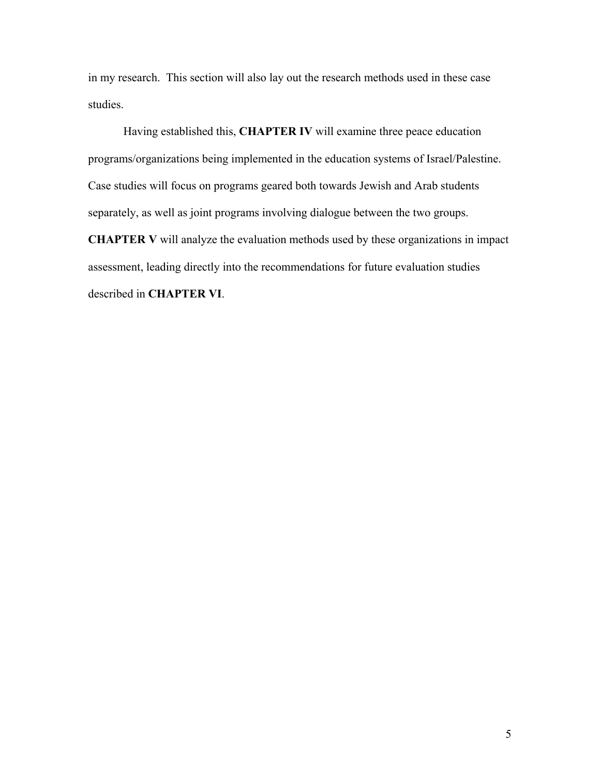in my research. This section will also lay out the research methods used in these case studies.

Having established this, **CHAPTER IV** will examine three peace education programs/organizations being implemented in the education systems of Israel/Palestine. Case studies will focus on programs geared both towards Jewish and Arab students separately, as well as joint programs involving dialogue between the two groups. **CHAPTER V** will analyze the evaluation methods used by these organizations in impact assessment, leading directly into the recommendations for future evaluation studies described in **CHAPTER VI**.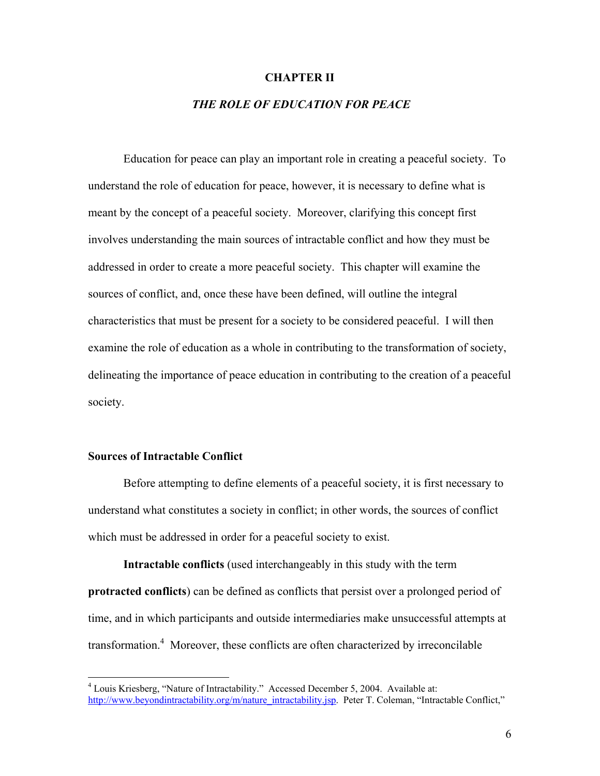#### **CHAPTER II**

# *THE ROLE OF EDUCATION FOR PEACE*

Education for peace can play an important role in creating a peaceful society. To understand the role of education for peace, however, it is necessary to define what is meant by the concept of a peaceful society. Moreover, clarifying this concept first involves understanding the main sources of intractable conflict and how they must be addressed in order to create a more peaceful society. This chapter will examine the sources of conflict, and, once these have been defined, will outline the integral characteristics that must be present for a society to be considered peaceful. I will then examine the role of education as a whole in contributing to the transformation of society, delineating the importance of peace education in contributing to the creation of a peaceful society.

#### **Sources of Intractable Conflict**

Before attempting to define elements of a peaceful society, it is first necessary to understand what constitutes a society in conflict; in other words, the sources of conflict which must be addressed in order for a peaceful society to exist.

**Intractable conflicts** (used interchangeably in this study with the term **protracted conflicts**) can be defined as conflicts that persist over a prolonged period of time, and in which participants and outside intermediaries make unsuccessful attempts at transformation.<sup>4</sup> Moreover, these conflicts are often characterized by irreconcilable

 4 Louis Kriesberg, "Nature of Intractability." Accessed December 5, 2004. Available at: http://www.beyondintractability.org/m/nature\_intractability.jsp. Peter T. Coleman, "Intractable Conflict,"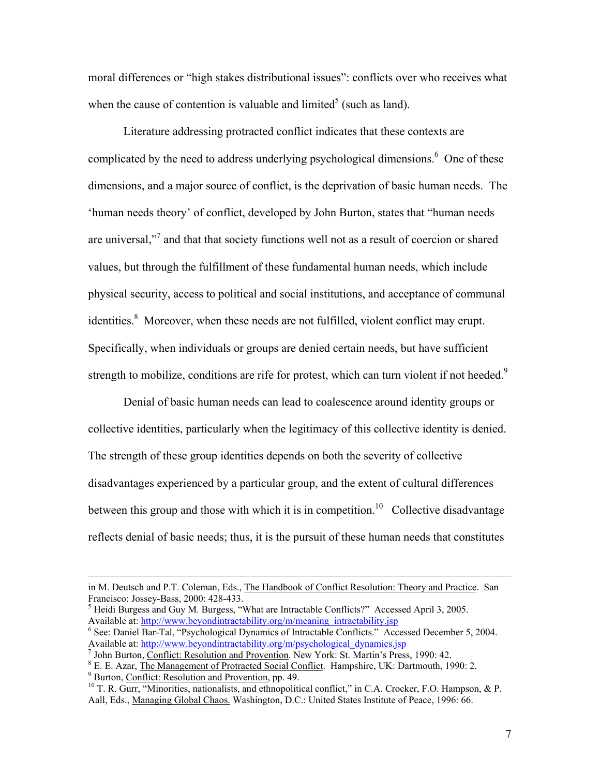moral differences or "high stakes distributional issues": conflicts over who receives what when the cause of contention is valuable and limited<sup>5</sup> (such as land).

Literature addressing protracted conflict indicates that these contexts are complicated by the need to address underlying psychological dimensions.<sup>6</sup> One of these dimensions, and a major source of conflict, is the deprivation of basic human needs. The 'human needs theory' of conflict, developed by John Burton, states that "human needs are universal,"<sup>7</sup> and that that society functions well not as a result of coercion or shared values, but through the fulfillment of these fundamental human needs, which include physical security, access to political and social institutions, and acceptance of communal identities.<sup>8</sup> Moreover, when these needs are not fulfilled, violent conflict may erupt. Specifically, when individuals or groups are denied certain needs, but have sufficient strength to mobilize, conditions are rife for protest, which can turn violent if not heeded.<sup>9</sup>

Denial of basic human needs can lead to coalescence around identity groups or collective identities, particularly when the legitimacy of this collective identity is denied. The strength of these group identities depends on both the severity of collective disadvantages experienced by a particular group, and the extent of cultural differences between this group and those with which it is in competition.<sup>10</sup> Collective disadvantage reflects denial of basic needs; thus, it is the pursuit of these human needs that constitutes

in M. Deutsch and P.T. Coleman, Eds., The Handbook of Conflict Resolution: Theory and Practice. San Francisco: Jossey-Bass, 2000: 428-433.

<sup>&</sup>lt;sup>5</sup> Heidi Burgess and Guy M. Burgess, "What are Intractable Conflicts?" Accessed April 3, 2005. Available at: http://www.beyondintractability.org/m/meaning\_intractability.jsp

<sup>&</sup>lt;sup>6</sup> See: Daniel Bar-Tal, "Psychological Dynamics of Intractable Conflicts." Accessed December 5, 2004. Available at: http://www.beyondintractability.org/m/psychological\_dynamics.jsp

 $<sup>7</sup>$  John Burton, Conflict: Resolution and Provention. New York: St. Martin's Press, 1990: 42.</sup>

<sup>&</sup>lt;sup>8</sup> E. E. Azar, The Management of Protracted Social Conflict. Hampshire, UK: Dartmouth, 1990: 2.<br><sup>9</sup> Burton, Conflict: Resolution and Provention, pp. 49.

 $B<sup>10</sup>$  T. R. Gurr, "Minorities, nationalists, and ethnopolitical conflict," in C.A. Crocker, F.O. Hampson, & P. Aall, Eds., Managing Global Chaos. Washington, D.C.: United States Institute of Peace, 1996: 66.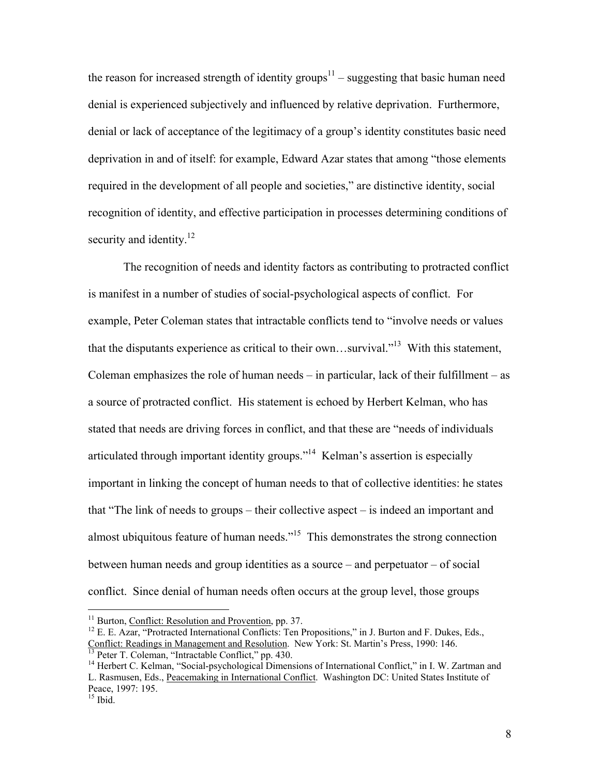the reason for increased strength of identity groups<sup>11</sup> – suggesting that basic human need denial is experienced subjectively and influenced by relative deprivation. Furthermore, denial or lack of acceptance of the legitimacy of a group's identity constitutes basic need deprivation in and of itself: for example, Edward Azar states that among "those elements required in the development of all people and societies," are distinctive identity, social recognition of identity, and effective participation in processes determining conditions of security and identity.<sup>12</sup>

The recognition of needs and identity factors as contributing to protracted conflict is manifest in a number of studies of social-psychological aspects of conflict. For example, Peter Coleman states that intractable conflicts tend to "involve needs or values that the disputants experience as critical to their own...survival."<sup>13</sup> With this statement, Coleman emphasizes the role of human needs – in particular, lack of their fulfillment – as a source of protracted conflict. His statement is echoed by Herbert Kelman, who has stated that needs are driving forces in conflict, and that these are "needs of individuals articulated through important identity groups."14 Kelman's assertion is especially important in linking the concept of human needs to that of collective identities: he states that "The link of needs to groups – their collective aspect – is indeed an important and almost ubiquitous feature of human needs."<sup>15</sup> This demonstrates the strong connection between human needs and group identities as a source – and perpetuator – of social conflict. Since denial of human needs often occurs at the group level, those groups

1

<sup>&</sup>lt;sup>11</sup> Burton, Conflict: Resolution and Provention, pp. 37.<br><sup>12</sup> E. E. Azar, "Protracted International Conflicts: Ten Propositions," in J. Burton and F. Dukes, Eds., Conflict: Readings in Management and Resolution. New York: St. Martin's Press, 1990: 146.<br><sup>13</sup> Peter T. Coleman, "Intractable Conflict," pp. 430.

<sup>&</sup>lt;sup>14</sup> Herbert C. Kelman, "Social-psychological Dimensions of International Conflict," in I. W. Zartman and L. Rasmusen, Eds., Peacemaking in International Conflict. Washington DC: United States Institute of Peace, 1997: 195.

 $15$  Ibid.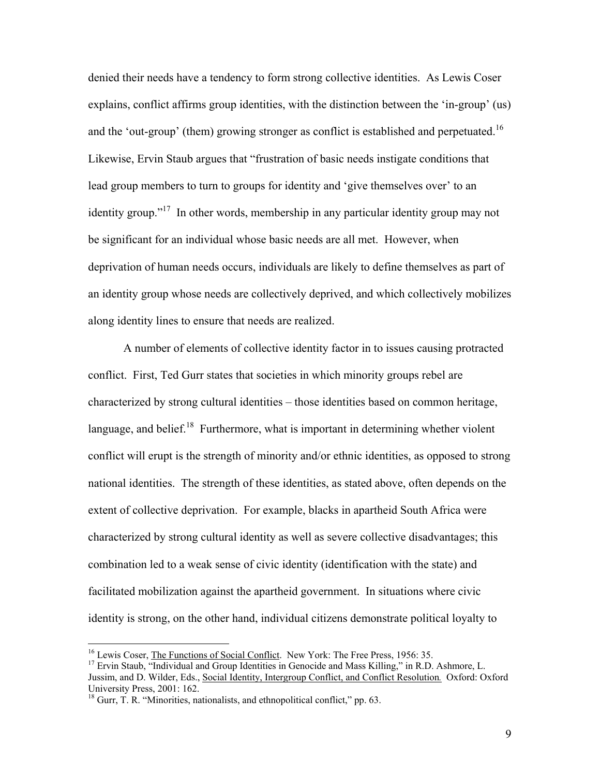denied their needs have a tendency to form strong collective identities. As Lewis Coser explains, conflict affirms group identities, with the distinction between the 'in-group' (us) and the 'out-group' (them) growing stronger as conflict is established and perpetuated.<sup>16</sup> Likewise, Ervin Staub argues that "frustration of basic needs instigate conditions that lead group members to turn to groups for identity and 'give themselves over' to an identity group."<sup>17</sup> In other words, membership in any particular identity group may not be significant for an individual whose basic needs are all met. However, when deprivation of human needs occurs, individuals are likely to define themselves as part of an identity group whose needs are collectively deprived, and which collectively mobilizes along identity lines to ensure that needs are realized.

A number of elements of collective identity factor in to issues causing protracted conflict. First, Ted Gurr states that societies in which minority groups rebel are characterized by strong cultural identities – those identities based on common heritage, language, and belief. $18$  Furthermore, what is important in determining whether violent conflict will erupt is the strength of minority and/or ethnic identities, as opposed to strong national identities. The strength of these identities, as stated above, often depends on the extent of collective deprivation. For example, blacks in apartheid South Africa were characterized by strong cultural identity as well as severe collective disadvantages; this combination led to a weak sense of civic identity (identification with the state) and facilitated mobilization against the apartheid government. In situations where civic identity is strong, on the other hand, individual citizens demonstrate political loyalty to

<sup>&</sup>lt;sup>16</sup> Lewis Coser, <u>The Functions of Social Conflict</u>. New York: The Free Press, 1956: 35.<br><sup>17</sup> Ervin Staub, "Individual and Group Identities in Genocide and Mass Killing," in R.D. Ashmore, L. Jussim, and D. Wilder, Eds., Social Identity, Intergroup Conflict, and Conflict Resolution*.* Oxford: Oxford University Press, 2001: 162.

<sup>&</sup>lt;sup>18</sup> Gurr, T. R. "Minorities, nationalists, and ethnopolitical conflict," pp. 63.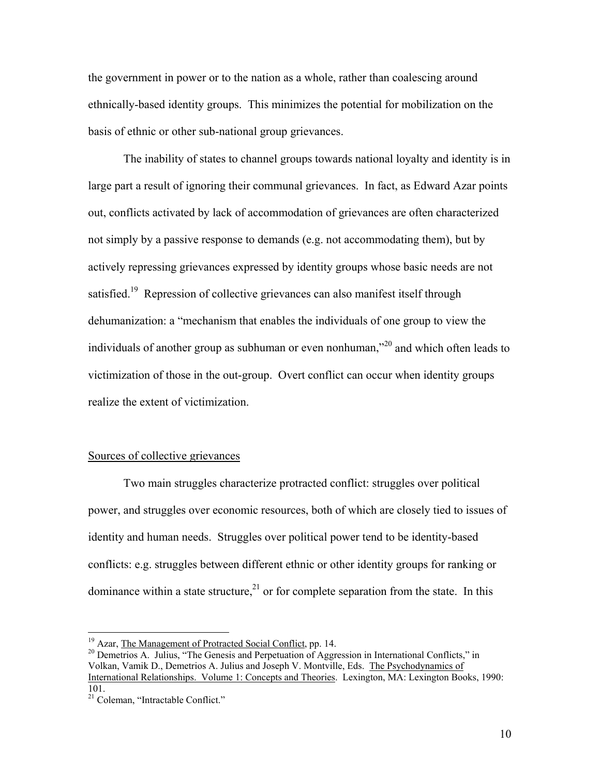the government in power or to the nation as a whole, rather than coalescing around ethnically-based identity groups. This minimizes the potential for mobilization on the basis of ethnic or other sub-national group grievances.

The inability of states to channel groups towards national loyalty and identity is in large part a result of ignoring their communal grievances. In fact, as Edward Azar points out, conflicts activated by lack of accommodation of grievances are often characterized not simply by a passive response to demands (e.g. not accommodating them), but by actively repressing grievances expressed by identity groups whose basic needs are not satisfied.<sup>19</sup> Repression of collective grievances can also manifest itself through dehumanization: a "mechanism that enables the individuals of one group to view the individuals of another group as subhuman or even nonhuman,"20 and which often leads to victimization of those in the out-group. Overt conflict can occur when identity groups realize the extent of victimization.

#### Sources of collective grievances

Two main struggles characterize protracted conflict: struggles over political power, and struggles over economic resources, both of which are closely tied to issues of identity and human needs. Struggles over political power tend to be identity-based conflicts: e.g. struggles between different ethnic or other identity groups for ranking or dominance within a state structure,<sup>21</sup> or for complete separation from the state. In this

<sup>&</sup>lt;sup>19</sup> Azar, The Management of Protracted Social Conflict, pp. 14.

<sup>&</sup>lt;sup>20</sup> Demetrios A. Julius, "The Genesis and Perpetuation of Aggression in International Conflicts," in Volkan, Vamik D., Demetrios A. Julius and Joseph V. Montville, Eds. The Psychodynamics of International Relationships. Volume 1: Concepts and Theories. Lexington, MA: Lexington Books, 1990: 101.

<sup>&</sup>lt;sup>21</sup> Coleman, "Intractable Conflict."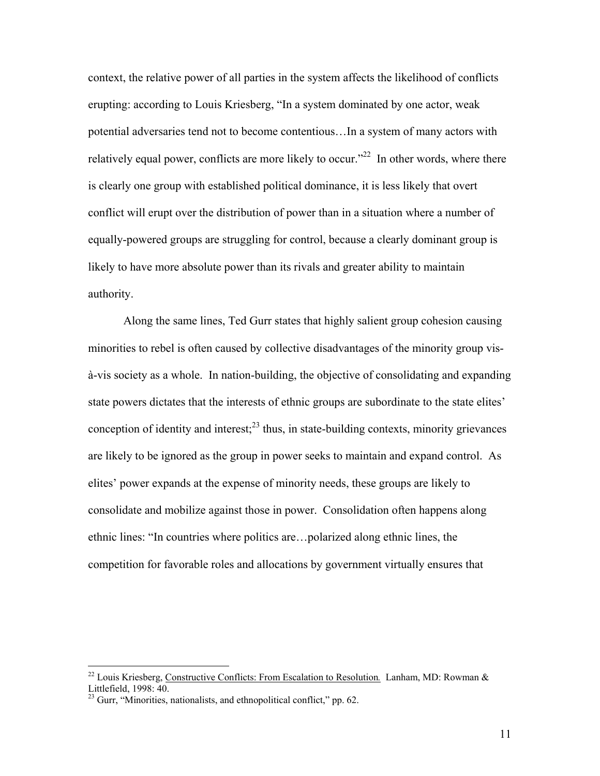context, the relative power of all parties in the system affects the likelihood of conflicts erupting: according to Louis Kriesberg, "In a system dominated by one actor, weak potential adversaries tend not to become contentious…In a system of many actors with relatively equal power, conflicts are more likely to occur."<sup>22</sup> In other words, where there is clearly one group with established political dominance, it is less likely that overt conflict will erupt over the distribution of power than in a situation where a number of equally-powered groups are struggling for control, because a clearly dominant group is likely to have more absolute power than its rivals and greater ability to maintain authority.

Along the same lines, Ted Gurr states that highly salient group cohesion causing minorities to rebel is often caused by collective disadvantages of the minority group visà-vis society as a whole. In nation-building, the objective of consolidating and expanding state powers dictates that the interests of ethnic groups are subordinate to the state elites' conception of identity and interest; $^{23}$  thus, in state-building contexts, minority grievances are likely to be ignored as the group in power seeks to maintain and expand control. As elites' power expands at the expense of minority needs, these groups are likely to consolidate and mobilize against those in power. Consolidation often happens along ethnic lines: "In countries where politics are…polarized along ethnic lines, the competition for favorable roles and allocations by government virtually ensures that

<sup>22</sup> Louis Kriesberg, Constructive Conflicts: From Escalation to Resolution*.* Lanham, MD: Rowman & Littlefield, 1998: 40.

 $^{23}$  Gurr, "Minorities, nationalists, and ethnopolitical conflict," pp. 62.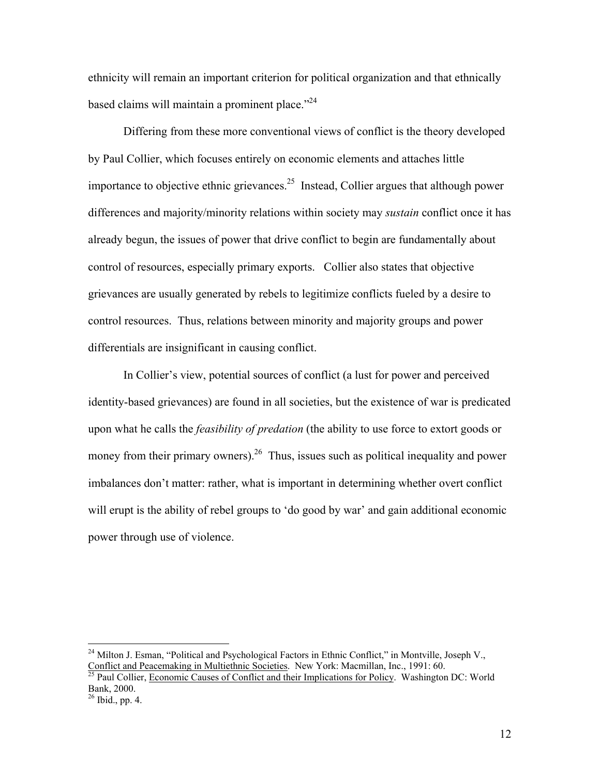ethnicity will remain an important criterion for political organization and that ethnically based claims will maintain a prominent place."<sup>24</sup>

Differing from these more conventional views of conflict is the theory developed by Paul Collier, which focuses entirely on economic elements and attaches little importance to objective ethnic grievances.<sup>25</sup> Instead, Collier argues that although power differences and majority/minority relations within society may *sustain* conflict once it has already begun, the issues of power that drive conflict to begin are fundamentally about control of resources, especially primary exports. Collier also states that objective grievances are usually generated by rebels to legitimize conflicts fueled by a desire to control resources. Thus, relations between minority and majority groups and power differentials are insignificant in causing conflict.

 In Collier's view, potential sources of conflict (a lust for power and perceived identity-based grievances) are found in all societies, but the existence of war is predicated upon what he calls the *feasibility of predation* (the ability to use force to extort goods or money from their primary owners).<sup>26</sup> Thus, issues such as political inequality and power imbalances don't matter: rather, what is important in determining whether overt conflict will erupt is the ability of rebel groups to 'do good by war' and gain additional economic power through use of violence.

<sup>&</sup>lt;sup>24</sup> Milton J. Esman, "Political and Psychological Factors in Ethnic Conflict," in Montville, Joseph V., Conflict and Peacemaking in Multiethnic Societies. New York: Macmillan, Inc., 1991: 60.<br><sup>25</sup> Paul Collier, Economic Causes of Conflict and their Implications for Policy. Washington DC: World

Bank, 2000.

 $26$  Ibid., pp. 4.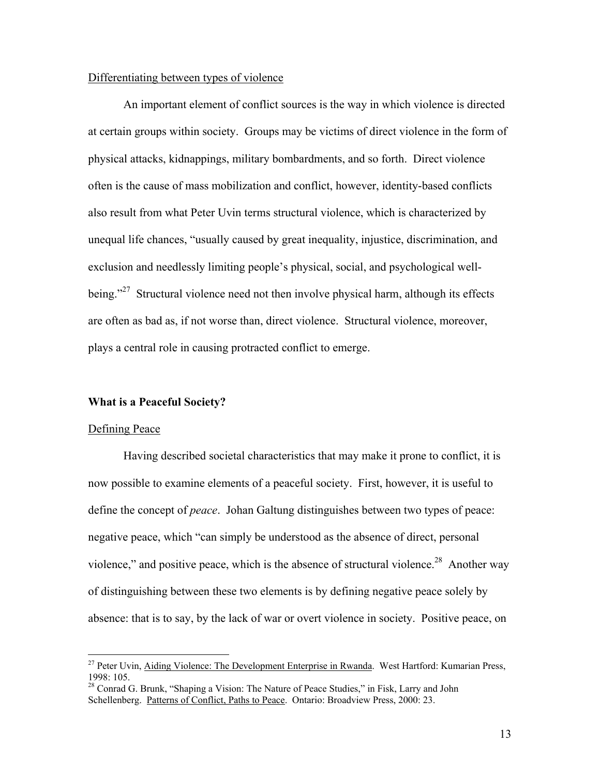### Differentiating between types of violence

An important element of conflict sources is the way in which violence is directed at certain groups within society. Groups may be victims of direct violence in the form of physical attacks, kidnappings, military bombardments, and so forth. Direct violence often is the cause of mass mobilization and conflict, however, identity-based conflicts also result from what Peter Uvin terms structural violence, which is characterized by unequal life chances, "usually caused by great inequality, injustice, discrimination, and exclusion and needlessly limiting people's physical, social, and psychological wellbeing."<sup>27</sup> Structural violence need not then involve physical harm, although its effects are often as bad as, if not worse than, direct violence. Structural violence, moreover, plays a central role in causing protracted conflict to emerge.

#### **What is a Peaceful Society?**

#### Defining Peace

 $\overline{a}$ 

Having described societal characteristics that may make it prone to conflict, it is now possible to examine elements of a peaceful society. First, however, it is useful to define the concept of *peace*. Johan Galtung distinguishes between two types of peace: negative peace, which "can simply be understood as the absence of direct, personal violence," and positive peace, which is the absence of structural violence.<sup>28</sup> Another way of distinguishing between these two elements is by defining negative peace solely by absence: that is to say, by the lack of war or overt violence in society. Positive peace, on

<sup>&</sup>lt;sup>27</sup> Peter Uvin, Aiding Violence: The Development Enterprise in Rwanda. West Hartford: Kumarian Press, 1998: 105.

<sup>&</sup>lt;sup>28</sup> Conrad G. Brunk, "Shaping a Vision: The Nature of Peace Studies," in Fisk, Larry and John Schellenberg. Patterns of Conflict, Paths to Peace. Ontario: Broadview Press, 2000: 23.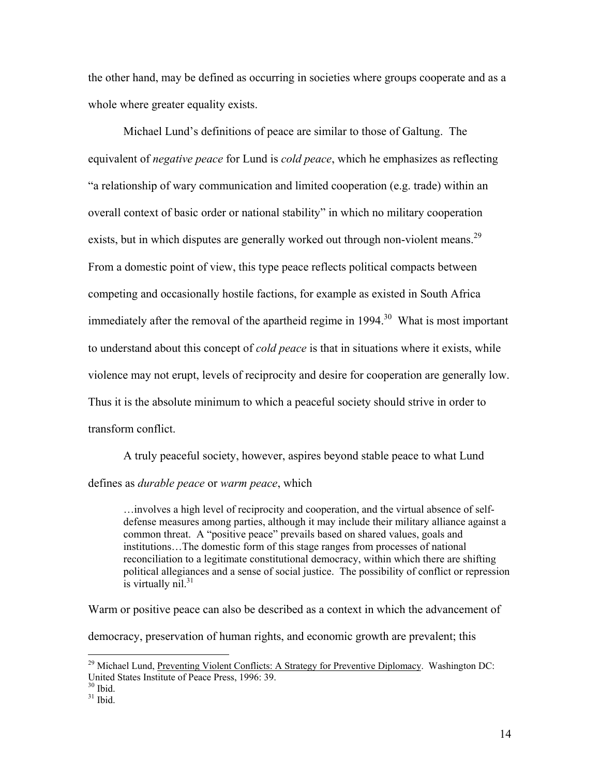the other hand, may be defined as occurring in societies where groups cooperate and as a whole where greater equality exists.

Michael Lund's definitions of peace are similar to those of Galtung. The equivalent of *negative peace* for Lund is *cold peace*, which he emphasizes as reflecting "a relationship of wary communication and limited cooperation (e.g. trade) within an overall context of basic order or national stability" in which no military cooperation exists, but in which disputes are generally worked out through non-violent means.<sup>29</sup> From a domestic point of view, this type peace reflects political compacts between competing and occasionally hostile factions, for example as existed in South Africa immediately after the removal of the apartheid regime in  $1994$ <sup>30</sup> What is most important to understand about this concept of *cold peace* is that in situations where it exists, while violence may not erupt, levels of reciprocity and desire for cooperation are generally low. Thus it is the absolute minimum to which a peaceful society should strive in order to transform conflict.

A truly peaceful society, however, aspires beyond stable peace to what Lund defines as *durable peace* or *warm peace*, which

…involves a high level of reciprocity and cooperation, and the virtual absence of selfdefense measures among parties, although it may include their military alliance against a common threat. A "positive peace" prevails based on shared values, goals and institutions…The domestic form of this stage ranges from processes of national reconciliation to a legitimate constitutional democracy, within which there are shifting political allegiances and a sense of social justice. The possibility of conflict or repression  $\sin$  virtually nil.<sup>31</sup>

Warm or positive peace can also be described as a context in which the advancement of

democracy, preservation of human rights, and economic growth are prevalent; this

 $^{29}$  Michael Lund, Preventing Violent Conflicts: A Strategy for Preventive Diplomacy. Washington DC: United States Institute of Peace Press, 1996: 39.

 $30$  Ibid.

 $31$  Ibid.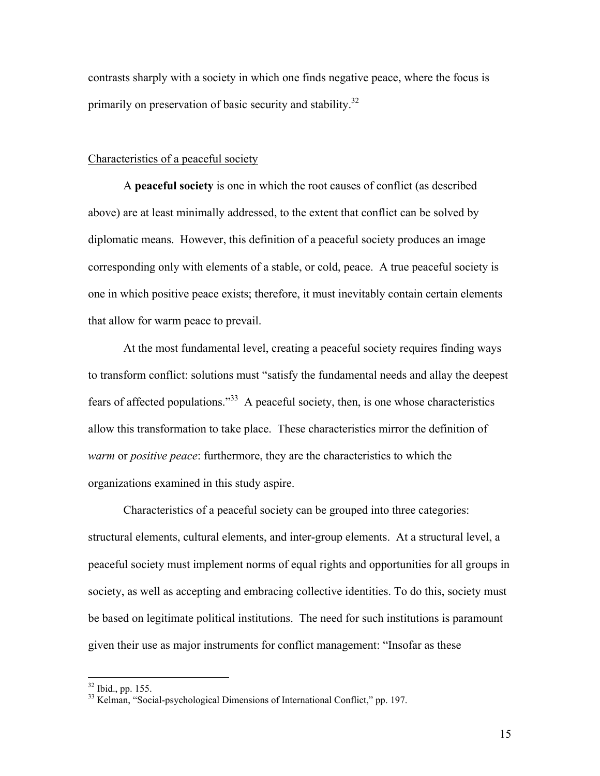contrasts sharply with a society in which one finds negative peace, where the focus is primarily on preservation of basic security and stability.<sup>32</sup>

#### Characteristics of a peaceful society

A **peaceful society** is one in which the root causes of conflict (as described above) are at least minimally addressed, to the extent that conflict can be solved by diplomatic means. However, this definition of a peaceful society produces an image corresponding only with elements of a stable, or cold, peace. A true peaceful society is one in which positive peace exists; therefore, it must inevitably contain certain elements that allow for warm peace to prevail.

At the most fundamental level, creating a peaceful society requires finding ways to transform conflict: solutions must "satisfy the fundamental needs and allay the deepest fears of affected populations."33 A peaceful society, then, is one whose characteristics allow this transformation to take place. These characteristics mirror the definition of *warm* or *positive peace*: furthermore, they are the characteristics to which the organizations examined in this study aspire.

Characteristics of a peaceful society can be grouped into three categories: structural elements, cultural elements, and inter-group elements. At a structural level, a peaceful society must implement norms of equal rights and opportunities for all groups in society, as well as accepting and embracing collective identities. To do this, society must be based on legitimate political institutions. The need for such institutions is paramount given their use as major instruments for conflict management: "Insofar as these

<sup>32</sup> Ibid., pp. 155.

<sup>&</sup>lt;sup>33</sup> Kelman, "Social-psychological Dimensions of International Conflict," pp. 197.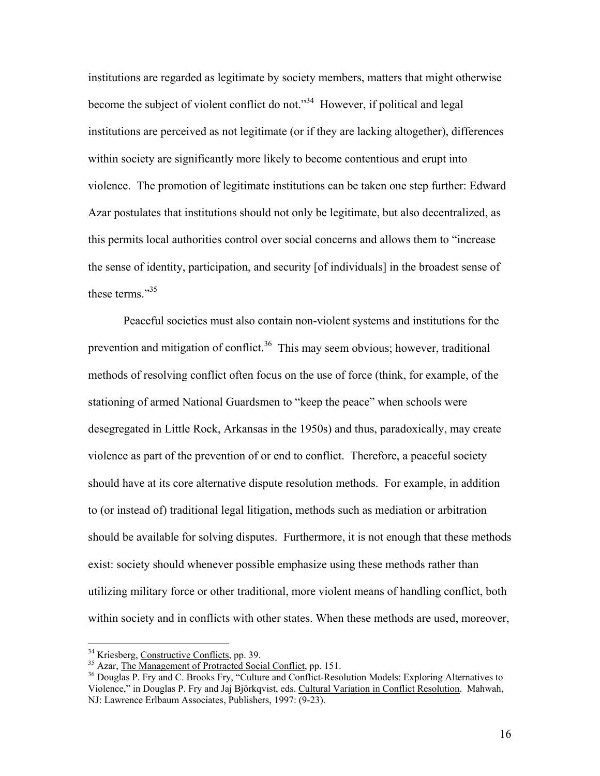institutions are regarded as legitimate by society members, matters that might otherwise become the subject of violent conflict do not."<sup>34</sup> However, if political and legal institutions are perceived as not legitimate (or if they are lacking altogether), differences within society are significantly more likely to become contentious and erupt into violence. The promotion of legitimate institutions can be taken one step further: Edward Azar postulates that institutions should not only be legitimate, but also decentralized, as this permits local authorities control over social concerns and allows them to "increase the sense of identity, participation, and security [of individuals] in the broadest sense of these terms<sup>"35</sup>

Peaceful societies must also contain non-violent systems and institutions for the prevention and mitigation of conflict.<sup>36</sup> This may seem obvious; however, traditional methods of resolving conflict often focus on the use of force (think, for example, of the stationing of armed National Guardsmen to "keep the peace" when schools were desegregated in Little Rock, Arkansas in the 1950s) and thus, paradoxically, may create violence as part of the prevention of or end to conflict. Therefore, a peaceful society should have at its core alternative dispute resolution methods. For example, in addition to (or instead of) traditional legal litigation, methods such as mediation or arbitration should be available for solving disputes. Furthermore, it is not enough that these methods exist: society should whenever possible emphasize using these methods rather than utilizing military force or other traditional, more violent means of handling conflict, both within society and in conflicts with other states. When these methods are used, moreover,

<sup>&</sup>lt;sup>34</sup> Kriesberg, Constructive Conflicts, pp. 39.

 $\frac{35}{35}$  Azar, <u>The Management of Protracted Social Conflict</u>, pp. 151.<br><sup>36</sup> Douglas P. Fry and C. Brooks Fry, "Culture and Conflict-Resolution Models: Exploring Alternatives to Violence," in Douglas P. Fry and Jaj Björkqvist, eds. Cultural Variation in Conflict Resolution. Mahwah, NJ: Lawrence Erlbaum Associates, Publishers, 1997: (9-23).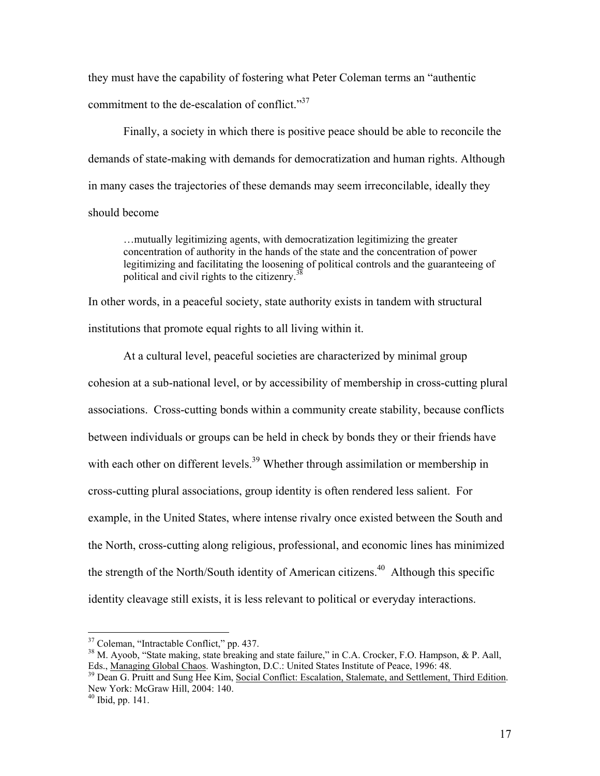they must have the capability of fostering what Peter Coleman terms an "authentic commitment to the de-escalation of conflict."<sup>37</sup>

Finally, a society in which there is positive peace should be able to reconcile the demands of state-making with demands for democratization and human rights. Although in many cases the trajectories of these demands may seem irreconcilable, ideally they should become

…mutually legitimizing agents, with democratization legitimizing the greater concentration of authority in the hands of the state and the concentration of power legitimizing and facilitating the loosening of political controls and the guaranteeing of political and civil rights to the citizenry.<sup>38</sup>

In other words, in a peaceful society, state authority exists in tandem with structural institutions that promote equal rights to all living within it.

 At a cultural level, peaceful societies are characterized by minimal group cohesion at a sub-national level, or by accessibility of membership in cross-cutting plural associations. Cross-cutting bonds within a community create stability, because conflicts between individuals or groups can be held in check by bonds they or their friends have with each other on different levels.<sup>39</sup> Whether through assimilation or membership in cross-cutting plural associations, group identity is often rendered less salient. For example, in the United States, where intense rivalry once existed between the South and the North, cross-cutting along religious, professional, and economic lines has minimized the strength of the North/South identity of American citizens.<sup>40</sup> Although this specific identity cleavage still exists, it is less relevant to political or everyday interactions.

<sup>&</sup>lt;sup>37</sup> Coleman, "Intractable Conflict," pp. 437.

<sup>&</sup>lt;sup>38</sup> M. Ayoob, "State making, state breaking and state failure," in C.A. Crocker, F.O. Hampson, & P. Aall, Eds., <u>Managing Global Chaos</u>. Washington, D.C.: United States Institute of Peace, 1996: 48.

<sup>&</sup>lt;sup>39</sup> Dean G. Pruitt and Sung Hee Kim, Social Conflict: Escalation, Stalemate, and Settlement, Third Edition. New York: McGraw Hill, 2004: 140.

 $40$  Ibid, pp. 141.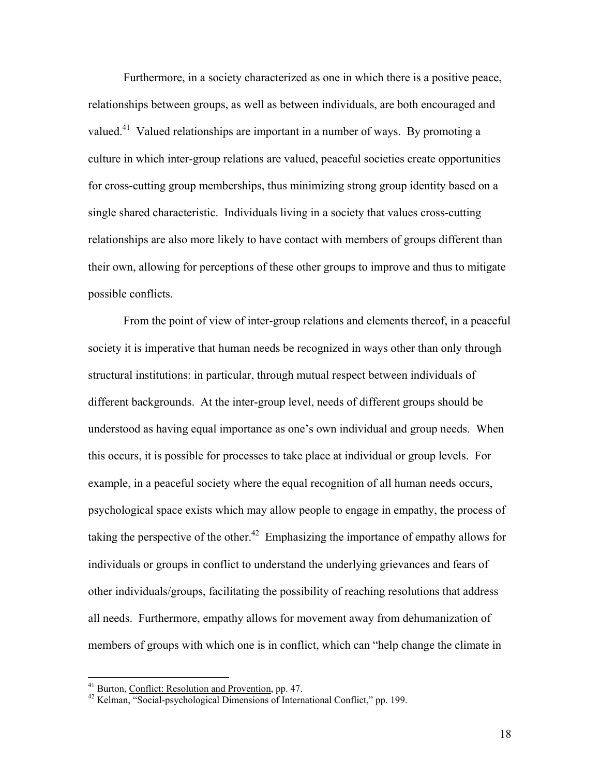Furthermore, in a society characterized as one in which there is a positive peace, relationships between groups, as well as between individuals, are both encouraged and valued.<sup>41</sup> Valued relationships are important in a number of ways. By promoting a culture in which inter-group relations are valued, peaceful societies create opportunities for cross-cutting group memberships, thus minimizing strong group identity based on a single shared characteristic. Individuals living in a society that values cross-cutting relationships are also more likely to have contact with members of groups different than their own, allowing for perceptions of these other groups to improve and thus to mitigate possible conflicts.

From the point of view of inter-group relations and elements thereof, in a peaceful society it is imperative that human needs be recognized in ways other than only through structural institutions: in particular, through mutual respect between individuals of different backgrounds. At the inter-group level, needs of different groups should be understood as having equal importance as one's own individual and group needs. When this occurs, it is possible for processes to take place at individual or group levels. For example, in a peaceful society where the equal recognition of all human needs occurs, psychological space exists which may allow people to engage in empathy, the process of taking the perspective of the other.<sup>42</sup> Emphasizing the importance of empathy allows for individuals or groups in conflict to understand the underlying grievances and fears of other individuals/groups, facilitating the possibility of reaching resolutions that address all needs. Furthermore, empathy allows for movement away from dehumanization of members of groups with which one is in conflict, which can "help change the climate in

<sup>&</sup>lt;sup>41</sup> Burton, Conflict: Resolution and Provention, pp. 47.<br><sup>42</sup> Kelman, "Social-psychological Dimensions of International Conflict," pp. 199.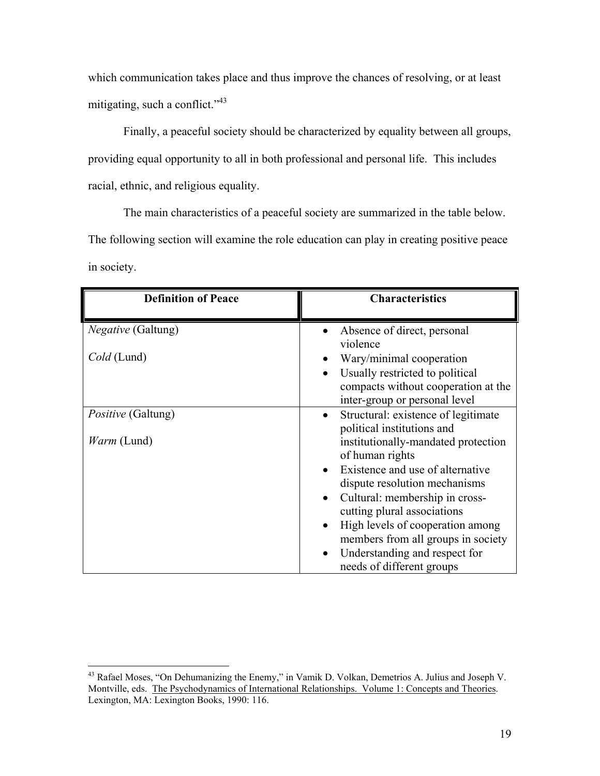which communication takes place and thus improve the chances of resolving, or at least mitigating, such a conflict."<sup>43</sup>

Finally, a peaceful society should be characterized by equality between all groups, providing equal opportunity to all in both professional and personal life. This includes racial, ethnic, and religious equality.

 The main characteristics of a peaceful society are summarized in the table below. The following section will examine the role education can play in creating positive peace in society.

| <b>Definition of Peace</b> | <b>Characteristics</b>                                                                                                      |
|----------------------------|-----------------------------------------------------------------------------------------------------------------------------|
| <i>Negative</i> (Galtung)  | Absence of direct, personal                                                                                                 |
| Cold (Lund)                | violence<br>Wary/minimal cooperation<br>Usually restricted to political<br>$\bullet$<br>compacts without cooperation at the |
| <i>Positive</i> (Galtung)  | inter-group or personal level<br>Structural: existence of legitimate<br>$\bullet$                                           |
| <i>Warm</i> (Lund)         | political institutions and<br>institutionally-mandated protection<br>of human rights                                        |
|                            | Existence and use of alternative<br>dispute resolution mechanisms                                                           |
|                            | Cultural: membership in cross-<br>cutting plural associations                                                               |
|                            | High levels of cooperation among<br>$\bullet$<br>members from all groups in society                                         |
|                            | Understanding and respect for<br>needs of different groups                                                                  |

 $\overline{a}$ <sup>43</sup> Rafael Moses, "On Dehumanizing the Enemy," in Vamik D. Volkan, Demetrios A. Julius and Joseph V. Montville, eds. The Psychodynamics of International Relationships. Volume 1: Concepts and Theories. Lexington, MA: Lexington Books, 1990: 116.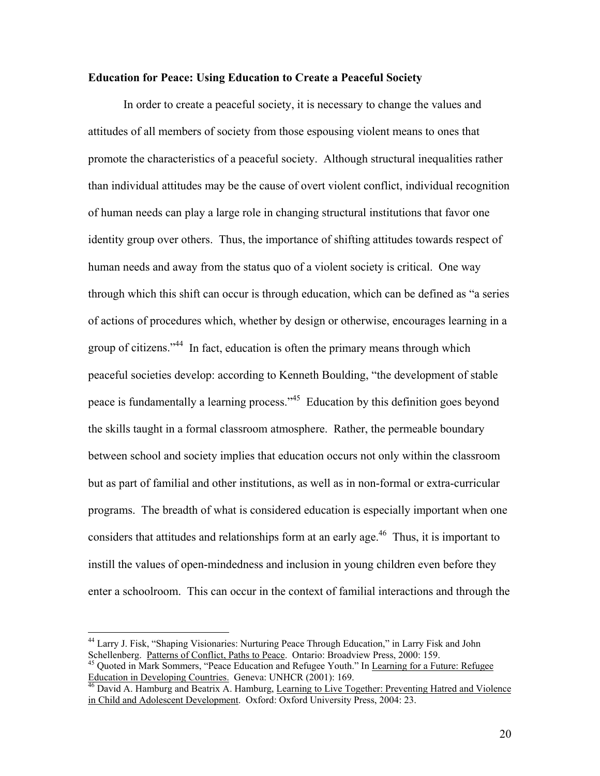#### **Education for Peace: Using Education to Create a Peaceful Society**

In order to create a peaceful society, it is necessary to change the values and attitudes of all members of society from those espousing violent means to ones that promote the characteristics of a peaceful society. Although structural inequalities rather than individual attitudes may be the cause of overt violent conflict, individual recognition of human needs can play a large role in changing structural institutions that favor one identity group over others. Thus, the importance of shifting attitudes towards respect of human needs and away from the status quo of a violent society is critical. One way through which this shift can occur is through education, which can be defined as "a series of actions of procedures which, whether by design or otherwise, encourages learning in a group of citizens."<sup>44</sup> In fact, education is often the primary means through which peaceful societies develop: according to Kenneth Boulding, "the development of stable peace is fundamentally a learning process."<sup>45</sup> Education by this definition goes beyond the skills taught in a formal classroom atmosphere. Rather, the permeable boundary between school and society implies that education occurs not only within the classroom but as part of familial and other institutions, as well as in non-formal or extra-curricular programs. The breadth of what is considered education is especially important when one considers that attitudes and relationships form at an early age.<sup>46</sup> Thus, it is important to instill the values of open-mindedness and inclusion in young children even before they enter a schoolroom. This can occur in the context of familial interactions and through the

<sup>44</sup> Larry J. Fisk, "Shaping Visionaries: Nurturing Peace Through Education," in Larry Fisk and John

Schellenberg. <u>Patterns of Conflict, Paths to Peace</u>. Ontario: Broadview Press, 2000: 159.<br><sup>45</sup> Quoted in Mark Sommers, "Peace Education and Refugee Youth." In <u>Learning for a Future: Refugee</u> Education in Developing Count

Education in Development Countries. Genevative Countries. Genevative Countries. Genevative Countries. Genevative Countries. As Hamburg, Learning to Live Together: Preventing Hatred and Violence in Child and Adolescent Development. Oxford: Oxford University Press, 2004: 23.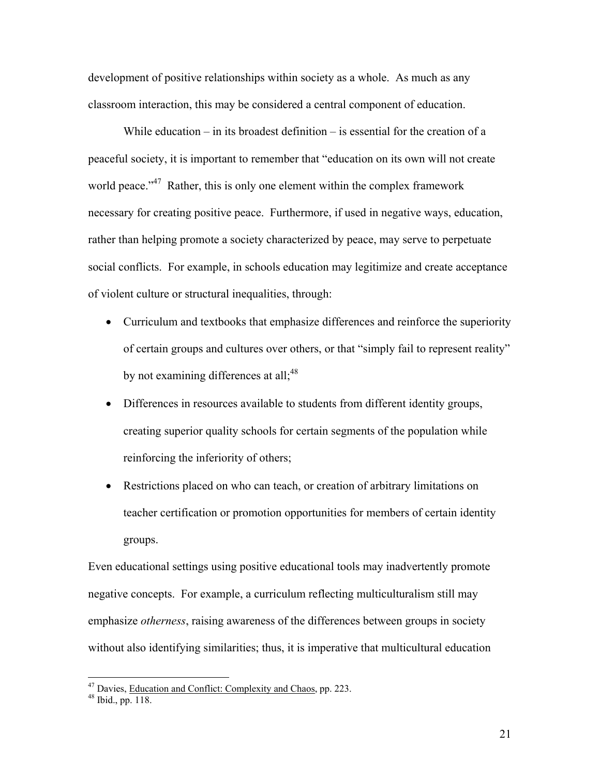development of positive relationships within society as a whole. As much as any classroom interaction, this may be considered a central component of education.

While education – in its broadest definition – is essential for the creation of a peaceful society, it is important to remember that "education on its own will not create world peace."<sup>47</sup> Rather, this is only one element within the complex framework necessary for creating positive peace. Furthermore, if used in negative ways, education, rather than helping promote a society characterized by peace, may serve to perpetuate social conflicts. For example, in schools education may legitimize and create acceptance of violent culture or structural inequalities, through:

- Curriculum and textbooks that emphasize differences and reinforce the superiority of certain groups and cultures over others, or that "simply fail to represent reality" by not examining differences at all; $48$
- Differences in resources available to students from different identity groups, creating superior quality schools for certain segments of the population while reinforcing the inferiority of others;
- Restrictions placed on who can teach, or creation of arbitrary limitations on teacher certification or promotion opportunities for members of certain identity groups.

Even educational settings using positive educational tools may inadvertently promote negative concepts. For example, a curriculum reflecting multiculturalism still may emphasize *otherness*, raising awareness of the differences between groups in society without also identifying similarities; thus, it is imperative that multicultural education

<sup>&</sup>lt;sup>47</sup> Davies, <u>Education and Conflict: Complexity and Chaos</u>, pp. 223.  $48$  Ibid., pp. 118.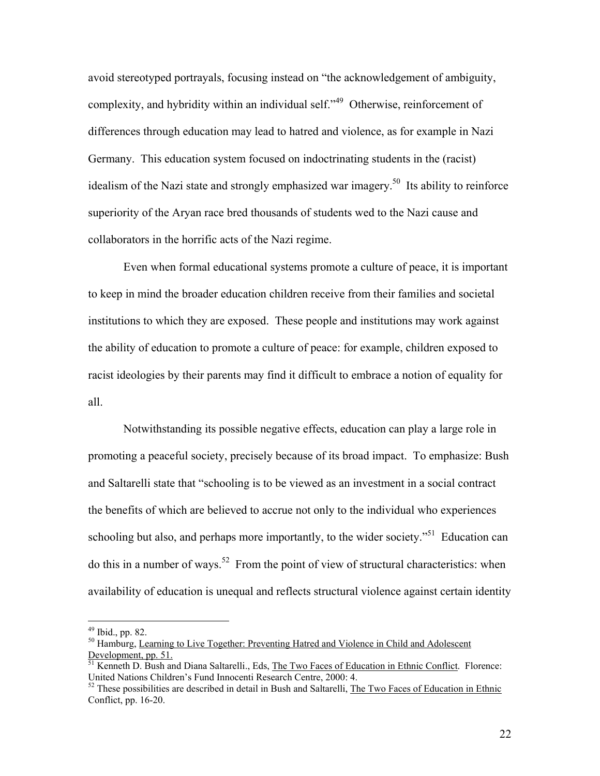avoid stereotyped portrayals, focusing instead on "the acknowledgement of ambiguity, complexity, and hybridity within an individual self."<sup>49</sup> Otherwise, reinforcement of differences through education may lead to hatred and violence, as for example in Nazi Germany. This education system focused on indoctrinating students in the (racist) idealism of the Nazi state and strongly emphasized war imagery.<sup>50</sup> Its ability to reinforce superiority of the Aryan race bred thousands of students wed to the Nazi cause and collaborators in the horrific acts of the Nazi regime.

 Even when formal educational systems promote a culture of peace, it is important to keep in mind the broader education children receive from their families and societal institutions to which they are exposed. These people and institutions may work against the ability of education to promote a culture of peace: for example, children exposed to racist ideologies by their parents may find it difficult to embrace a notion of equality for all.

 Notwithstanding its possible negative effects, education can play a large role in promoting a peaceful society, precisely because of its broad impact. To emphasize: Bush and Saltarelli state that "schooling is to be viewed as an investment in a social contract the benefits of which are believed to accrue not only to the individual who experiences schooling but also, and perhaps more importantly, to the wider society.<sup>51</sup> Education can do this in a number of ways.<sup>52</sup> From the point of view of structural characteristics: when availability of education is unequal and reflects structural violence against certain identity

 $49$  Ibid., pp. 82.

<sup>&</sup>lt;sup>50</sup> Hamburg, Learning to Live Together: Preventing Hatred and Violence in Child and Adolescent Development, pp. 51.

<sup>&</sup>lt;sup>51</sup> Kenneth D. Bush and Diana Saltarelli., Eds, The Two Faces of Education in Ethnic Conflict. Florence: United Nations Children's Fund Innocenti Research Centre, 2000: 4.

<sup>&</sup>lt;sup>52</sup> These possibilities are described in detail in Bush and Saltarelli, The Two Faces of Education in Ethnic Conflict, pp. 16-20.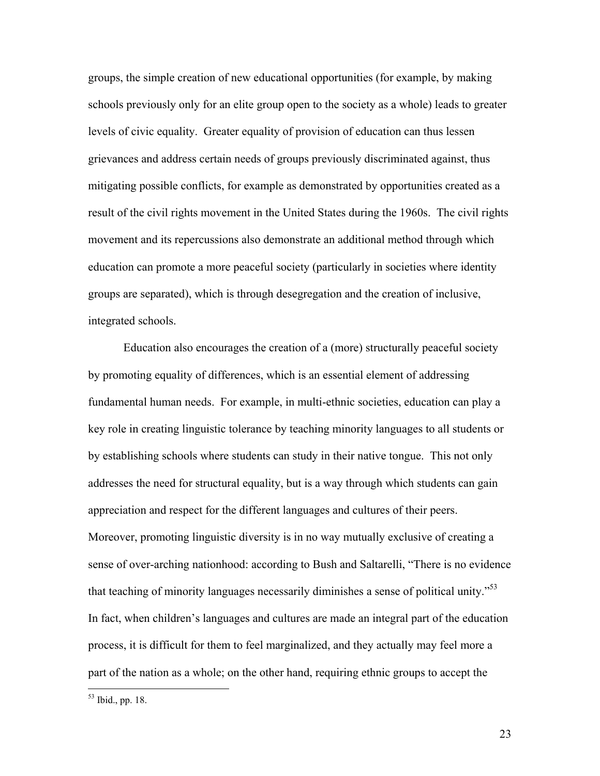groups, the simple creation of new educational opportunities (for example, by making schools previously only for an elite group open to the society as a whole) leads to greater levels of civic equality. Greater equality of provision of education can thus lessen grievances and address certain needs of groups previously discriminated against, thus mitigating possible conflicts, for example as demonstrated by opportunities created as a result of the civil rights movement in the United States during the 1960s. The civil rights movement and its repercussions also demonstrate an additional method through which education can promote a more peaceful society (particularly in societies where identity groups are separated), which is through desegregation and the creation of inclusive, integrated schools.

 Education also encourages the creation of a (more) structurally peaceful society by promoting equality of differences, which is an essential element of addressing fundamental human needs. For example, in multi-ethnic societies, education can play a key role in creating linguistic tolerance by teaching minority languages to all students or by establishing schools where students can study in their native tongue. This not only addresses the need for structural equality, but is a way through which students can gain appreciation and respect for the different languages and cultures of their peers. Moreover, promoting linguistic diversity is in no way mutually exclusive of creating a sense of over-arching nationhood: according to Bush and Saltarelli, "There is no evidence that teaching of minority languages necessarily diminishes a sense of political unity.<sup>553</sup> In fact, when children's languages and cultures are made an integral part of the education process, it is difficult for them to feel marginalized, and they actually may feel more a part of the nation as a whole; on the other hand, requiring ethnic groups to accept the

 $53$  Ibid., pp. 18.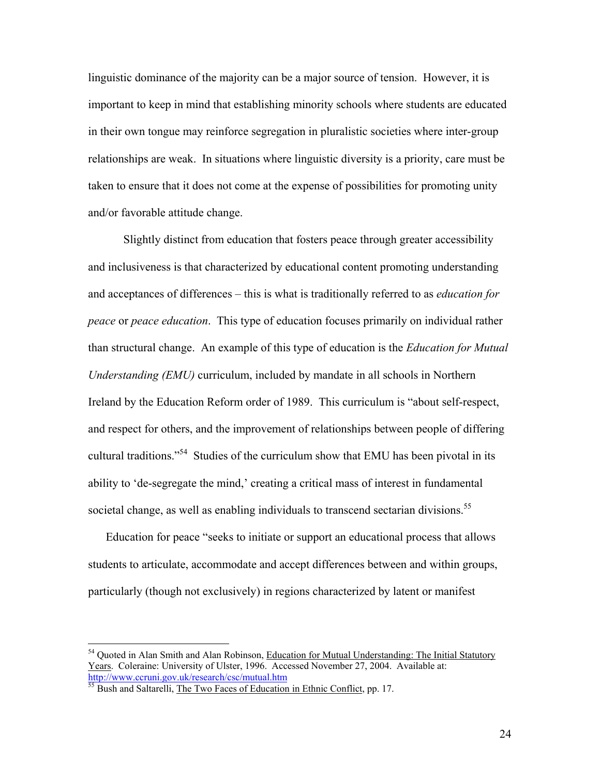linguistic dominance of the majority can be a major source of tension. However, it is important to keep in mind that establishing minority schools where students are educated in their own tongue may reinforce segregation in pluralistic societies where inter-group relationships are weak. In situations where linguistic diversity is a priority, care must be taken to ensure that it does not come at the expense of possibilities for promoting unity and/or favorable attitude change.

 Slightly distinct from education that fosters peace through greater accessibility and inclusiveness is that characterized by educational content promoting understanding and acceptances of differences – this is what is traditionally referred to as *education for peace* or *peace education*. This type of education focuses primarily on individual rather than structural change. An example of this type of education is the *Education for Mutual Understanding (EMU)* curriculum, included by mandate in all schools in Northern Ireland by the Education Reform order of 1989. This curriculum is "about self-respect, and respect for others, and the improvement of relationships between people of differing cultural traditions."54 Studies of the curriculum show that EMU has been pivotal in its ability to 'de-segregate the mind,' creating a critical mass of interest in fundamental societal change, as well as enabling individuals to transcend sectarian divisions.<sup>55</sup>

Education for peace "seeks to initiate or support an educational process that allows students to articulate, accommodate and accept differences between and within groups, particularly (though not exclusively) in regions characterized by latent or manifest

<sup>&</sup>lt;sup>54</sup> Quoted in Alan Smith and Alan Robinson, Education for Mutual Understanding: The Initial Statutory Years. Coleraine: University of Ulster, 1996. Accessed November 27, 2004. Available at: http://www.ccruni.gov.uk/research/csc/mutual.htm

<sup>&</sup>lt;sup>55</sup> Bush and Saltarelli, The Two Faces of Education in Ethnic Conflict, pp. 17.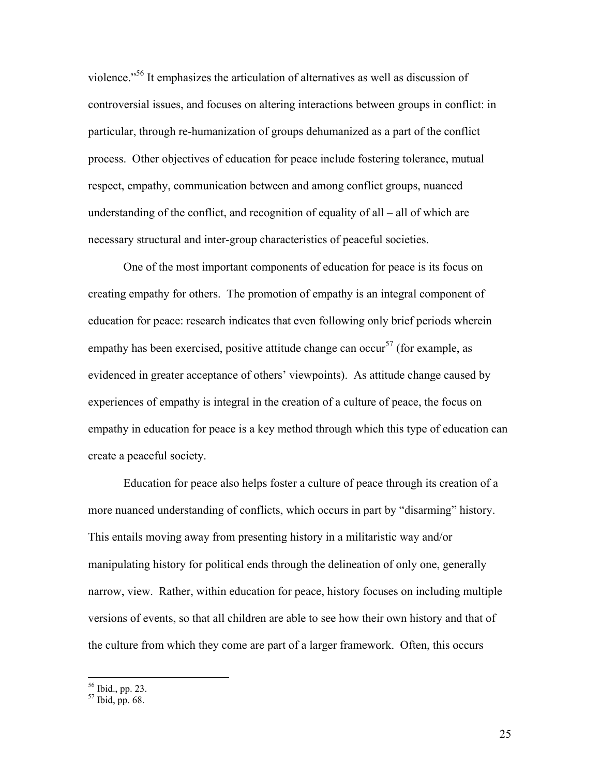violence."56 It emphasizes the articulation of alternatives as well as discussion of controversial issues, and focuses on altering interactions between groups in conflict: in particular, through re-humanization of groups dehumanized as a part of the conflict process. Other objectives of education for peace include fostering tolerance, mutual respect, empathy, communication between and among conflict groups, nuanced understanding of the conflict, and recognition of equality of all – all of which are necessary structural and inter-group characteristics of peaceful societies.

 One of the most important components of education for peace is its focus on creating empathy for others. The promotion of empathy is an integral component of education for peace: research indicates that even following only brief periods wherein empathy has been exercised, positive attitude change can occur<sup>57</sup> (for example, as evidenced in greater acceptance of others' viewpoints). As attitude change caused by experiences of empathy is integral in the creation of a culture of peace, the focus on empathy in education for peace is a key method through which this type of education can create a peaceful society.

Education for peace also helps foster a culture of peace through its creation of a more nuanced understanding of conflicts, which occurs in part by "disarming" history. This entails moving away from presenting history in a militaristic way and/or manipulating history for political ends through the delineation of only one, generally narrow, view. Rather, within education for peace, history focuses on including multiple versions of events, so that all children are able to see how their own history and that of the culture from which they come are part of a larger framework. Often, this occurs

1

<sup>56</sup> Ibid., pp. 23.

 $57$  Ibid, pp. 68.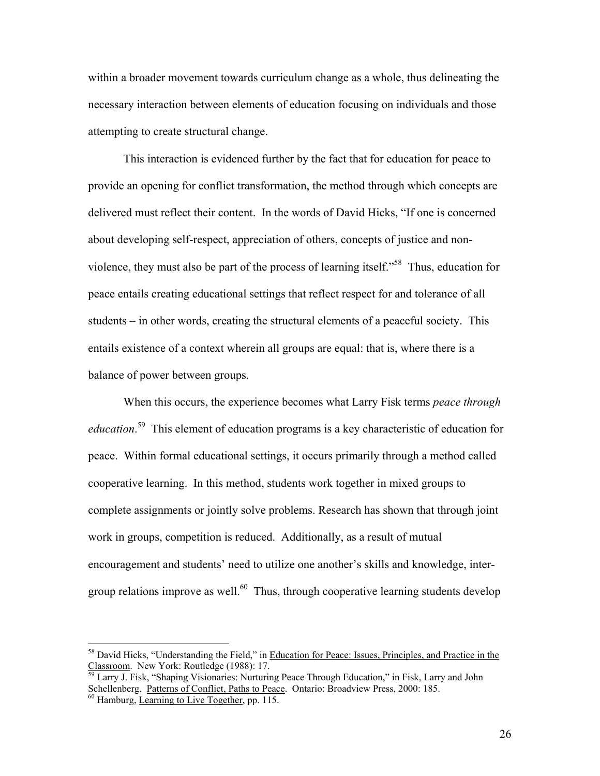within a broader movement towards curriculum change as a whole, thus delineating the necessary interaction between elements of education focusing on individuals and those attempting to create structural change.

 This interaction is evidenced further by the fact that for education for peace to provide an opening for conflict transformation, the method through which concepts are delivered must reflect their content. In the words of David Hicks, "If one is concerned about developing self-respect, appreciation of others, concepts of justice and nonviolence, they must also be part of the process of learning itself."58 Thus, education for peace entails creating educational settings that reflect respect for and tolerance of all students – in other words, creating the structural elements of a peaceful society. This entails existence of a context wherein all groups are equal: that is, where there is a balance of power between groups.

When this occurs, the experience becomes what Larry Fisk terms *peace through education*. 59 This element of education programs is a key characteristic of education for peace. Within formal educational settings, it occurs primarily through a method called cooperative learning. In this method, students work together in mixed groups to complete assignments or jointly solve problems. Research has shown that through joint work in groups, competition is reduced. Additionally, as a result of mutual encouragement and students' need to utilize one another's skills and knowledge, intergroup relations improve as well.<sup>60</sup> Thus, through cooperative learning students develop

<sup>&</sup>lt;sup>58</sup> David Hicks, "Understanding the Field," in <u>Education for Peace: Issues, Principles, and Practice in the Classroom</u>. New York: Routledge (1988): 17.

Larry J. Fisk, "Shaping Visionaries: Nurturing Peace Through Education," in Fisk, Larry and John Schellenberg. <u>Patterns of Conflict, Paths to Peace</u>. Ontario: Broadview Press, 2000: 185. <sup>60</sup> Hamburg, Learning to Live Together, pp. 115.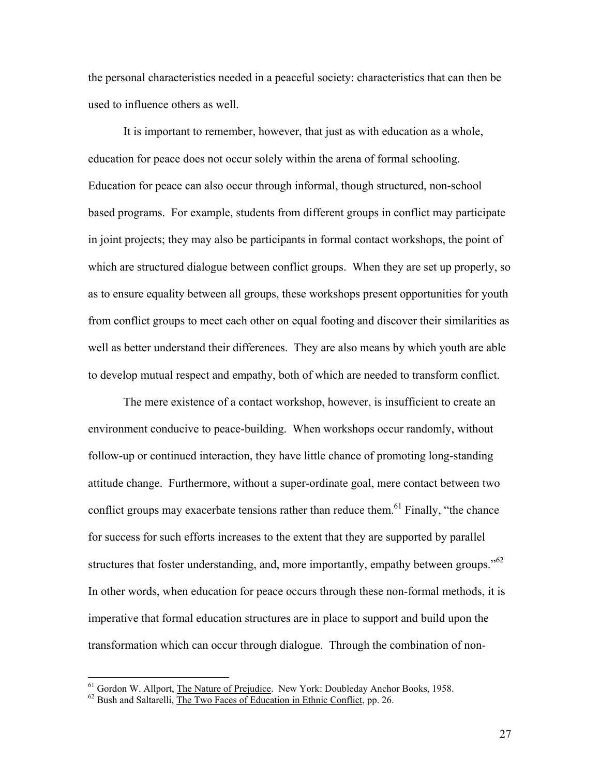the personal characteristics needed in a peaceful society: characteristics that can then be used to influence others as well.

 It is important to remember, however, that just as with education as a whole, education for peace does not occur solely within the arena of formal schooling. Education for peace can also occur through informal, though structured, non-school based programs. For example, students from different groups in conflict may participate in joint projects; they may also be participants in formal contact workshops, the point of which are structured dialogue between conflict groups. When they are set up properly, so as to ensure equality between all groups, these workshops present opportunities for youth from conflict groups to meet each other on equal footing and discover their similarities as well as better understand their differences. They are also means by which youth are able to develop mutual respect and empathy, both of which are needed to transform conflict.

The mere existence of a contact workshop, however, is insufficient to create an environment conducive to peace-building. When workshops occur randomly, without follow-up or continued interaction, they have little chance of promoting long-standing attitude change. Furthermore, without a super-ordinate goal, mere contact between two conflict groups may exacerbate tensions rather than reduce them.<sup>61</sup> Finally, "the chance for success for such efforts increases to the extent that they are supported by parallel structures that foster understanding, and, more importantly, empathy between groups."<sup>62</sup> In other words, when education for peace occurs through these non-formal methods, it is imperative that formal education structures are in place to support and build upon the transformation which can occur through dialogue. Through the combination of non-

1

<sup>&</sup>lt;sup>61</sup> Gordon W. Allport, <u>The Nature of Prejudice</u>. New York: Doubleday Anchor Books, 1958.  $^{62}$  Bush and Saltarelli, The Two Faces of Education in Ethnic Conflict, pp. 26.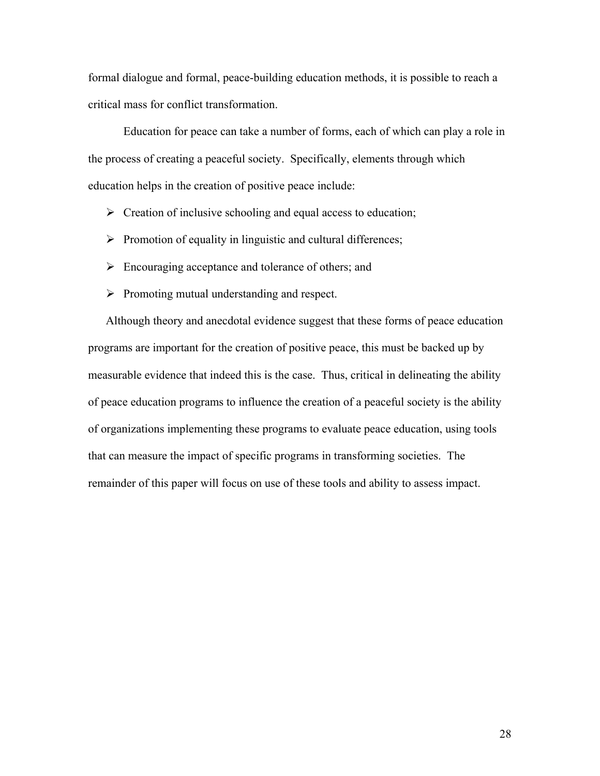formal dialogue and formal, peace-building education methods, it is possible to reach a critical mass for conflict transformation.

Education for peace can take a number of forms, each of which can play a role in the process of creating a peaceful society. Specifically, elements through which education helps in the creation of positive peace include:

- $\triangleright$  Creation of inclusive schooling and equal access to education;
- $\triangleright$  Promotion of equality in linguistic and cultural differences;
- $\triangleright$  Encouraging acceptance and tolerance of others; and
- $\triangleright$  Promoting mutual understanding and respect.

Although theory and anecdotal evidence suggest that these forms of peace education programs are important for the creation of positive peace, this must be backed up by measurable evidence that indeed this is the case. Thus, critical in delineating the ability of peace education programs to influence the creation of a peaceful society is the ability of organizations implementing these programs to evaluate peace education, using tools that can measure the impact of specific programs in transforming societies. The remainder of this paper will focus on use of these tools and ability to assess impact.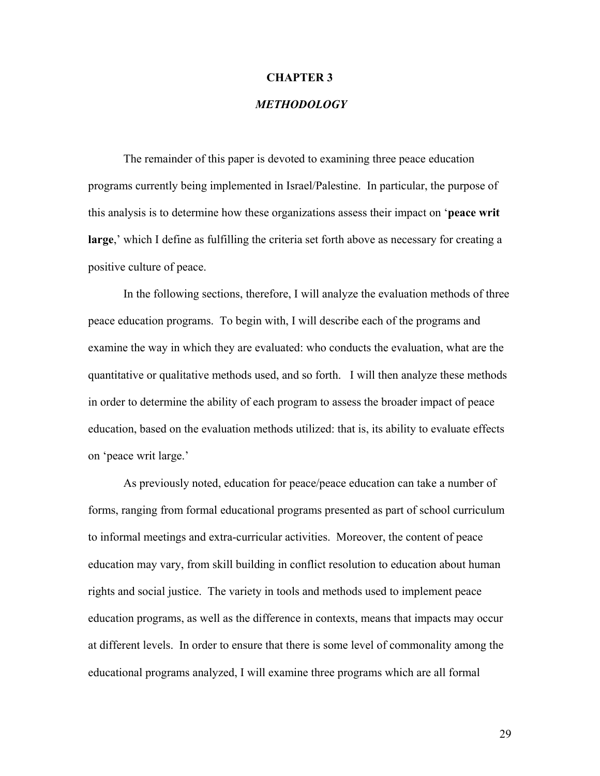#### **CHAPTER 3**

## *METHODOLOGY*

The remainder of this paper is devoted to examining three peace education programs currently being implemented in Israel/Palestine. In particular, the purpose of this analysis is to determine how these organizations assess their impact on '**peace writ large**,' which I define as fulfilling the criteria set forth above as necessary for creating a positive culture of peace.

In the following sections, therefore, I will analyze the evaluation methods of three peace education programs. To begin with, I will describe each of the programs and examine the way in which they are evaluated: who conducts the evaluation, what are the quantitative or qualitative methods used, and so forth. I will then analyze these methods in order to determine the ability of each program to assess the broader impact of peace education, based on the evaluation methods utilized: that is, its ability to evaluate effects on 'peace writ large.'

As previously noted, education for peace/peace education can take a number of forms, ranging from formal educational programs presented as part of school curriculum to informal meetings and extra-curricular activities. Moreover, the content of peace education may vary, from skill building in conflict resolution to education about human rights and social justice. The variety in tools and methods used to implement peace education programs, as well as the difference in contexts, means that impacts may occur at different levels. In order to ensure that there is some level of commonality among the educational programs analyzed, I will examine three programs which are all formal

29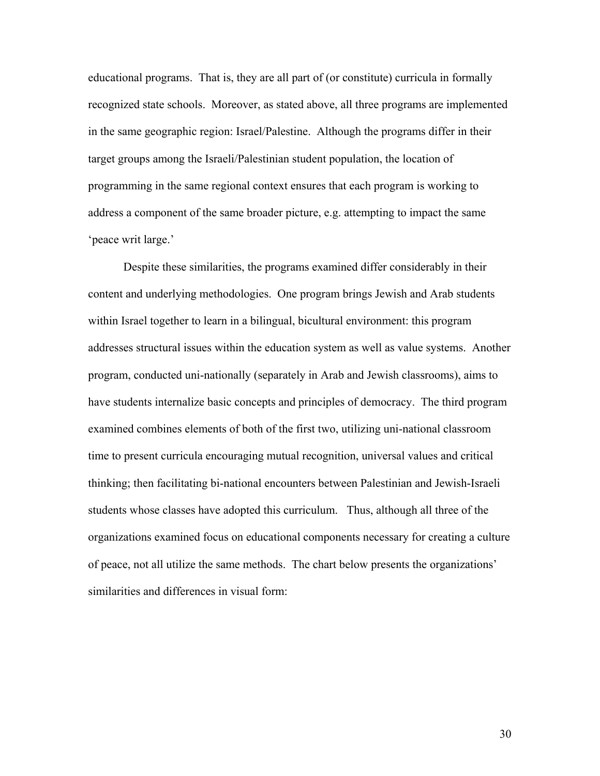educational programs. That is, they are all part of (or constitute) curricula in formally recognized state schools. Moreover, as stated above, all three programs are implemented in the same geographic region: Israel/Palestine. Although the programs differ in their target groups among the Israeli/Palestinian student population, the location of programming in the same regional context ensures that each program is working to address a component of the same broader picture, e.g. attempting to impact the same 'peace writ large.'

Despite these similarities, the programs examined differ considerably in their content and underlying methodologies. One program brings Jewish and Arab students within Israel together to learn in a bilingual, bicultural environment: this program addresses structural issues within the education system as well as value systems. Another program, conducted uni-nationally (separately in Arab and Jewish classrooms), aims to have students internalize basic concepts and principles of democracy. The third program examined combines elements of both of the first two, utilizing uni-national classroom time to present curricula encouraging mutual recognition, universal values and critical thinking; then facilitating bi-national encounters between Palestinian and Jewish-Israeli students whose classes have adopted this curriculum. Thus, although all three of the organizations examined focus on educational components necessary for creating a culture of peace, not all utilize the same methods. The chart below presents the organizations' similarities and differences in visual form:

30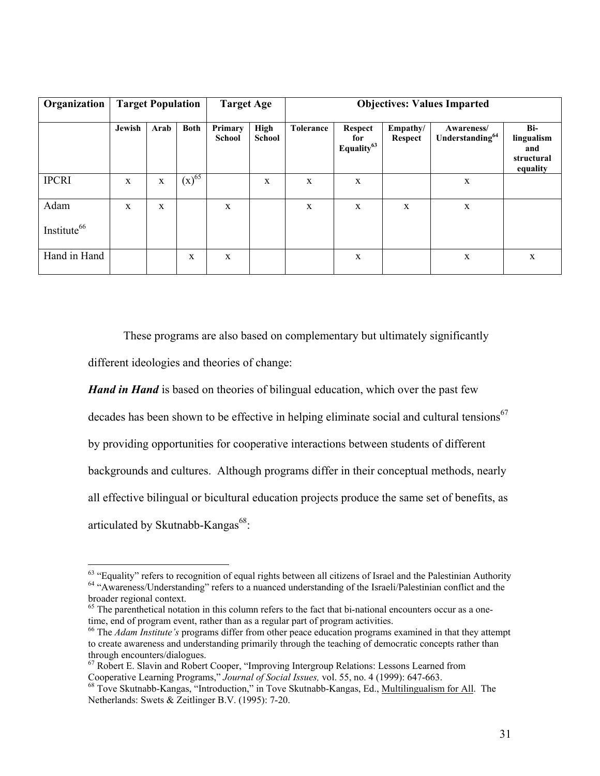| Organization                    | <b>Target Population</b> |             |             | <b>Target Age</b>        |                | <b>Objectives: Values Imparted</b> |                                                 |                     |                                           |                                                    |
|---------------------------------|--------------------------|-------------|-------------|--------------------------|----------------|------------------------------------|-------------------------------------------------|---------------------|-------------------------------------------|----------------------------------------------------|
|                                 | Jewish                   | Arab        | <b>Both</b> | Primary<br><b>School</b> | High<br>School | <b>Tolerance</b>                   | <b>Respect</b><br>for<br>Equality <sup>63</sup> | Empathy/<br>Respect | Awareness/<br>Understanding <sup>64</sup> | Bi-<br>lingualism<br>and<br>structural<br>equality |
| <b>IPCRI</b>                    | X                        | $\mathbf X$ | $(x)^{65}$  |                          | X              | X                                  | $\mathbf X$                                     |                     | $\mathbf X$                               |                                                    |
| Adam<br>Institute <sup>66</sup> | $\mathbf x$              | X           |             | X                        |                | X                                  | X                                               | X                   | $\mathbf X$                               |                                                    |
| Hand in Hand                    |                          |             | X           | $\mathbf X$              |                |                                    | $\mathbf X$                                     |                     | $\mathbf X$                               | X                                                  |

These programs are also based on complementary but ultimately significantly

different ideologies and theories of change:

 $\overline{a}$ 

*Hand in Hand* is based on theories of bilingual education, which over the past few decades has been shown to be effective in helping eliminate social and cultural tensions<sup>67</sup> by providing opportunities for cooperative interactions between students of different backgrounds and cultures. Although programs differ in their conceptual methods, nearly all effective bilingual or bicultural education projects produce the same set of benefits, as articulated by Skutnabb-Kangas $^{68}$ :

 $63$  "Equality" refers to recognition of equal rights between all citizens of Israel and the Palestinian Authority  $64$  "Awareness/Understanding" refers to a nuanced understanding of the Israeli/Palestinian conflict and t broader regional context.

<sup>&</sup>lt;sup>65</sup> The parenthetical notation in this column refers to the fact that bi-national encounters occur as a onetime, end of program event, rather than as a regular part of program activities.

<sup>66</sup> The *Adam Institute's* programs differ from other peace education programs examined in that they attempt to create awareness and understanding primarily through the teaching of democratic concepts rather than through encounters/dialogues.

 $67$  Robert E. Slavin and Robert Cooper, "Improving Intergroup Relations: Lessons Learned from Cooperative Learning Programs," Journal of Social Issues, vol. 55, no. 4 (1999): 647-663.

<sup>&</sup>lt;sup>68</sup> Tove Skutnabb-Kangas, "Introduction," in Tove Skutnabb-Kangas, Ed., Multilingualism for All. The Netherlands: Swets & Zeitlinger B.V. (1995): 7-20.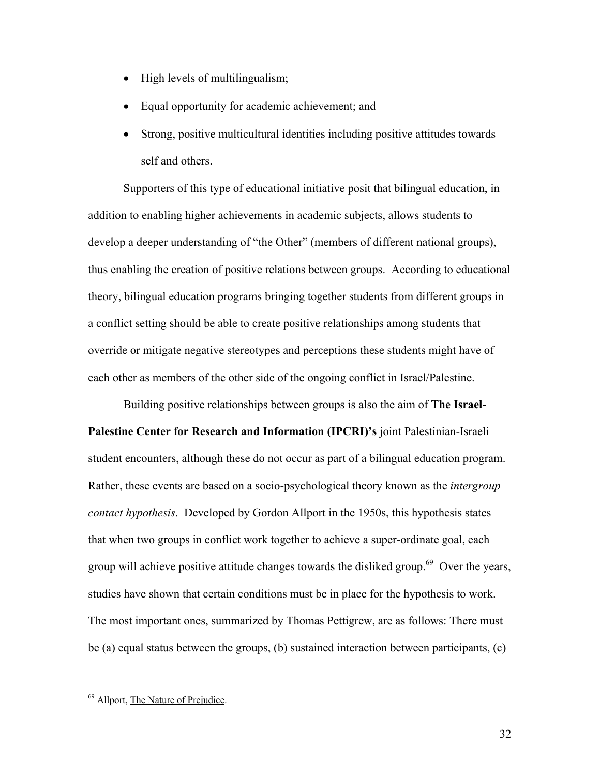- High levels of multilingualism;
- Equal opportunity for academic achievement; and
- Strong, positive multicultural identities including positive attitudes towards self and others.

Supporters of this type of educational initiative posit that bilingual education, in addition to enabling higher achievements in academic subjects, allows students to develop a deeper understanding of "the Other" (members of different national groups), thus enabling the creation of positive relations between groups. According to educational theory, bilingual education programs bringing together students from different groups in a conflict setting should be able to create positive relationships among students that override or mitigate negative stereotypes and perceptions these students might have of each other as members of the other side of the ongoing conflict in Israel/Palestine.

Building positive relationships between groups is also the aim of **The Israel-Palestine Center for Research and Information (IPCRI)'s** joint Palestinian-Israeli student encounters, although these do not occur as part of a bilingual education program. Rather, these events are based on a socio-psychological theory known as the *intergroup contact hypothesis*. Developed by Gordon Allport in the 1950s, this hypothesis states that when two groups in conflict work together to achieve a super-ordinate goal, each group will achieve positive attitude changes towards the disliked group.<sup>69</sup> Over the years, studies have shown that certain conditions must be in place for the hypothesis to work. The most important ones, summarized by Thomas Pettigrew, are as follows: There must be (a) equal status between the groups, (b) sustained interaction between participants, (c)

<sup>69</sup> Allport, The Nature of Prejudice.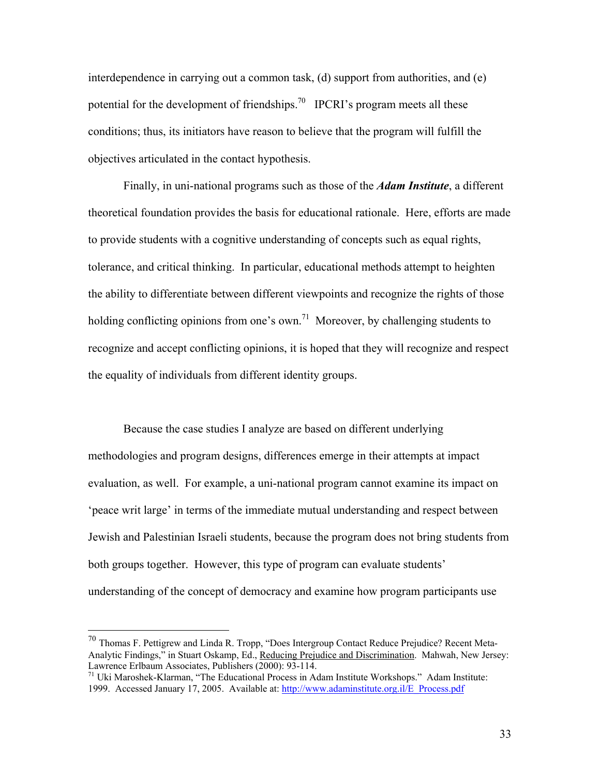interdependence in carrying out a common task, (d) support from authorities, and (e) potential for the development of friendships.<sup>70</sup> IPCRI's program meets all these conditions; thus, its initiators have reason to believe that the program will fulfill the objectives articulated in the contact hypothesis.

Finally, in uni-national programs such as those of the *Adam Institute*, a different theoretical foundation provides the basis for educational rationale. Here, efforts are made to provide students with a cognitive understanding of concepts such as equal rights, tolerance, and critical thinking. In particular, educational methods attempt to heighten the ability to differentiate between different viewpoints and recognize the rights of those holding conflicting opinions from one's own.<sup>71</sup> Moreover, by challenging students to recognize and accept conflicting opinions, it is hoped that they will recognize and respect the equality of individuals from different identity groups.

Because the case studies I analyze are based on different underlying methodologies and program designs, differences emerge in their attempts at impact evaluation, as well. For example, a uni-national program cannot examine its impact on 'peace writ large' in terms of the immediate mutual understanding and respect between Jewish and Palestinian Israeli students, because the program does not bring students from both groups together. However, this type of program can evaluate students' understanding of the concept of democracy and examine how program participants use

 $^{70}$  Thomas F. Pettigrew and Linda R. Tropp, "Does Intergroup Contact Reduce Prejudice? Recent Meta-Analytic Findings," in Stuart Oskamp, Ed., Reducing Prejudice and Discrimination. Mahwah, New Jersey: Lawrence Erlbaum Associates, Publishers (2000): 93-114.

 $^{71}$  Uki Maroshek-Klarman, "The Educational Process in Adam Institute Workshops." Adam Institute: 1999. Accessed January 17, 2005. Available at: http://www.adaminstitute.org.il/E\_Process.pdf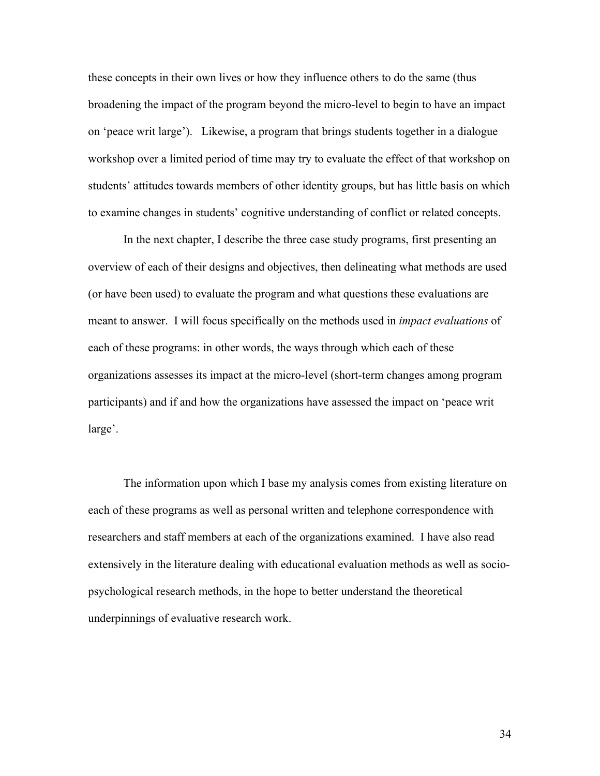these concepts in their own lives or how they influence others to do the same (thus broadening the impact of the program beyond the micro-level to begin to have an impact on 'peace writ large'). Likewise, a program that brings students together in a dialogue workshop over a limited period of time may try to evaluate the effect of that workshop on students' attitudes towards members of other identity groups, but has little basis on which to examine changes in students' cognitive understanding of conflict or related concepts.

In the next chapter, I describe the three case study programs, first presenting an overview of each of their designs and objectives, then delineating what methods are used (or have been used) to evaluate the program and what questions these evaluations are meant to answer. I will focus specifically on the methods used in *impact evaluations* of each of these programs: in other words, the ways through which each of these organizations assesses its impact at the micro-level (short-term changes among program participants) and if and how the organizations have assessed the impact on 'peace writ large'.

The information upon which I base my analysis comes from existing literature on each of these programs as well as personal written and telephone correspondence with researchers and staff members at each of the organizations examined. I have also read extensively in the literature dealing with educational evaluation methods as well as sociopsychological research methods, in the hope to better understand the theoretical underpinnings of evaluative research work.

34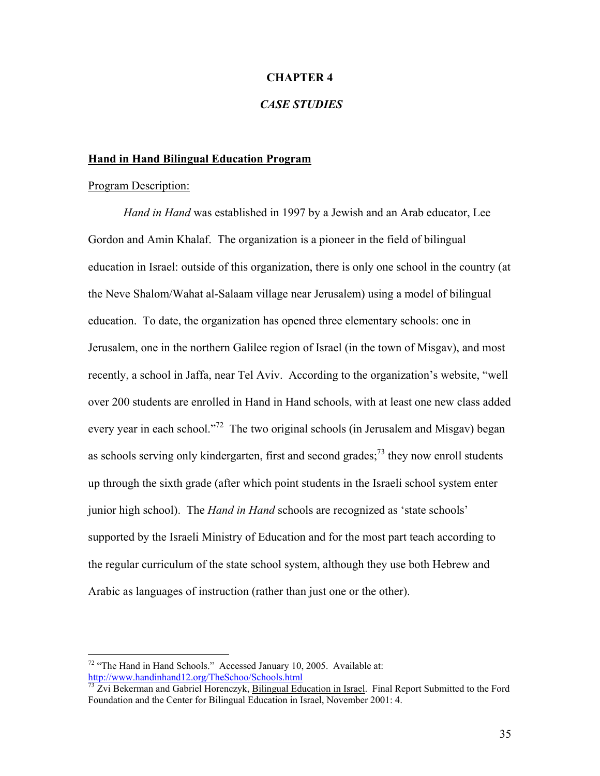#### **CHAPTER 4**

# *CASE STUDIES*

#### **Hand in Hand Bilingual Education Program**

#### Program Description:

 $\overline{a}$ 

*Hand in Hand* was established in 1997 by a Jewish and an Arab educator, Lee Gordon and Amin Khalaf. The organization is a pioneer in the field of bilingual education in Israel: outside of this organization, there is only one school in the country (at the Neve Shalom/Wahat al-Salaam village near Jerusalem) using a model of bilingual education. To date, the organization has opened three elementary schools: one in Jerusalem, one in the northern Galilee region of Israel (in the town of Misgav), and most recently, a school in Jaffa, near Tel Aviv. According to the organization's website, "well over 200 students are enrolled in Hand in Hand schools, with at least one new class added every year in each school."<sup>72</sup> The two original schools (in Jerusalem and Misgav) began as schools serving only kindergarten, first and second grades; $^{73}$  they now enroll students up through the sixth grade (after which point students in the Israeli school system enter junior high school). The *Hand in Hand* schools are recognized as 'state schools' supported by the Israeli Ministry of Education and for the most part teach according to the regular curriculum of the state school system, although they use both Hebrew and Arabic as languages of instruction (rather than just one or the other).

<sup>&</sup>lt;sup>72</sup> "The Hand in Hand Schools." Accessed January 10, 2005. Available at:  $\frac{http://www.handinhand12.org/TheSchool/Schools.html}{http://www.handinhand12.org/The School/Schools.html}$ 

 $\frac{mg_{37}}{73}$  Zvi Bekerman and Gabriel Horenczyk, Bilingual Education in Israel. Final Report Submitted to the Ford Foundation and the Center for Bilingual Education in Israel, November 2001: 4.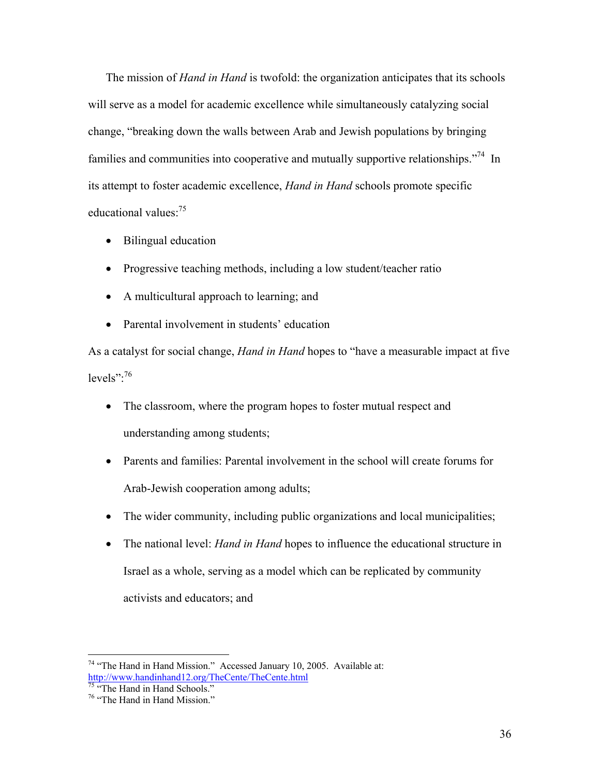The mission of *Hand in Hand* is twofold: the organization anticipates that its schools will serve as a model for academic excellence while simultaneously catalyzing social change, "breaking down the walls between Arab and Jewish populations by bringing families and communities into cooperative and mutually supportive relationships."<sup>74</sup> In its attempt to foster academic excellence, *Hand in Hand* schools promote specific educational values:<sup>75</sup>

- Bilingual education
- Progressive teaching methods, including a low student/teacher ratio
- A multicultural approach to learning; and
- Parental involvement in students' education

As a catalyst for social change, *Hand in Hand* hopes to "have a measurable impact at five levels": $76$ 

- The classroom, where the program hopes to foster mutual respect and understanding among students;
- Parents and families: Parental involvement in the school will create forums for Arab-Jewish cooperation among adults;
- The wider community, including public organizations and local municipalities;
- The national level: *Hand in Hand* hopes to influence the educational structure in Israel as a whole, serving as a model which can be replicated by community activists and educators; and

<u>.</u>

 $74$  "The Hand in Hand Mission." Accessed January 10, 2005. Available at: http://www.handinhand12.org/TheCente/TheCente.html

<sup>&</sup>lt;sup>75</sup> "The Hand in Hand Schools."

<sup>76 &</sup>quot;The Hand in Hand Mission."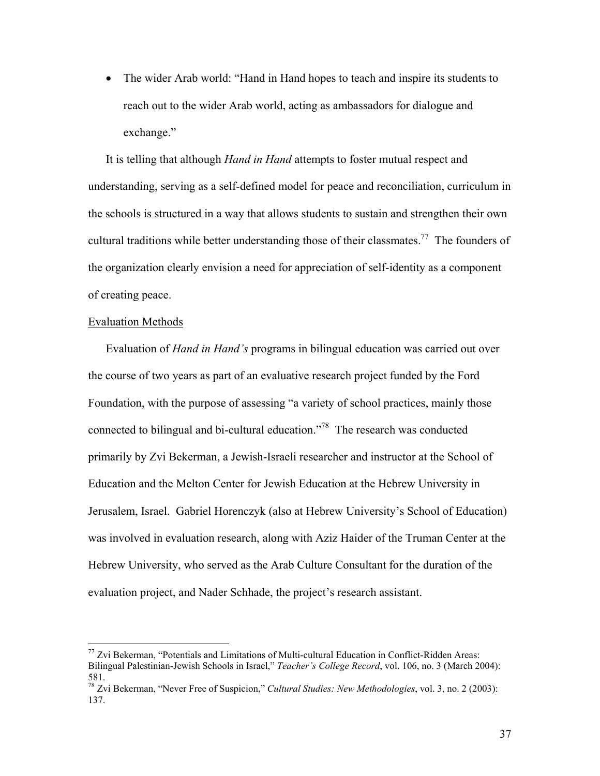• The wider Arab world: "Hand in Hand hopes to teach and inspire its students to reach out to the wider Arab world, acting as ambassadors for dialogue and exchange."

It is telling that although *Hand in Hand* attempts to foster mutual respect and understanding, serving as a self-defined model for peace and reconciliation, curriculum in the schools is structured in a way that allows students to sustain and strengthen their own cultural traditions while better understanding those of their classmates.<sup>77</sup> The founders of the organization clearly envision a need for appreciation of self-identity as a component of creating peace.

### Evaluation Methods

 $\overline{a}$ 

Evaluation of *Hand in Hand's* programs in bilingual education was carried out over the course of two years as part of an evaluative research project funded by the Ford Foundation, with the purpose of assessing "a variety of school practices, mainly those connected to bilingual and bi-cultural education."78 The research was conducted primarily by Zvi Bekerman, a Jewish-Israeli researcher and instructor at the School of Education and the Melton Center for Jewish Education at the Hebrew University in Jerusalem, Israel. Gabriel Horenczyk (also at Hebrew University's School of Education) was involved in evaluation research, along with Aziz Haider of the Truman Center at the Hebrew University, who served as the Arab Culture Consultant for the duration of the evaluation project, and Nader Schhade, the project's research assistant.

 $77$  Zvi Bekerman, "Potentials and Limitations of Multi-cultural Education in Conflict-Ridden Areas: Bilingual Palestinian-Jewish Schools in Israel," *Teacher's College Record*, vol. 106, no. 3 (March 2004): 581.

<sup>78</sup> Zvi Bekerman, "Never Free of Suspicion," *Cultural Studies: New Methodologies*, vol. 3, no. 2 (2003): 137.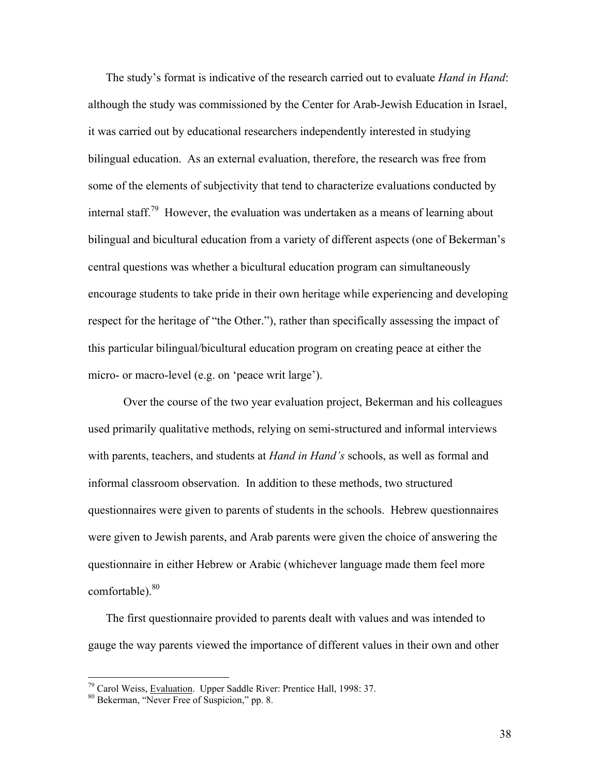The study's format is indicative of the research carried out to evaluate *Hand in Hand*: although the study was commissioned by the Center for Arab-Jewish Education in Israel, it was carried out by educational researchers independently interested in studying bilingual education. As an external evaluation, therefore, the research was free from some of the elements of subjectivity that tend to characterize evaluations conducted by internal staff.<sup>79</sup> However, the evaluation was undertaken as a means of learning about bilingual and bicultural education from a variety of different aspects (one of Bekerman's central questions was whether a bicultural education program can simultaneously encourage students to take pride in their own heritage while experiencing and developing respect for the heritage of "the Other."), rather than specifically assessing the impact of this particular bilingual/bicultural education program on creating peace at either the micro- or macro-level (e.g. on 'peace writ large').

Over the course of the two year evaluation project, Bekerman and his colleagues used primarily qualitative methods, relying on semi-structured and informal interviews with parents, teachers, and students at *Hand in Hand's* schools, as well as formal and informal classroom observation. In addition to these methods, two structured questionnaires were given to parents of students in the schools. Hebrew questionnaires were given to Jewish parents, and Arab parents were given the choice of answering the questionnaire in either Hebrew or Arabic (whichever language made them feel more comfortable). 80

The first questionnaire provided to parents dealt with values and was intended to gauge the way parents viewed the importance of different values in their own and other

<sup>&</sup>lt;sup>79</sup> Carol Weiss, <u>Evaluation</u>. Upper Saddle River: Prentice Hall, 1998: 37.<br><sup>80</sup> Bekerman, "Never Free of Suspicion," pp. 8.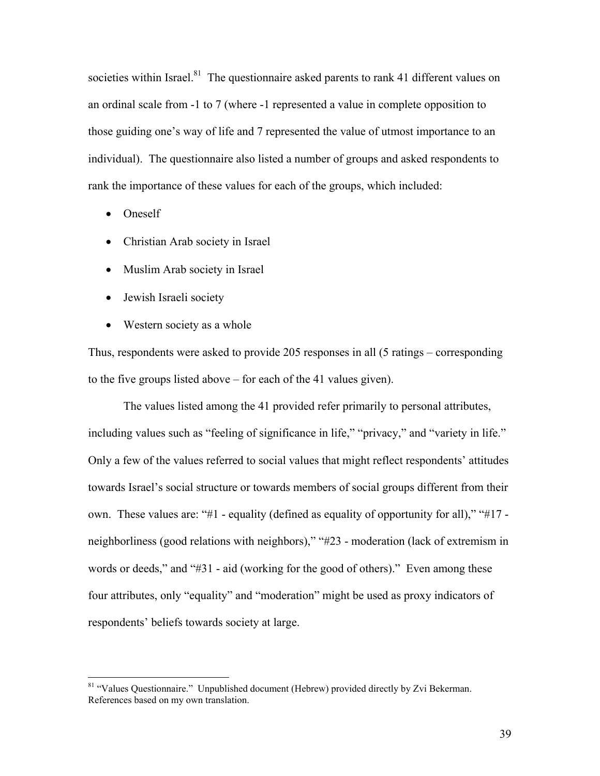societies within Israel.<sup>81</sup> The questionnaire asked parents to rank 41 different values on an ordinal scale from -1 to 7 (where -1 represented a value in complete opposition to those guiding one's way of life and 7 represented the value of utmost importance to an individual). The questionnaire also listed a number of groups and asked respondents to rank the importance of these values for each of the groups, which included:

• Oneself

 $\overline{a}$ 

- Christian Arab society in Israel
- Muslim Arab society in Israel
- Jewish Israeli society
- Western society as a whole

Thus, respondents were asked to provide 205 responses in all (5 ratings – corresponding to the five groups listed above – for each of the 41 values given).

The values listed among the 41 provided refer primarily to personal attributes, including values such as "feeling of significance in life," "privacy," and "variety in life." Only a few of the values referred to social values that might reflect respondents' attitudes towards Israel's social structure or towards members of social groups different from their own. These values are: "#1 - equality (defined as equality of opportunity for all)," "#17 neighborliness (good relations with neighbors)," "#23 - moderation (lack of extremism in words or deeds," and "#31 - aid (working for the good of others)." Even among these four attributes, only "equality" and "moderation" might be used as proxy indicators of respondents' beliefs towards society at large.

<sup>&</sup>lt;sup>81</sup> "Values Questionnaire." Unpublished document (Hebrew) provided directly by Zvi Bekerman. References based on my own translation.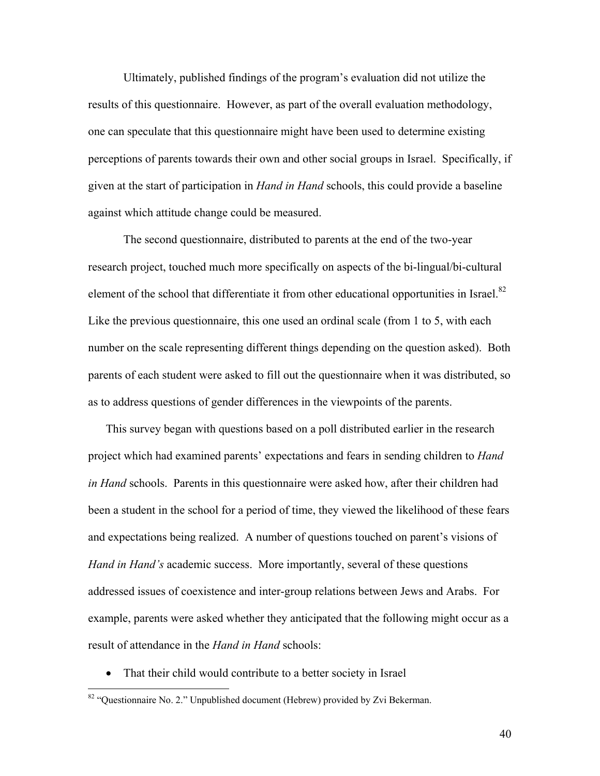Ultimately, published findings of the program's evaluation did not utilize the results of this questionnaire. However, as part of the overall evaluation methodology, one can speculate that this questionnaire might have been used to determine existing perceptions of parents towards their own and other social groups in Israel. Specifically, if given at the start of participation in *Hand in Hand* schools, this could provide a baseline against which attitude change could be measured.

The second questionnaire, distributed to parents at the end of the two-year research project, touched much more specifically on aspects of the bi-lingual/bi-cultural element of the school that differentiate it from other educational opportunities in Israel.<sup>82</sup> Like the previous questionnaire, this one used an ordinal scale (from 1 to 5, with each number on the scale representing different things depending on the question asked). Both parents of each student were asked to fill out the questionnaire when it was distributed, so as to address questions of gender differences in the viewpoints of the parents.

This survey began with questions based on a poll distributed earlier in the research project which had examined parents' expectations and fears in sending children to *Hand in Hand* schools. Parents in this questionnaire were asked how, after their children had been a student in the school for a period of time, they viewed the likelihood of these fears and expectations being realized. A number of questions touched on parent's visions of *Hand in Hand's* academic success. More importantly, several of these questions addressed issues of coexistence and inter-group relations between Jews and Arabs. For example, parents were asked whether they anticipated that the following might occur as a result of attendance in the *Hand in Hand* schools:

• That their child would contribute to a better society in Israel

 $\overline{a}$ 

<sup>82 &</sup>quot;Questionnaire No. 2." Unpublished document (Hebrew) provided by Zvi Bekerman.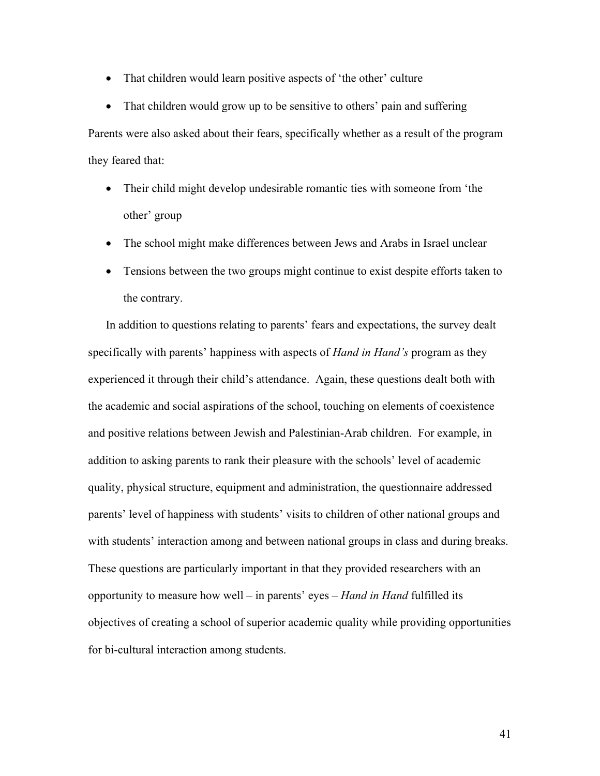• That children would learn positive aspects of 'the other' culture

• That children would grow up to be sensitive to others' pain and suffering Parents were also asked about their fears, specifically whether as a result of the program they feared that:

- Their child might develop undesirable romantic ties with someone from 'the other' group
- The school might make differences between Jews and Arabs in Israel unclear
- Tensions between the two groups might continue to exist despite efforts taken to the contrary.

In addition to questions relating to parents' fears and expectations, the survey dealt specifically with parents' happiness with aspects of *Hand in Hand's* program as they experienced it through their child's attendance. Again, these questions dealt both with the academic and social aspirations of the school, touching on elements of coexistence and positive relations between Jewish and Palestinian-Arab children. For example, in addition to asking parents to rank their pleasure with the schools' level of academic quality, physical structure, equipment and administration, the questionnaire addressed parents' level of happiness with students' visits to children of other national groups and with students' interaction among and between national groups in class and during breaks. These questions are particularly important in that they provided researchers with an opportunity to measure how well – in parents' eyes – *Hand in Hand* fulfilled its objectives of creating a school of superior academic quality while providing opportunities for bi-cultural interaction among students.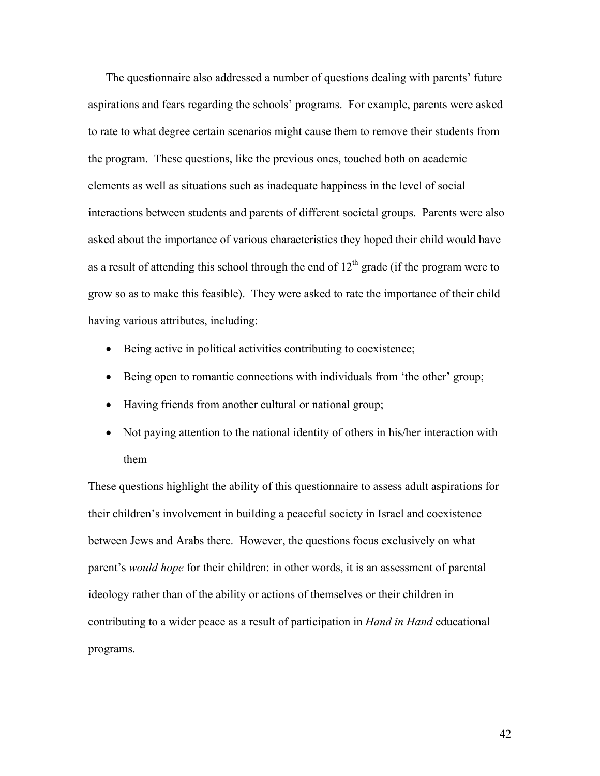The questionnaire also addressed a number of questions dealing with parents' future aspirations and fears regarding the schools' programs. For example, parents were asked to rate to what degree certain scenarios might cause them to remove their students from the program. These questions, like the previous ones, touched both on academic elements as well as situations such as inadequate happiness in the level of social interactions between students and parents of different societal groups. Parents were also asked about the importance of various characteristics they hoped their child would have as a result of attending this school through the end of  $12<sup>th</sup>$  grade (if the program were to grow so as to make this feasible). They were asked to rate the importance of their child having various attributes, including:

- Being active in political activities contributing to coexistence;
- Being open to romantic connections with individuals from 'the other' group;
- Having friends from another cultural or national group;
- Not paying attention to the national identity of others in his/her interaction with them

These questions highlight the ability of this questionnaire to assess adult aspirations for their children's involvement in building a peaceful society in Israel and coexistence between Jews and Arabs there. However, the questions focus exclusively on what parent's *would hope* for their children: in other words, it is an assessment of parental ideology rather than of the ability or actions of themselves or their children in contributing to a wider peace as a result of participation in *Hand in Hand* educational programs.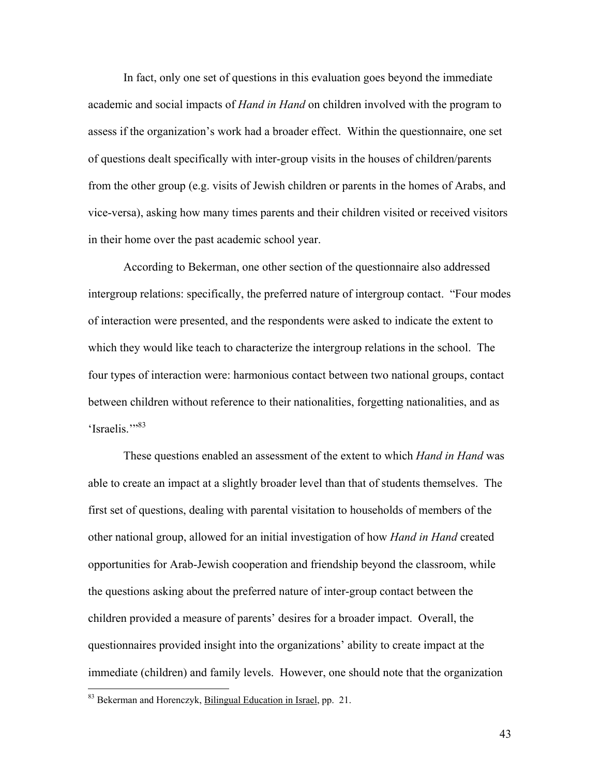In fact, only one set of questions in this evaluation goes beyond the immediate academic and social impacts of *Hand in Hand* on children involved with the program to assess if the organization's work had a broader effect. Within the questionnaire, one set of questions dealt specifically with inter-group visits in the houses of children/parents from the other group (e.g. visits of Jewish children or parents in the homes of Arabs, and vice-versa), asking how many times parents and their children visited or received visitors in their home over the past academic school year.

According to Bekerman, one other section of the questionnaire also addressed intergroup relations: specifically, the preferred nature of intergroup contact. "Four modes of interaction were presented, and the respondents were asked to indicate the extent to which they would like teach to characterize the intergroup relations in the school. The four types of interaction were: harmonious contact between two national groups, contact between children without reference to their nationalities, forgetting nationalities, and as 'Israelis."<sup>83</sup>

These questions enabled an assessment of the extent to which *Hand in Hand* was able to create an impact at a slightly broader level than that of students themselves. The first set of questions, dealing with parental visitation to households of members of the other national group, allowed for an initial investigation of how *Hand in Hand* created opportunities for Arab-Jewish cooperation and friendship beyond the classroom, while the questions asking about the preferred nature of inter-group contact between the children provided a measure of parents' desires for a broader impact. Overall, the questionnaires provided insight into the organizations' ability to create impact at the immediate (children) and family levels. However, one should note that the organization

<u>.</u>

<sup>&</sup>lt;sup>83</sup> Bekerman and Horenczyk, **Bilingual Education in Israel**, pp. 21.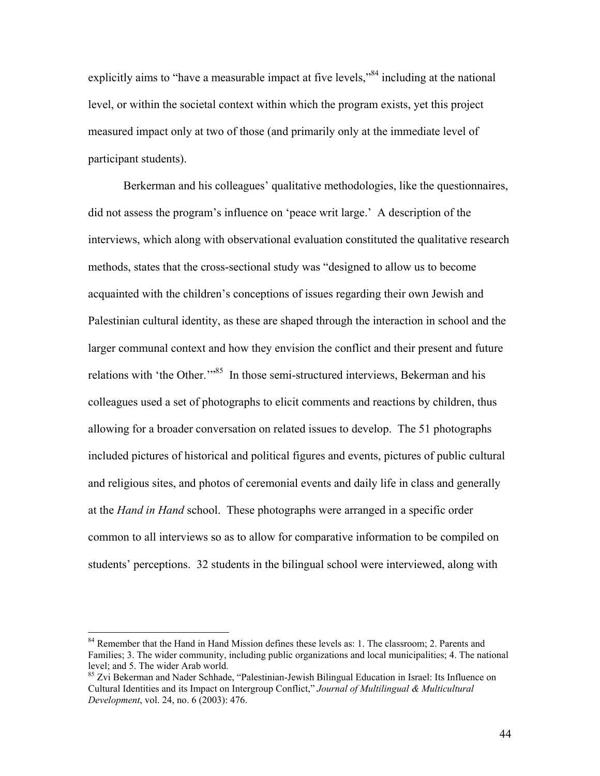explicitly aims to "have a measurable impact at five levels,"<sup>84</sup> including at the national level, or within the societal context within which the program exists, yet this project measured impact only at two of those (and primarily only at the immediate level of participant students).

Berkerman and his colleagues' qualitative methodologies, like the questionnaires, did not assess the program's influence on 'peace writ large.' A description of the interviews, which along with observational evaluation constituted the qualitative research methods, states that the cross-sectional study was "designed to allow us to become acquainted with the children's conceptions of issues regarding their own Jewish and Palestinian cultural identity, as these are shaped through the interaction in school and the larger communal context and how they envision the conflict and their present and future relations with 'the Other.'"<sup>85</sup> In those semi-structured interviews, Bekerman and his colleagues used a set of photographs to elicit comments and reactions by children, thus allowing for a broader conversation on related issues to develop. The 51 photographs included pictures of historical and political figures and events, pictures of public cultural and religious sites, and photos of ceremonial events and daily life in class and generally at the *Hand in Hand* school. These photographs were arranged in a specific order common to all interviews so as to allow for comparative information to be compiled on students' perceptions. 32 students in the bilingual school were interviewed, along with

<sup>&</sup>lt;sup>84</sup> Remember that the Hand in Hand Mission defines these levels as: 1. The classroom; 2. Parents and Families; 3. The wider community, including public organizations and local municipalities; 4. The national level; and 5. The wider Arab world.

<sup>&</sup>lt;sup>85</sup> Zvi Bekerman and Nader Schhade, "Palestinian-Jewish Bilingual Education in Israel: Its Influence on Cultural Identities and its Impact on Intergroup Conflict," *Journal of Multilingual & Multicultural Development*, vol. 24, no. 6 (2003): 476.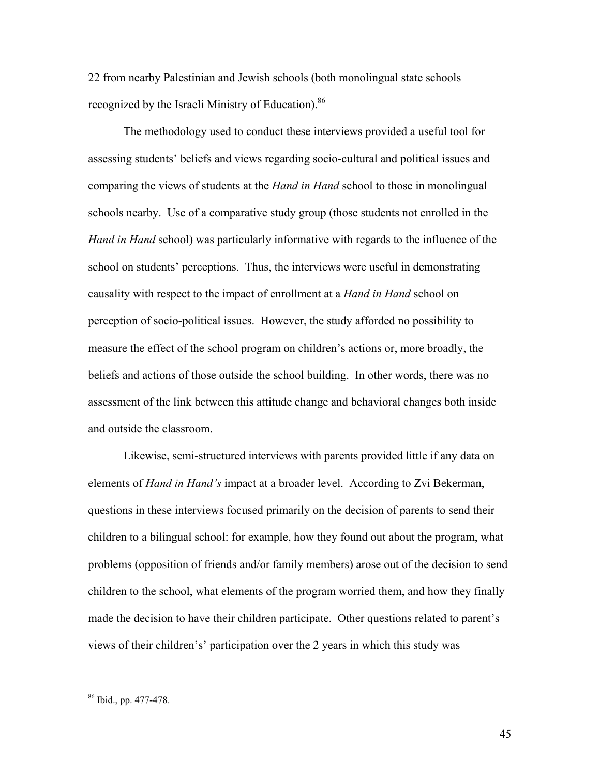22 from nearby Palestinian and Jewish schools (both monolingual state schools recognized by the Israeli Ministry of Education).<sup>86</sup>

The methodology used to conduct these interviews provided a useful tool for assessing students' beliefs and views regarding socio-cultural and political issues and comparing the views of students at the *Hand in Hand* school to those in monolingual schools nearby. Use of a comparative study group (those students not enrolled in the *Hand in Hand* school) was particularly informative with regards to the influence of the school on students' perceptions. Thus, the interviews were useful in demonstrating causality with respect to the impact of enrollment at a *Hand in Hand* school on perception of socio-political issues. However, the study afforded no possibility to measure the effect of the school program on children's actions or, more broadly, the beliefs and actions of those outside the school building. In other words, there was no assessment of the link between this attitude change and behavioral changes both inside and outside the classroom.

Likewise, semi-structured interviews with parents provided little if any data on elements of *Hand in Hand's* impact at a broader level. According to Zvi Bekerman, questions in these interviews focused primarily on the decision of parents to send their children to a bilingual school: for example, how they found out about the program, what problems (opposition of friends and/or family members) arose out of the decision to send children to the school, what elements of the program worried them, and how they finally made the decision to have their children participate. Other questions related to parent's views of their children's' participation over the 2 years in which this study was

<sup>86</sup> Ibid., pp. 477-478.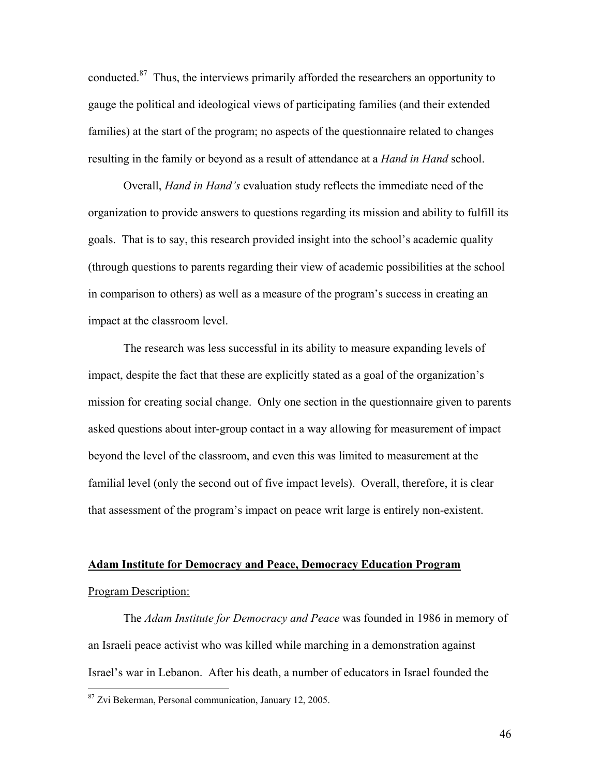conducted.87 Thus, the interviews primarily afforded the researchers an opportunity to gauge the political and ideological views of participating families (and their extended families) at the start of the program; no aspects of the questionnaire related to changes resulting in the family or beyond as a result of attendance at a *Hand in Hand* school.

Overall, *Hand in Hand's* evaluation study reflects the immediate need of the organization to provide answers to questions regarding its mission and ability to fulfill its goals. That is to say, this research provided insight into the school's academic quality (through questions to parents regarding their view of academic possibilities at the school in comparison to others) as well as a measure of the program's success in creating an impact at the classroom level.

The research was less successful in its ability to measure expanding levels of impact, despite the fact that these are explicitly stated as a goal of the organization's mission for creating social change. Only one section in the questionnaire given to parents asked questions about inter-group contact in a way allowing for measurement of impact beyond the level of the classroom, and even this was limited to measurement at the familial level (only the second out of five impact levels). Overall, therefore, it is clear that assessment of the program's impact on peace writ large is entirely non-existent.

# **Adam Institute for Democracy and Peace, Democracy Education Program** Program Description:

The *Adam Institute for Democracy and Peace* was founded in 1986 in memory of an Israeli peace activist who was killed while marching in a demonstration against Israel's war in Lebanon. After his death, a number of educators in Israel founded the

<sup>87</sup> Zvi Bekerman, Personal communication, January 12, 2005.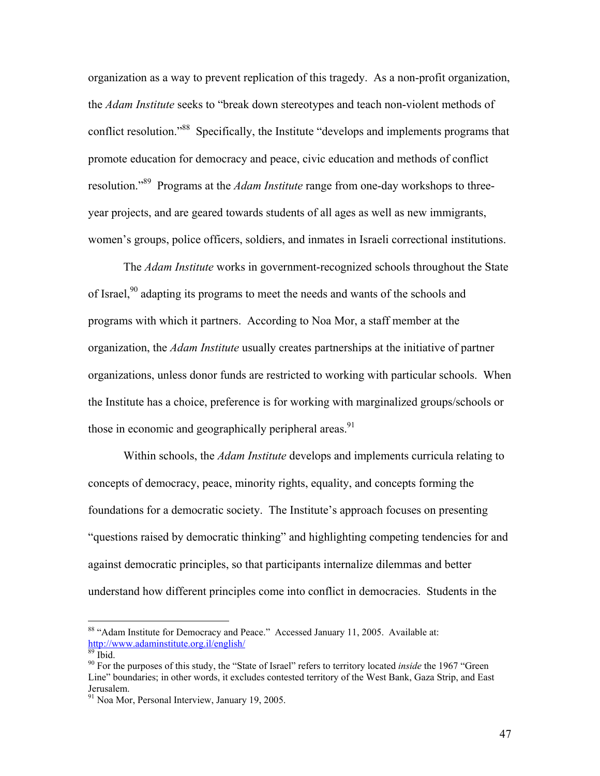organization as a way to prevent replication of this tragedy. As a non-profit organization, the *Adam Institute* seeks to "break down stereotypes and teach non-violent methods of conflict resolution."<sup>88</sup> Specifically, the Institute "develops and implements programs that promote education for democracy and peace, civic education and methods of conflict resolution."89 Programs at the *Adam Institute* range from one-day workshops to threeyear projects, and are geared towards students of all ages as well as new immigrants, women's groups, police officers, soldiers, and inmates in Israeli correctional institutions.

The *Adam Institute* works in government-recognized schools throughout the State of Israel,<sup>90</sup> adapting its programs to meet the needs and wants of the schools and programs with which it partners. According to Noa Mor, a staff member at the organization, the *Adam Institute* usually creates partnerships at the initiative of partner organizations, unless donor funds are restricted to working with particular schools. When the Institute has a choice, preference is for working with marginalized groups/schools or those in economic and geographically peripheral areas.<sup>91</sup>

Within schools, the *Adam Institute* develops and implements curricula relating to concepts of democracy, peace, minority rights, equality, and concepts forming the foundations for a democratic society. The Institute's approach focuses on presenting "questions raised by democratic thinking" and highlighting competing tendencies for and against democratic principles, so that participants internalize dilemmas and better understand how different principles come into conflict in democracies. Students in the

<sup>&</sup>lt;sup>88</sup> "Adam Institute for Democracy and Peace." Accessed January 11, 2005. Available at: http://www.adaminstitute.org.il/english/

 $89$  Ibid.

<sup>90</sup> For the purposes of this study, the "State of Israel" refers to territory located *inside* the 1967 "Green Line" boundaries; in other words, it excludes contested territory of the West Bank, Gaza Strip, and East Jerusalem.

<sup>91</sup> Noa Mor, Personal Interview, January 19, 2005.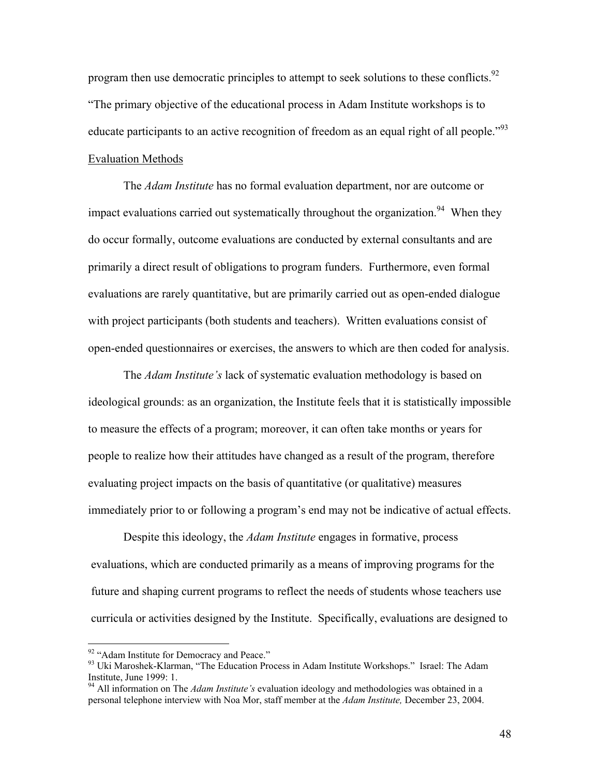program then use democratic principles to attempt to seek solutions to these conflicts.<sup>92</sup> "The primary objective of the educational process in Adam Institute workshops is to educate participants to an active recognition of freedom as an equal right of all people.<sup>"93</sup> Evaluation Methods

The *Adam Institute* has no formal evaluation department, nor are outcome or impact evaluations carried out systematically throughout the organization.<sup>94</sup> When they do occur formally, outcome evaluations are conducted by external consultants and are primarily a direct result of obligations to program funders. Furthermore, even formal evaluations are rarely quantitative, but are primarily carried out as open-ended dialogue with project participants (both students and teachers). Written evaluations consist of open-ended questionnaires or exercises, the answers to which are then coded for analysis.

The *Adam Institute's* lack of systematic evaluation methodology is based on ideological grounds: as an organization, the Institute feels that it is statistically impossible to measure the effects of a program; moreover, it can often take months or years for people to realize how their attitudes have changed as a result of the program, therefore evaluating project impacts on the basis of quantitative (or qualitative) measures immediately prior to or following a program's end may not be indicative of actual effects.

Despite this ideology, the *Adam Institute* engages in formative, process evaluations, which are conducted primarily as a means of improving programs for the future and shaping current programs to reflect the needs of students whose teachers use curricula or activities designed by the Institute. Specifically, evaluations are designed to

<sup>&</sup>lt;sup>92</sup> "Adam Institute for Democracy and Peace."

<sup>&</sup>lt;sup>93</sup> Uki Maroshek-Klarman, "The Education Process in Adam Institute Workshops." Israel: The Adam Institute, June 1999: 1.

<sup>94</sup> All information on The *Adam Institute's* evaluation ideology and methodologies was obtained in a personal telephone interview with Noa Mor, staff member at the *Adam Institute,* December 23, 2004.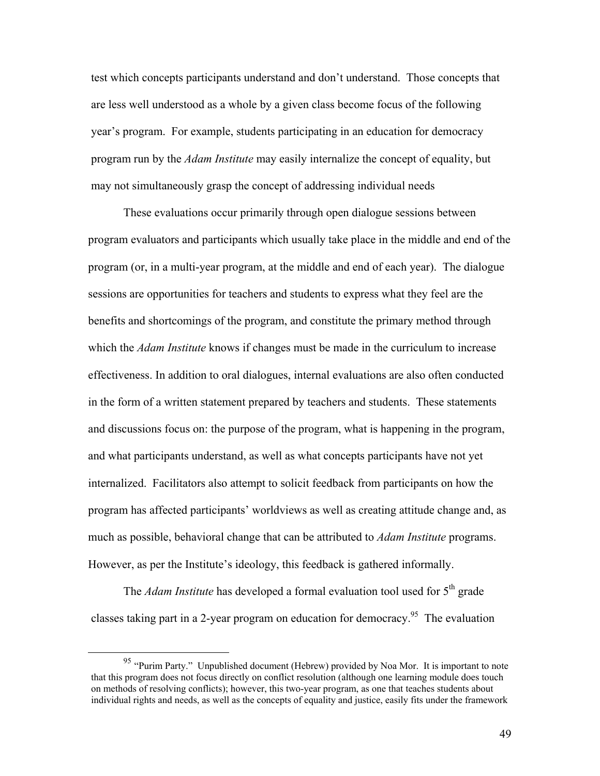test which concepts participants understand and don't understand. Those concepts that are less well understood as a whole by a given class become focus of the following year's program. For example, students participating in an education for democracy program run by the *Adam Institute* may easily internalize the concept of equality, but may not simultaneously grasp the concept of addressing individual needs

These evaluations occur primarily through open dialogue sessions between program evaluators and participants which usually take place in the middle and end of the program (or, in a multi-year program, at the middle and end of each year). The dialogue sessions are opportunities for teachers and students to express what they feel are the benefits and shortcomings of the program, and constitute the primary method through which the *Adam Institute* knows if changes must be made in the curriculum to increase effectiveness. In addition to oral dialogues, internal evaluations are also often conducted in the form of a written statement prepared by teachers and students. These statements and discussions focus on: the purpose of the program, what is happening in the program, and what participants understand, as well as what concepts participants have not yet internalized. Facilitators also attempt to solicit feedback from participants on how the program has affected participants' worldviews as well as creating attitude change and, as much as possible, behavioral change that can be attributed to *Adam Institute* programs. However, as per the Institute's ideology, this feedback is gathered informally.

The *Adam Institute* has developed a formal evaluation tool used for 5<sup>th</sup> grade classes taking part in a 2-year program on education for democracy.<sup>95</sup> The evaluation

<sup>95 &</sup>quot;Purim Party." Unpublished document (Hebrew) provided by Noa Mor. It is important to note that this program does not focus directly on conflict resolution (although one learning module does touch on methods of resolving conflicts); however, this two-year program, as one that teaches students about individual rights and needs, as well as the concepts of equality and justice, easily fits under the framework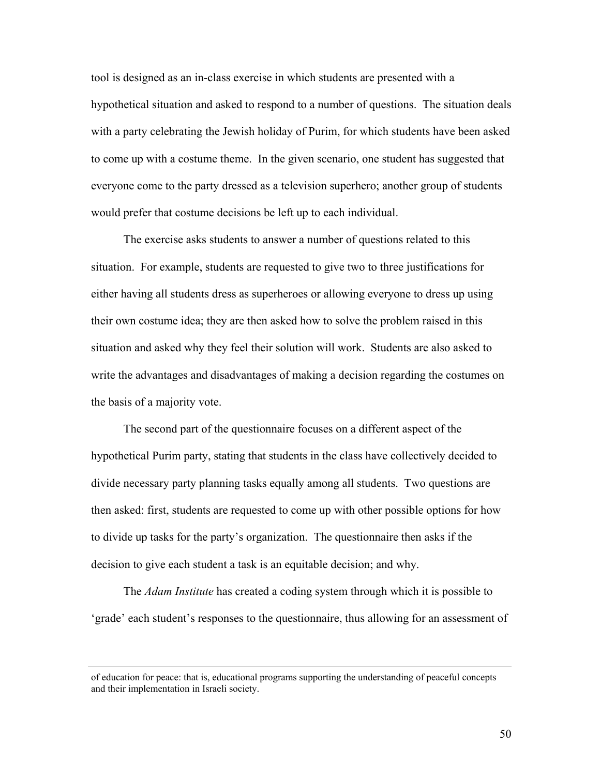tool is designed as an in-class exercise in which students are presented with a hypothetical situation and asked to respond to a number of questions. The situation deals with a party celebrating the Jewish holiday of Purim, for which students have been asked to come up with a costume theme. In the given scenario, one student has suggested that everyone come to the party dressed as a television superhero; another group of students would prefer that costume decisions be left up to each individual.

The exercise asks students to answer a number of questions related to this situation. For example, students are requested to give two to three justifications for either having all students dress as superheroes or allowing everyone to dress up using their own costume idea; they are then asked how to solve the problem raised in this situation and asked why they feel their solution will work. Students are also asked to write the advantages and disadvantages of making a decision regarding the costumes on the basis of a majority vote.

The second part of the questionnaire focuses on a different aspect of the hypothetical Purim party, stating that students in the class have collectively decided to divide necessary party planning tasks equally among all students. Two questions are then asked: first, students are requested to come up with other possible options for how to divide up tasks for the party's organization. The questionnaire then asks if the decision to give each student a task is an equitable decision; and why.

The *Adam Institute* has created a coding system through which it is possible to 'grade' each student's responses to the questionnaire, thus allowing for an assessment of

of education for peace: that is, educational programs supporting the understanding of peaceful concepts and their implementation in Israeli society.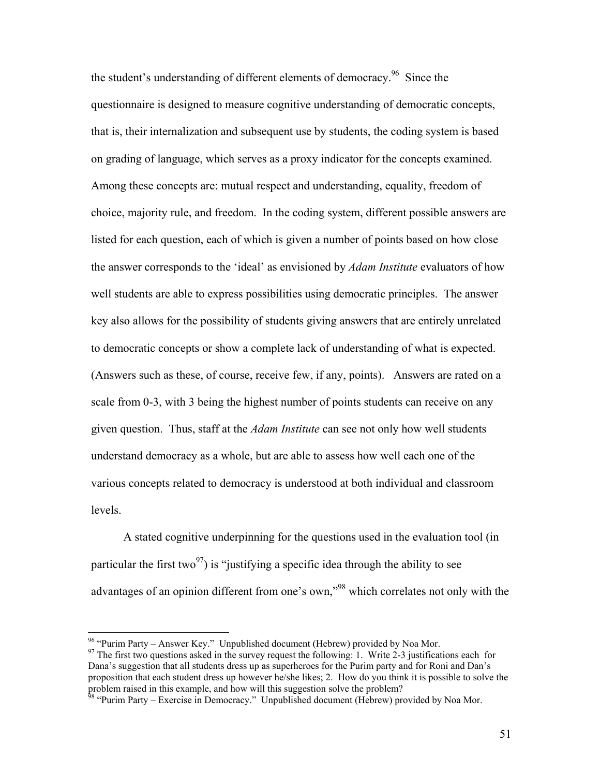the student's understanding of different elements of democracy.<sup>96</sup> Since the questionnaire is designed to measure cognitive understanding of democratic concepts, that is, their internalization and subsequent use by students, the coding system is based on grading of language, which serves as a proxy indicator for the concepts examined. Among these concepts are: mutual respect and understanding, equality, freedom of choice, majority rule, and freedom. In the coding system, different possible answers are listed for each question, each of which is given a number of points based on how close the answer corresponds to the 'ideal' as envisioned by *Adam Institute* evaluators of how well students are able to express possibilities using democratic principles. The answer key also allows for the possibility of students giving answers that are entirely unrelated to democratic concepts or show a complete lack of understanding of what is expected. (Answers such as these, of course, receive few, if any, points). Answers are rated on a scale from 0-3, with 3 being the highest number of points students can receive on any given question. Thus, staff at the *Adam Institute* can see not only how well students understand democracy as a whole, but are able to assess how well each one of the various concepts related to democracy is understood at both individual and classroom levels.

A stated cognitive underpinning for the questions used in the evaluation tool (in particular the first two<sup>97</sup>) is "justifying a specific idea through the ability to see advantages of an opinion different from one's own,"98 which correlates not only with the

 $96$  "Purim Party – Answer Key." Unpublished document (Hebrew) provided by Noa Mor.

 $97$  The first two questions asked in the survey request the following: 1. Write 2-3 justifications each for Dana's suggestion that all students dress up as superheroes for the Purim party and for Roni and Dan's proposition that each student dress up however he/she likes; 2. How do you think it is possible to solve the problem raised in this example, and how will this suggestion solve the problem?

<sup>&</sup>lt;sup>98</sup> "Purim Party – Exercise in Democracy." Unpublished document (Hebrew) provided by Noa Mor.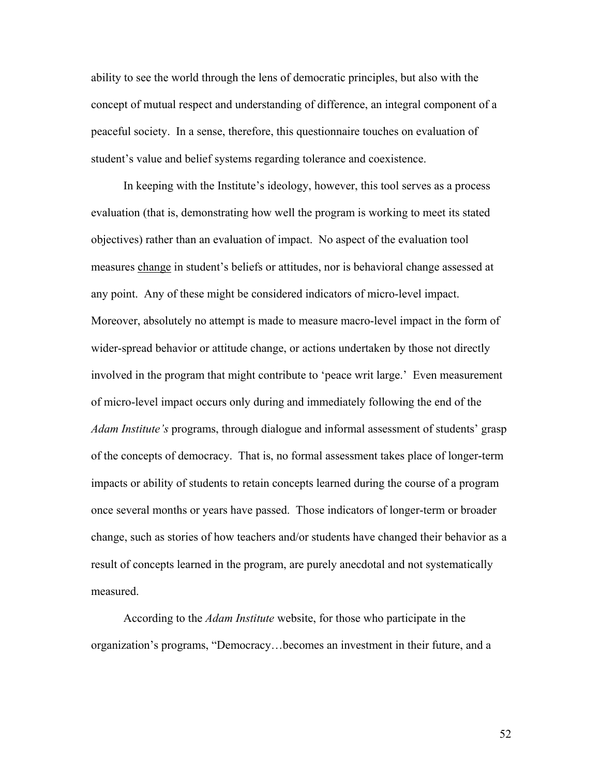ability to see the world through the lens of democratic principles, but also with the concept of mutual respect and understanding of difference, an integral component of a peaceful society. In a sense, therefore, this questionnaire touches on evaluation of student's value and belief systems regarding tolerance and coexistence.

In keeping with the Institute's ideology, however, this tool serves as a process evaluation (that is, demonstrating how well the program is working to meet its stated objectives) rather than an evaluation of impact. No aspect of the evaluation tool measures change in student's beliefs or attitudes, nor is behavioral change assessed at any point. Any of these might be considered indicators of micro-level impact. Moreover, absolutely no attempt is made to measure macro-level impact in the form of wider-spread behavior or attitude change, or actions undertaken by those not directly involved in the program that might contribute to 'peace writ large.' Even measurement of micro-level impact occurs only during and immediately following the end of the *Adam Institute's* programs, through dialogue and informal assessment of students' grasp of the concepts of democracy. That is, no formal assessment takes place of longer-term impacts or ability of students to retain concepts learned during the course of a program once several months or years have passed. Those indicators of longer-term or broader change, such as stories of how teachers and/or students have changed their behavior as a result of concepts learned in the program, are purely anecdotal and not systematically measured.

According to the *Adam Institute* website, for those who participate in the organization's programs, "Democracy…becomes an investment in their future, and a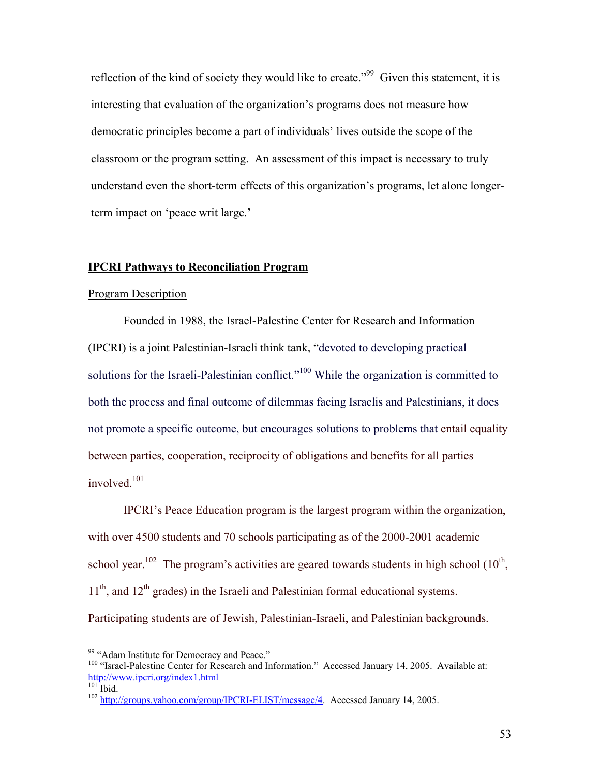reflection of the kind of society they would like to create."99 Given this statement, it is interesting that evaluation of the organization's programs does not measure how democratic principles become a part of individuals' lives outside the scope of the classroom or the program setting. An assessment of this impact is necessary to truly understand even the short-term effects of this organization's programs, let alone longerterm impact on 'peace writ large.'

## **IPCRI Pathways to Reconciliation Program**

#### Program Description

Founded in 1988, the Israel-Palestine Center for Research and Information (IPCRI) is a joint Palestinian-Israeli think tank, "devoted to developing practical solutions for the Israeli-Palestinian conflict."<sup>100</sup> While the organization is committed to both the process and final outcome of dilemmas facing Israelis and Palestinians, it does not promote a specific outcome, but encourages solutions to problems that entail equality between parties, cooperation, reciprocity of obligations and benefits for all parties involved.<sup>101</sup>

IPCRI's Peace Education program is the largest program within the organization, with over 4500 students and 70 schools participating as of the 2000-2001 academic school year.<sup>102</sup> The program's activities are geared towards students in high school  $(10<sup>th</sup>)$ ,  $11<sup>th</sup>$ , and  $12<sup>th</sup>$  grades) in the Israeli and Palestinian formal educational systems. Participating students are of Jewish, Palestinian-Israeli, and Palestinian backgrounds.

<sup>&</sup>lt;sup>99</sup> "Adam Institute for Democracy and Peace."

<sup>&</sup>lt;sup>100</sup> "Israel-Palestine Center for Research and Information." Accessed January 14, 2005. Available at: http://www.ipcri.org/index1.html

<sup>&</sup>lt;sup>102</sup> http://groups.yahoo.com/group/IPCRI-ELIST/message/4. Accessed January 14, 2005.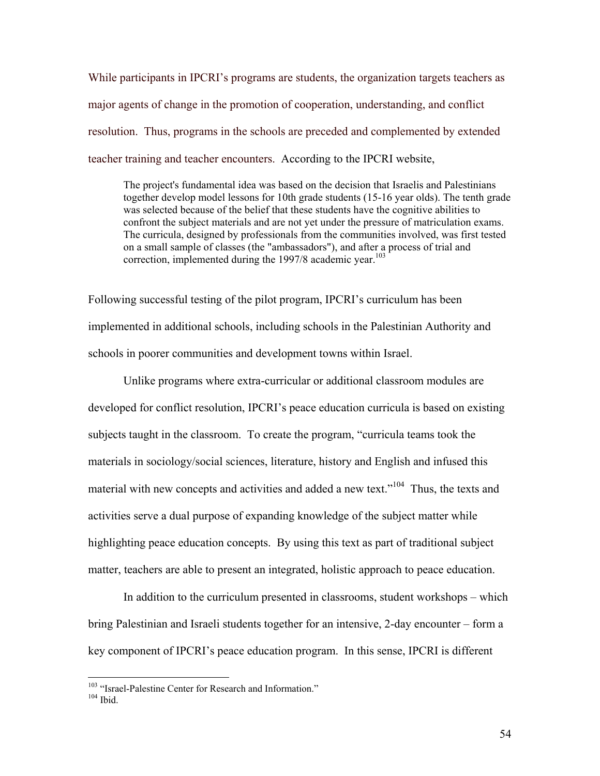While participants in IPCRI's programs are students, the organization targets teachers as major agents of change in the promotion of cooperation, understanding, and conflict resolution. Thus, programs in the schools are preceded and complemented by extended teacher training and teacher encounters. According to the IPCRI website,

The project's fundamental idea was based on the decision that Israelis and Palestinians together develop model lessons for 10th grade students (15-16 year olds). The tenth grade was selected because of the belief that these students have the cognitive abilities to confront the subject materials and are not yet under the pressure of matriculation exams. The curricula, designed by professionals from the communities involved, was first tested on a small sample of classes (the "ambassadors"), and after a process of trial and correction, implemented during the 1997/8 academic year.<sup>103</sup>

Following successful testing of the pilot program, IPCRI's curriculum has been implemented in additional schools, including schools in the Palestinian Authority and schools in poorer communities and development towns within Israel.

Unlike programs where extra-curricular or additional classroom modules are developed for conflict resolution, IPCRI's peace education curricula is based on existing subjects taught in the classroom. To create the program, "curricula teams took the materials in sociology/social sciences, literature, history and English and infused this material with new concepts and activities and added a new text."<sup>104</sup> Thus, the texts and activities serve a dual purpose of expanding knowledge of the subject matter while highlighting peace education concepts. By using this text as part of traditional subject matter, teachers are able to present an integrated, holistic approach to peace education.

In addition to the curriculum presented in classrooms, student workshops – which bring Palestinian and Israeli students together for an intensive, 2-day encounter – form a key component of IPCRI's peace education program. In this sense, IPCRI is different

<sup>&</sup>lt;sup>103</sup> "Israel-Palestine Center for Research and Information."<br><sup>104</sup> Ibid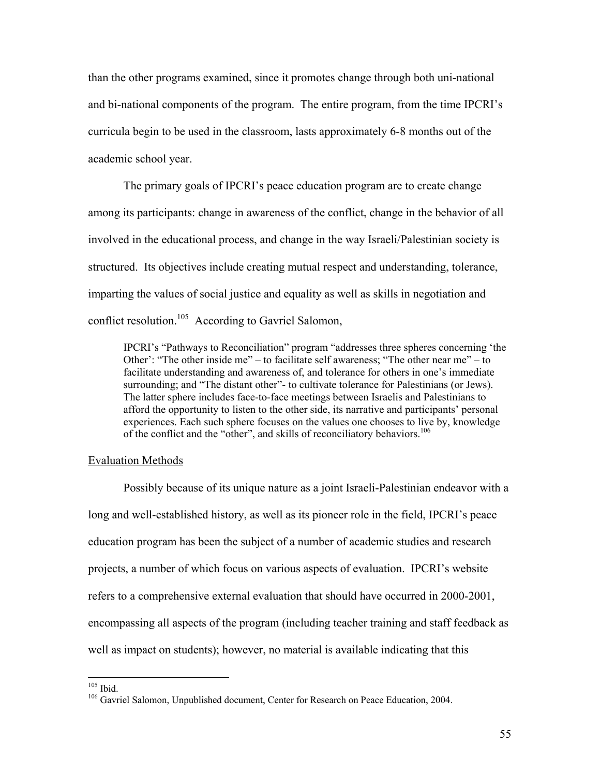than the other programs examined, since it promotes change through both uni-national and bi-national components of the program. The entire program, from the time IPCRI's curricula begin to be used in the classroom, lasts approximately 6-8 months out of the academic school year.

 The primary goals of IPCRI's peace education program are to create change among its participants: change in awareness of the conflict, change in the behavior of all involved in the educational process, and change in the way Israeli/Palestinian society is structured. Its objectives include creating mutual respect and understanding, tolerance, imparting the values of social justice and equality as well as skills in negotiation and conflict resolution.105 According to Gavriel Salomon,

IPCRI's "Pathways to Reconciliation" program "addresses three spheres concerning 'the Other': "The other inside me" – to facilitate self awareness; "The other near me" – to facilitate understanding and awareness of, and tolerance for others in one's immediate surrounding; and "The distant other"- to cultivate tolerance for Palestinians (or Jews). The latter sphere includes face-to-face meetings between Israelis and Palestinians to afford the opportunity to listen to the other side, its narrative and participants' personal experiences. Each such sphere focuses on the values one chooses to live by, knowledge of the conflict and the "other", and skills of reconciliatory behaviors.<sup>106</sup>

#### Evaluation Methods

Possibly because of its unique nature as a joint Israeli-Palestinian endeavor with a long and well-established history, as well as its pioneer role in the field, IPCRI's peace education program has been the subject of a number of academic studies and research projects, a number of which focus on various aspects of evaluation. IPCRI's website refers to a comprehensive external evaluation that should have occurred in 2000-2001, encompassing all aspects of the program (including teacher training and staff feedback as well as impact on students); however, no material is available indicating that this

 $105$  Ibid.

<sup>&</sup>lt;sup>106</sup> Gavriel Salomon, Unpublished document, Center for Research on Peace Education, 2004.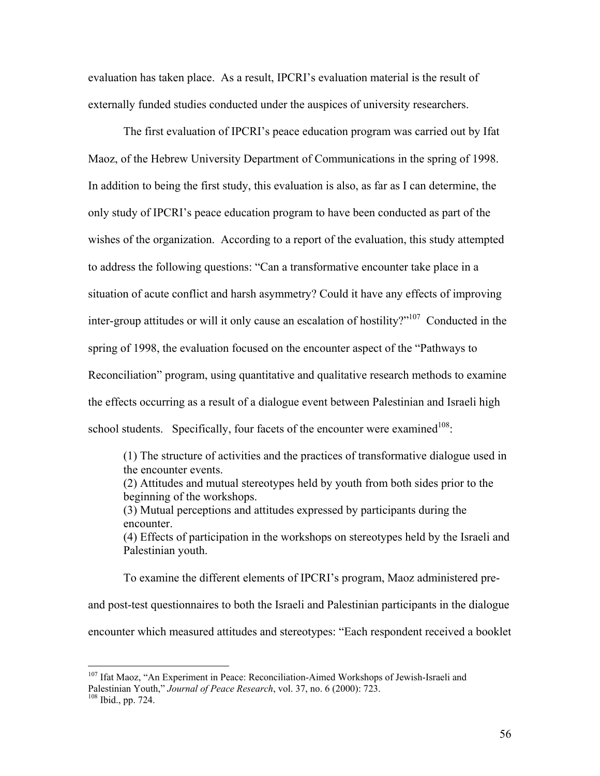evaluation has taken place. As a result, IPCRI's evaluation material is the result of externally funded studies conducted under the auspices of university researchers.

The first evaluation of IPCRI's peace education program was carried out by Ifat Maoz, of the Hebrew University Department of Communications in the spring of 1998. In addition to being the first study, this evaluation is also, as far as I can determine, the only study of IPCRI's peace education program to have been conducted as part of the wishes of the organization. According to a report of the evaluation, this study attempted to address the following questions: "Can a transformative encounter take place in a situation of acute conflict and harsh asymmetry? Could it have any effects of improving inter-group attitudes or will it only cause an escalation of hostility?"107 Conducted in the spring of 1998, the evaluation focused on the encounter aspect of the "Pathways to Reconciliation" program, using quantitative and qualitative research methods to examine the effects occurring as a result of a dialogue event between Palestinian and Israeli high school students. Specifically, four facets of the encounter were examined<sup>108</sup>:

(1) The structure of activities and the practices of transformative dialogue used in the encounter events. (2) Attitudes and mutual stereotypes held by youth from both sides prior to the beginning of the workshops. (3) Mutual perceptions and attitudes expressed by participants during the encounter. (4) Effects of participation in the workshops on stereotypes held by the Israeli and Palestinian youth. To examine the different elements of IPCRI's program, Maoz administered pre-

and post-test questionnaires to both the Israeli and Palestinian participants in the dialogue encounter which measured attitudes and stereotypes: "Each respondent received a booklet

<sup>&</sup>lt;sup>107</sup> Ifat Maoz, "An Experiment in Peace: Reconciliation-Aimed Workshops of Jewish-Israeli and Palestinian Youth," *Journal of Peace Research*, vol. 37, no. 6 (2000): 723.<br><sup>108</sup> Ibid., pp. 724.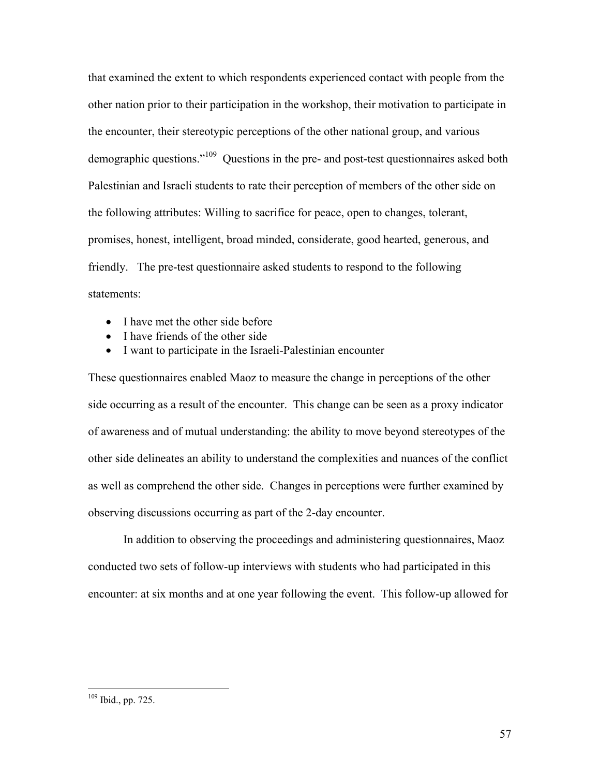that examined the extent to which respondents experienced contact with people from the other nation prior to their participation in the workshop, their motivation to participate in the encounter, their stereotypic perceptions of the other national group, and various demographic questions."109 Questions in the pre- and post-test questionnaires asked both Palestinian and Israeli students to rate their perception of members of the other side on the following attributes: Willing to sacrifice for peace, open to changes, tolerant, promises, honest, intelligent, broad minded, considerate, good hearted, generous, and friendly. The pre-test questionnaire asked students to respond to the following statements:

- I have met the other side before
- I have friends of the other side
- I want to participate in the Israeli-Palestinian encounter

These questionnaires enabled Maoz to measure the change in perceptions of the other side occurring as a result of the encounter. This change can be seen as a proxy indicator of awareness and of mutual understanding: the ability to move beyond stereotypes of the other side delineates an ability to understand the complexities and nuances of the conflict as well as comprehend the other side. Changes in perceptions were further examined by observing discussions occurring as part of the 2-day encounter.

 In addition to observing the proceedings and administering questionnaires, Maoz conducted two sets of follow-up interviews with students who had participated in this encounter: at six months and at one year following the event. This follow-up allowed for

<u>.</u>

<sup>109</sup> Ibid., pp. 725.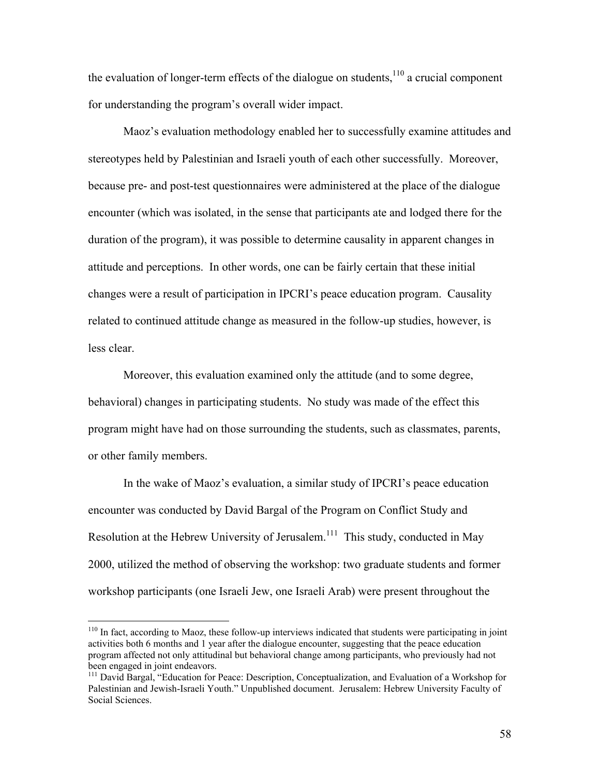the evaluation of longer-term effects of the dialogue on students, $110$  a crucial component for understanding the program's overall wider impact.

 Maoz's evaluation methodology enabled her to successfully examine attitudes and stereotypes held by Palestinian and Israeli youth of each other successfully. Moreover, because pre- and post-test questionnaires were administered at the place of the dialogue encounter (which was isolated, in the sense that participants ate and lodged there for the duration of the program), it was possible to determine causality in apparent changes in attitude and perceptions. In other words, one can be fairly certain that these initial changes were a result of participation in IPCRI's peace education program. Causality related to continued attitude change as measured in the follow-up studies, however, is less clear.

 Moreover, this evaluation examined only the attitude (and to some degree, behavioral) changes in participating students. No study was made of the effect this program might have had on those surrounding the students, such as classmates, parents, or other family members.

 In the wake of Maoz's evaluation, a similar study of IPCRI's peace education encounter was conducted by David Bargal of the Program on Conflict Study and Resolution at the Hebrew University of Jerusalem.<sup>111</sup> This study, conducted in May 2000, utilized the method of observing the workshop: two graduate students and former workshop participants (one Israeli Jew, one Israeli Arab) were present throughout the

<u>.</u>

 $110$  In fact, according to Maoz, these follow-up interviews indicated that students were participating in joint activities both 6 months and 1 year after the dialogue encounter, suggesting that the peace education program affected not only attitudinal but behavioral change among participants, who previously had not been engaged in joint endeavors.

<sup>&</sup>lt;sup>111</sup> David Bargal, "Education for Peace: Description, Conceptualization, and Evaluation of a Workshop for Palestinian and Jewish-Israeli Youth." Unpublished document. Jerusalem: Hebrew University Faculty of Social Sciences.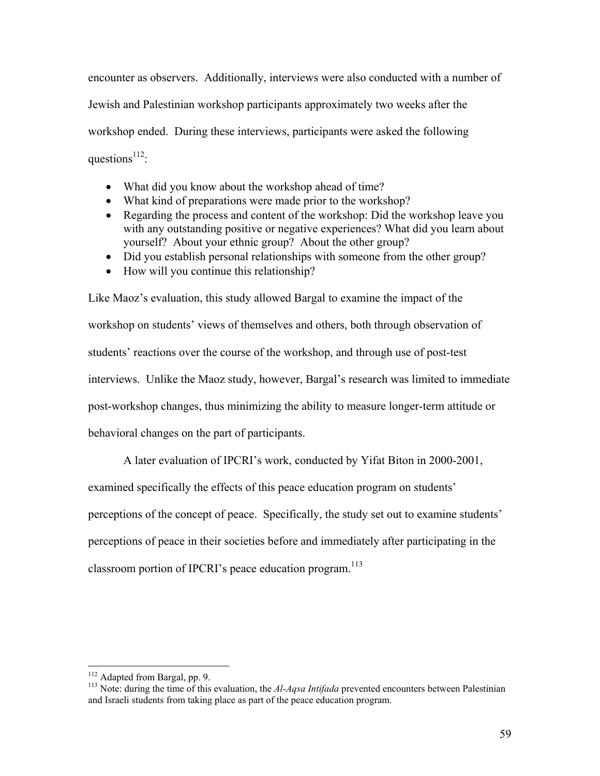encounter as observers. Additionally, interviews were also conducted with a number of Jewish and Palestinian workshop participants approximately two weeks after the workshop ended. During these interviews, participants were asked the following questions<sup> $112$ </sup>:

- What did you know about the workshop ahead of time?
- What kind of preparations were made prior to the workshop?
- Regarding the process and content of the workshop: Did the workshop leave you with any outstanding positive or negative experiences? What did you learn about yourself? About your ethnic group? About the other group?
- Did you establish personal relationships with someone from the other group?
- How will you continue this relationship?

Like Maoz's evaluation, this study allowed Bargal to examine the impact of the workshop on students' views of themselves and others, both through observation of students' reactions over the course of the workshop, and through use of post-test interviews. Unlike the Maoz study, however, Bargal's research was limited to immediate post-workshop changes, thus minimizing the ability to measure longer-term attitude or behavioral changes on the part of participants.

A later evaluation of IPCRI's work, conducted by Yifat Biton in 2000-2001, examined specifically the effects of this peace education program on students' perceptions of the concept of peace. Specifically, the study set out to examine students' perceptions of peace in their societies before and immediately after participating in the classroom portion of IPCRI's peace education program.<sup>113</sup>

<sup>&</sup>lt;sup>112</sup> Adapted from Bargal, pp. 9.

<sup>&</sup>lt;sup>113</sup> Note: during the time of this evaluation, the  $A1-Aqsa$  *Intifada* prevented encounters between Palestinian and Israeli students from taking place as part of the peace education program.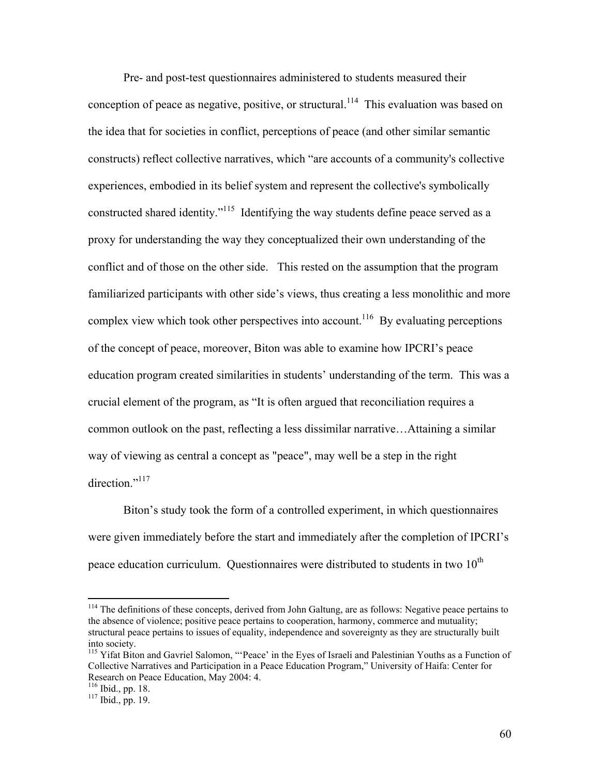Pre- and post-test questionnaires administered to students measured their conception of peace as negative, positive, or structural.<sup>114</sup> This evaluation was based on the idea that for societies in conflict, perceptions of peace (and other similar semantic constructs) reflect collective narratives, which "are accounts of a community's collective experiences, embodied in its belief system and represent the collective's symbolically constructed shared identity."115 Identifying the way students define peace served as a proxy for understanding the way they conceptualized their own understanding of the conflict and of those on the other side. This rested on the assumption that the program familiarized participants with other side's views, thus creating a less monolithic and more complex view which took other perspectives into account.<sup>116</sup> By evaluating perceptions of the concept of peace, moreover, Biton was able to examine how IPCRI's peace education program created similarities in students' understanding of the term. This was a crucial element of the program, as "It is often argued that reconciliation requires a common outlook on the past, reflecting a less dissimilar narrative…Attaining a similar way of viewing as central a concept as "peace", may well be a step in the right direction."<sup>117</sup>

Biton's study took the form of a controlled experiment, in which questionnaires were given immediately before the start and immediately after the completion of IPCRI's peace education curriculum. Questionnaires were distributed to students in two  $10^{th}$ 

<sup>&</sup>lt;sup>114</sup> The definitions of these concepts, derived from John Galtung, are as follows: Negative peace pertains to the absence of violence; positive peace pertains to cooperation, harmony, commerce and mutuality; structural peace pertains to issues of equality, independence and sovereignty as they are structurally built into society.

<sup>&</sup>lt;sup>115</sup> Yifat Biton and Gavriel Salomon, "'Peace' in the Eyes of Israeli and Palestinian Youths as a Function of Collective Narratives and Participation in a Peace Education Program," University of Haifa: Center for Research on Peace Education, May 2004: 4.

<sup>&</sup>lt;sup>116</sup> Ibid., pp. 18.<br><sup>117</sup> Ibid., pp. 19.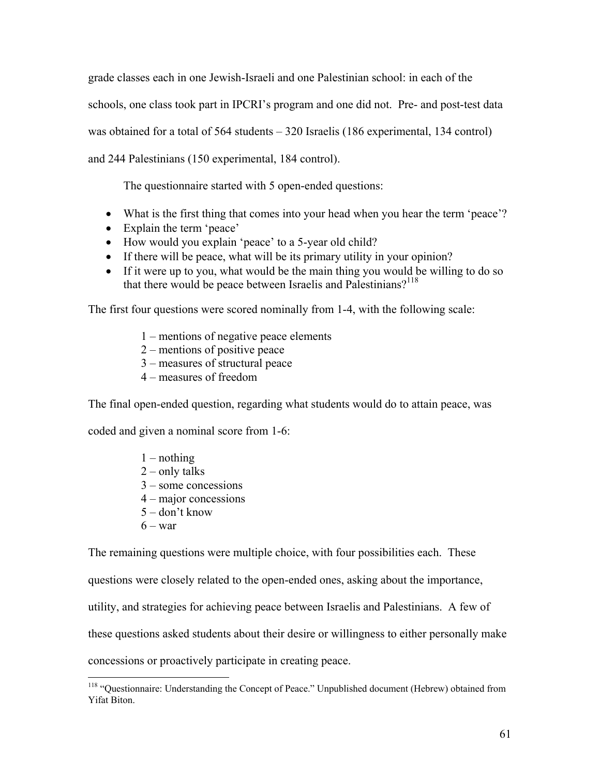grade classes each in one Jewish-Israeli and one Palestinian school: in each of the schools, one class took part in IPCRI's program and one did not. Pre- and post-test data was obtained for a total of 564 students – 320 Israelis (186 experimental, 134 control) and 244 Palestinians (150 experimental, 184 control).

The questionnaire started with 5 open-ended questions:

- What is the first thing that comes into your head when you hear the term 'peace'?
- Explain the term 'peace'
- How would you explain 'peace' to a 5-year old child?
- If there will be peace, what will be its primary utility in your opinion?
- If it were up to you, what would be the main thing you would be willing to do so that there would be peace between Israelis and Palestinians?<sup>118</sup>

The first four questions were scored nominally from 1-4, with the following scale:

- 1 mentions of negative peace elements
- 2 mentions of positive peace
- 3 measures of structural peace
- 4 measures of freedom

The final open-ended question, regarding what students would do to attain peace, was

coded and given a nominal score from 1-6:

- $1$  nothing
- $2$  only talks
- 3 some concessions
- 4 major concessions
- 5 don't know
- $6 \text{war}$

 $\overline{a}$ 

The remaining questions were multiple choice, with four possibilities each. These

questions were closely related to the open-ended ones, asking about the importance,

utility, and strategies for achieving peace between Israelis and Palestinians. A few of

these questions asked students about their desire or willingness to either personally make

concessions or proactively participate in creating peace.

<sup>&</sup>lt;sup>118</sup> "Questionnaire: Understanding the Concept of Peace." Unpublished document (Hebrew) obtained from Yifat Biton.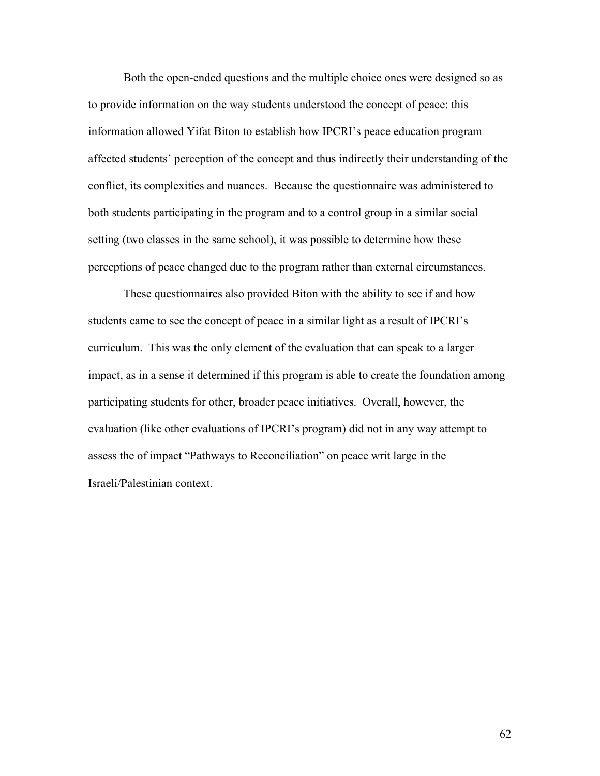Both the open-ended questions and the multiple choice ones were designed so as to provide information on the way students understood the concept of peace: this information allowed Yifat Biton to establish how IPCRI's peace education program affected students' perception of the concept and thus indirectly their understanding of the conflict, its complexities and nuances. Because the questionnaire was administered to both students participating in the program and to a control group in a similar social setting (two classes in the same school), it was possible to determine how these perceptions of peace changed due to the program rather than external circumstances.

 These questionnaires also provided Biton with the ability to see if and how students came to see the concept of peace in a similar light as a result of IPCRI's curriculum. This was the only element of the evaluation that can speak to a larger impact, as in a sense it determined if this program is able to create the foundation among participating students for other, broader peace initiatives. Overall, however, the evaluation (like other evaluations of IPCRI's program) did not in any way attempt to assess the of impact "Pathways to Reconciliation" on peace writ large in the Israeli/Palestinian context.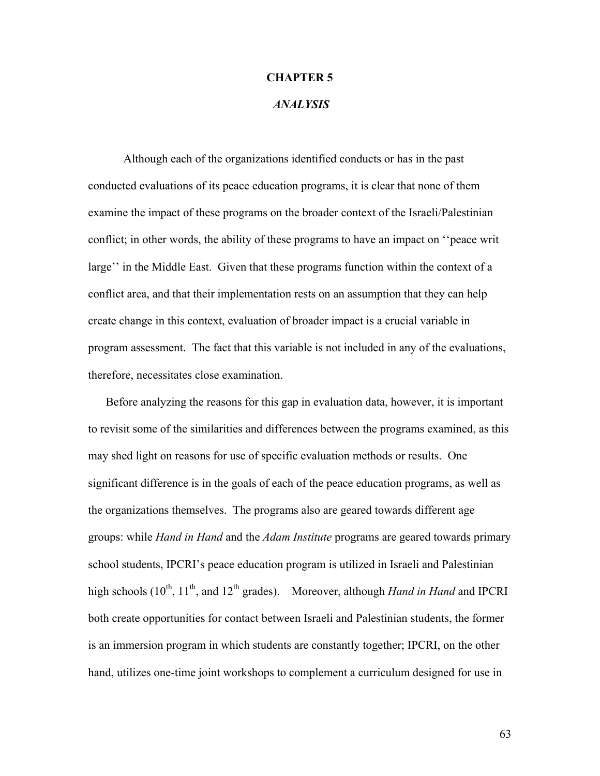#### **CHAPTER 5**

## *ANALYSIS*

Although each of the organizations identified conducts or has in the past conducted evaluations of its peace education programs, it is clear that none of them examine the impact of these programs on the broader context of the Israeli/Palestinian conflict; in other words, the ability of these programs to have an impact on ''peace writ large'' in the Middle East. Given that these programs function within the context of a conflict area, and that their implementation rests on an assumption that they can help create change in this context, evaluation of broader impact is a crucial variable in program assessment. The fact that this variable is not included in any of the evaluations, therefore, necessitates close examination.

Before analyzing the reasons for this gap in evaluation data, however, it is important to revisit some of the similarities and differences between the programs examined, as this may shed light on reasons for use of specific evaluation methods or results. One significant difference is in the goals of each of the peace education programs, as well as the organizations themselves. The programs also are geared towards different age groups: while *Hand in Hand* and the *Adam Institute* programs are geared towards primary school students, IPCRI's peace education program is utilized in Israeli and Palestinian high schools  $(10^{th}, 11^{th},$  and  $12^{th}$  grades). Moreover, although *Hand in Hand* and IPCRI both create opportunities for contact between Israeli and Palestinian students, the former is an immersion program in which students are constantly together; IPCRI, on the other hand, utilizes one-time joint workshops to complement a curriculum designed for use in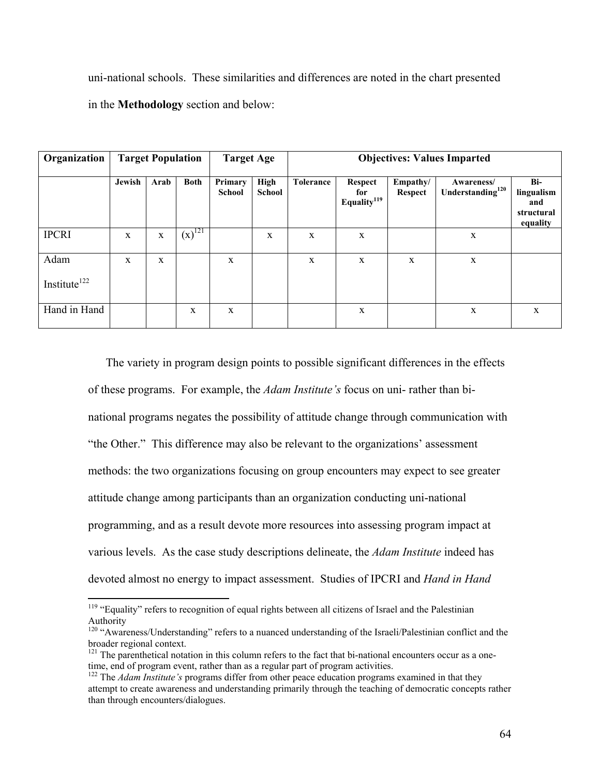uni-national schools. These similarities and differences are noted in the chart presented in the **Methodology** section and below:

| Organization                     | <b>Target Population</b> |              |             | <b>Target Age</b>        |                              | <b>Objectives: Values Imparted</b> |                                           |                            |                                            |                                                    |
|----------------------------------|--------------------------|--------------|-------------|--------------------------|------------------------------|------------------------------------|-------------------------------------------|----------------------------|--------------------------------------------|----------------------------------------------------|
|                                  | Jewish                   | Arab         | <b>Both</b> | Primary<br><b>School</b> | <b>High</b><br><b>School</b> | <b>Tolerance</b>                   | Respect<br>for<br>Equality <sup>119</sup> | Empathy/<br><b>Respect</b> | Awareness/<br>Understanding <sup>120</sup> | Bi-<br>lingualism<br>and<br>structural<br>equality |
| <b>IPCRI</b>                     | $\mathbf{x}$             | $\mathbf X$  | $(x)^{121}$ |                          | X                            | X                                  | X                                         |                            | $\mathbf X$                                |                                                    |
| Adam<br>Institute <sup>122</sup> | $\mathbf{x}$             | $\mathbf{x}$ |             | $\mathbf X$              |                              | X                                  | X                                         | X                          | $\mathbf X$                                |                                                    |
| Hand in Hand                     |                          |              | X           | X                        |                              |                                    | $\mathbf X$                               |                            | $\mathbf X$                                | $\mathbf X$                                        |

The variety in program design points to possible significant differences in the effects of these programs. For example, the *Adam Institute's* focus on uni- rather than binational programs negates the possibility of attitude change through communication with "the Other." This difference may also be relevant to the organizations' assessment methods: the two organizations focusing on group encounters may expect to see greater attitude change among participants than an organization conducting uni-national programming, and as a result devote more resources into assessing program impact at various levels. As the case study descriptions delineate, the *Adam Institute* indeed has devoted almost no energy to impact assessment. Studies of IPCRI and *Hand in Hand* 

<sup>&</sup>lt;sup>119</sup> "Equality" refers to recognition of equal rights between all citizens of Israel and the Palestinian Authority

<sup>&</sup>lt;sup>120</sup> "Awareness/Understanding" refers to a nuanced understanding of the Israeli/Palestinian conflict and the broader regional context.

<sup>&</sup>lt;sup>121</sup> The parenthetical notation in this column refers to the fact that bi-national encounters occur as a onetime, end of program event, rather than as a regular part of program activities.

<sup>&</sup>lt;sup>122</sup> The *Adam Institute's* programs differ from other peace education programs examined in that they attempt to create awareness and understanding primarily through the teaching of democratic concepts rather than through encounters/dialogues.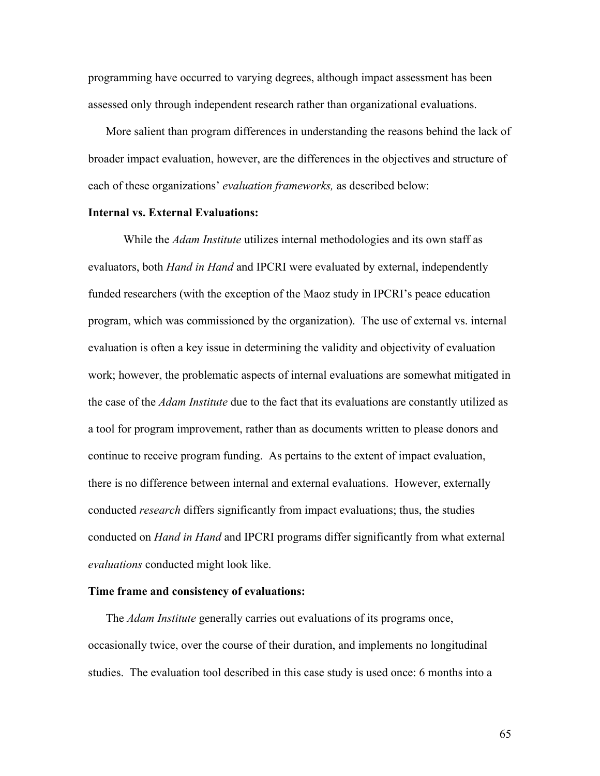programming have occurred to varying degrees, although impact assessment has been assessed only through independent research rather than organizational evaluations.

More salient than program differences in understanding the reasons behind the lack of broader impact evaluation, however, are the differences in the objectives and structure of each of these organizations' *evaluation frameworks,* as described below:

### **Internal vs. External Evaluations:**

While the *Adam Institute* utilizes internal methodologies and its own staff as evaluators, both *Hand in Hand* and IPCRI were evaluated by external, independently funded researchers (with the exception of the Maoz study in IPCRI's peace education program, which was commissioned by the organization). The use of external vs. internal evaluation is often a key issue in determining the validity and objectivity of evaluation work; however, the problematic aspects of internal evaluations are somewhat mitigated in the case of the *Adam Institute* due to the fact that its evaluations are constantly utilized as a tool for program improvement, rather than as documents written to please donors and continue to receive program funding. As pertains to the extent of impact evaluation, there is no difference between internal and external evaluations. However, externally conducted *research* differs significantly from impact evaluations; thus, the studies conducted on *Hand in Hand* and IPCRI programs differ significantly from what external *evaluations* conducted might look like.

## **Time frame and consistency of evaluations:**

The *Adam Institute* generally carries out evaluations of its programs once, occasionally twice, over the course of their duration, and implements no longitudinal studies. The evaluation tool described in this case study is used once: 6 months into a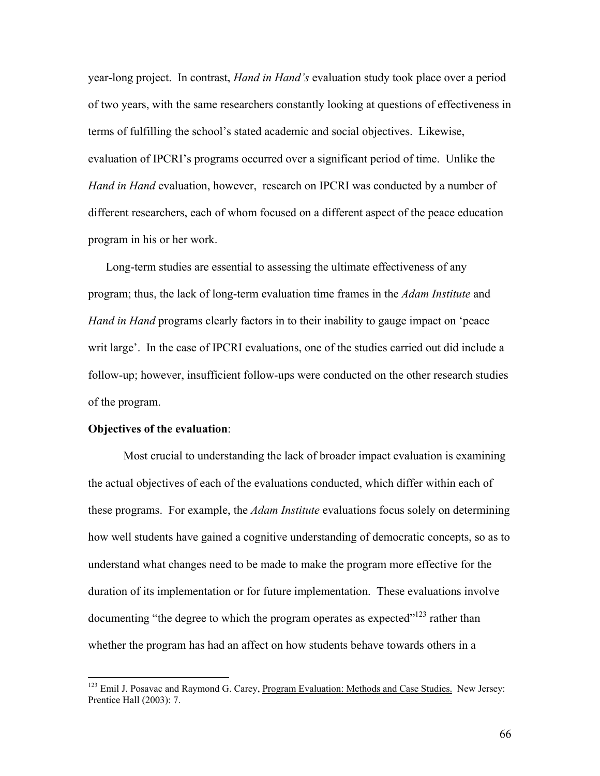year-long project. In contrast, *Hand in Hand's* evaluation study took place over a period of two years, with the same researchers constantly looking at questions of effectiveness in terms of fulfilling the school's stated academic and social objectives. Likewise, evaluation of IPCRI's programs occurred over a significant period of time. Unlike the *Hand in Hand* evaluation, however, research on IPCRI was conducted by a number of different researchers, each of whom focused on a different aspect of the peace education program in his or her work.

Long-term studies are essential to assessing the ultimate effectiveness of any program; thus, the lack of long-term evaluation time frames in the *Adam Institute* and *Hand in Hand* programs clearly factors in to their inability to gauge impact on 'peace writ large'. In the case of IPCRI evaluations, one of the studies carried out did include a follow-up; however, insufficient follow-ups were conducted on the other research studies of the program.

# **Objectives of the evaluation**:

 $\overline{a}$ 

Most crucial to understanding the lack of broader impact evaluation is examining the actual objectives of each of the evaluations conducted, which differ within each of these programs. For example, the *Adam Institute* evaluations focus solely on determining how well students have gained a cognitive understanding of democratic concepts, so as to understand what changes need to be made to make the program more effective for the duration of its implementation or for future implementation. These evaluations involve documenting "the degree to which the program operates as expected"<sup>123</sup> rather than whether the program has had an affect on how students behave towards others in a

<sup>&</sup>lt;sup>123</sup> Emil J. Posavac and Raymond G. Carey, Program Evaluation: Methods and Case Studies. New Jersey: Prentice Hall (2003): 7.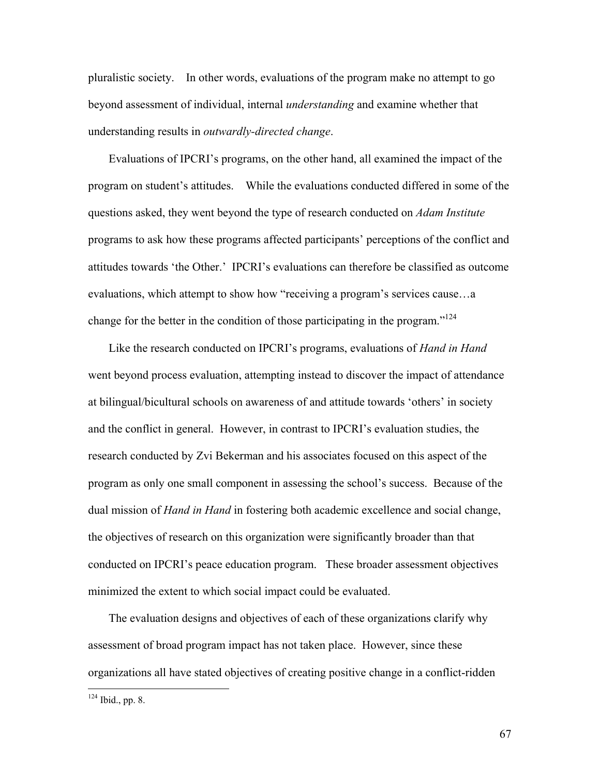pluralistic society. In other words, evaluations of the program make no attempt to go beyond assessment of individual, internal *understanding* and examine whether that understanding results in *outwardly-directed change*.

Evaluations of IPCRI's programs, on the other hand, all examined the impact of the program on student's attitudes. While the evaluations conducted differed in some of the questions asked, they went beyond the type of research conducted on *Adam Institute*  programs to ask how these programs affected participants' perceptions of the conflict and attitudes towards 'the Other.' IPCRI's evaluations can therefore be classified as outcome evaluations, which attempt to show how "receiving a program's services cause…a change for the better in the condition of those participating in the program."<sup>124</sup>

Like the research conducted on IPCRI's programs, evaluations of *Hand in Hand*  went beyond process evaluation, attempting instead to discover the impact of attendance at bilingual/bicultural schools on awareness of and attitude towards 'others' in society and the conflict in general. However, in contrast to IPCRI's evaluation studies, the research conducted by Zvi Bekerman and his associates focused on this aspect of the program as only one small component in assessing the school's success. Because of the dual mission of *Hand in Hand* in fostering both academic excellence and social change, the objectives of research on this organization were significantly broader than that conducted on IPCRI's peace education program. These broader assessment objectives minimized the extent to which social impact could be evaluated.

The evaluation designs and objectives of each of these organizations clarify why assessment of broad program impact has not taken place. However, since these organizations all have stated objectives of creating positive change in a conflict-ridden

 $124$  Ibid., pp. 8.

 $\overline{a}$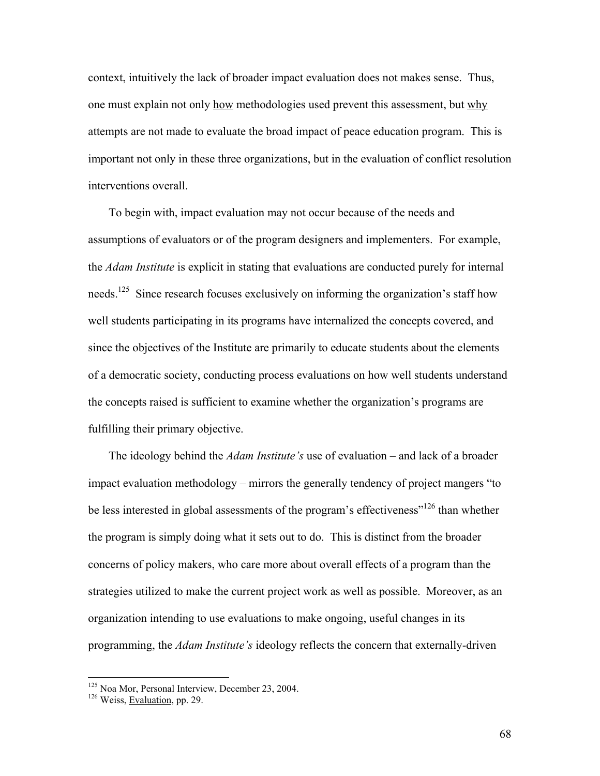context, intuitively the lack of broader impact evaluation does not makes sense. Thus, one must explain not only how methodologies used prevent this assessment, but why attempts are not made to evaluate the broad impact of peace education program. This is important not only in these three organizations, but in the evaluation of conflict resolution interventions overall.

To begin with, impact evaluation may not occur because of the needs and assumptions of evaluators or of the program designers and implementers. For example, the *Adam Institute* is explicit in stating that evaluations are conducted purely for internal needs.<sup>125</sup> Since research focuses exclusively on informing the organization's staff how well students participating in its programs have internalized the concepts covered, and since the objectives of the Institute are primarily to educate students about the elements of a democratic society, conducting process evaluations on how well students understand the concepts raised is sufficient to examine whether the organization's programs are fulfilling their primary objective.

The ideology behind the *Adam Institute's* use of evaluation – and lack of a broader impact evaluation methodology – mirrors the generally tendency of project mangers "to be less interested in global assessments of the program's effectiveness"<sup>126</sup> than whether the program is simply doing what it sets out to do. This is distinct from the broader concerns of policy makers, who care more about overall effects of a program than the strategies utilized to make the current project work as well as possible. Moreover, as an organization intending to use evaluations to make ongoing, useful changes in its programming, the *Adam Institute's* ideology reflects the concern that externally-driven

<sup>&</sup>lt;sup>125</sup> Noa Mor, Personal Interview, December 23, 2004.<br><sup>126</sup> Weiss, Evaluation, pp. 29.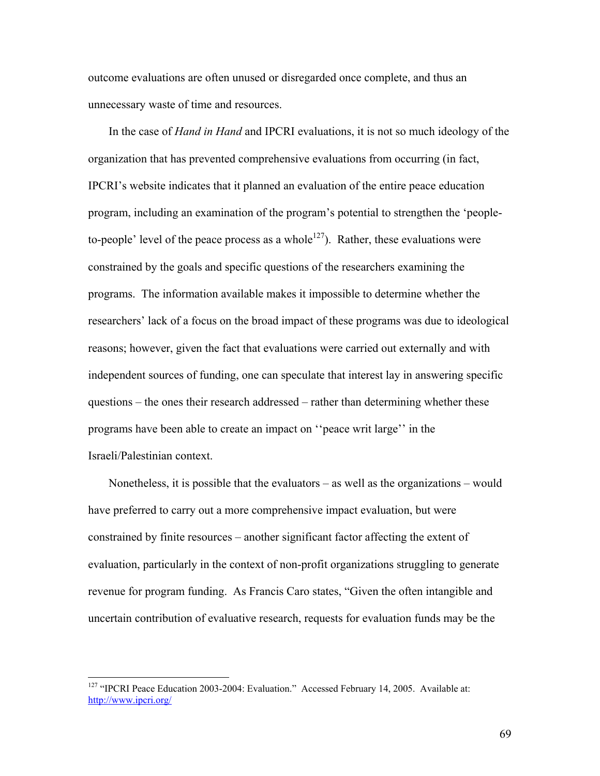outcome evaluations are often unused or disregarded once complete, and thus an unnecessary waste of time and resources.

In the case of *Hand in Hand* and IPCRI evaluations, it is not so much ideology of the organization that has prevented comprehensive evaluations from occurring (in fact, IPCRI's website indicates that it planned an evaluation of the entire peace education program, including an examination of the program's potential to strengthen the 'peopleto-people' level of the peace process as a whole<sup>127</sup>). Rather, these evaluations were constrained by the goals and specific questions of the researchers examining the programs. The information available makes it impossible to determine whether the researchers' lack of a focus on the broad impact of these programs was due to ideological reasons; however, given the fact that evaluations were carried out externally and with independent sources of funding, one can speculate that interest lay in answering specific questions – the ones their research addressed – rather than determining whether these programs have been able to create an impact on ''peace writ large'' in the Israeli/Palestinian context.

Nonetheless, it is possible that the evaluators – as well as the organizations – would have preferred to carry out a more comprehensive impact evaluation, but were constrained by finite resources – another significant factor affecting the extent of evaluation, particularly in the context of non-profit organizations struggling to generate revenue for program funding. As Francis Caro states, "Given the often intangible and uncertain contribution of evaluative research, requests for evaluation funds may be the

<sup>&</sup>lt;sup>127</sup> "IPCRI Peace Education 2003-2004: Evaluation." Accessed February 14, 2005. Available at: http://www.ipcri.org/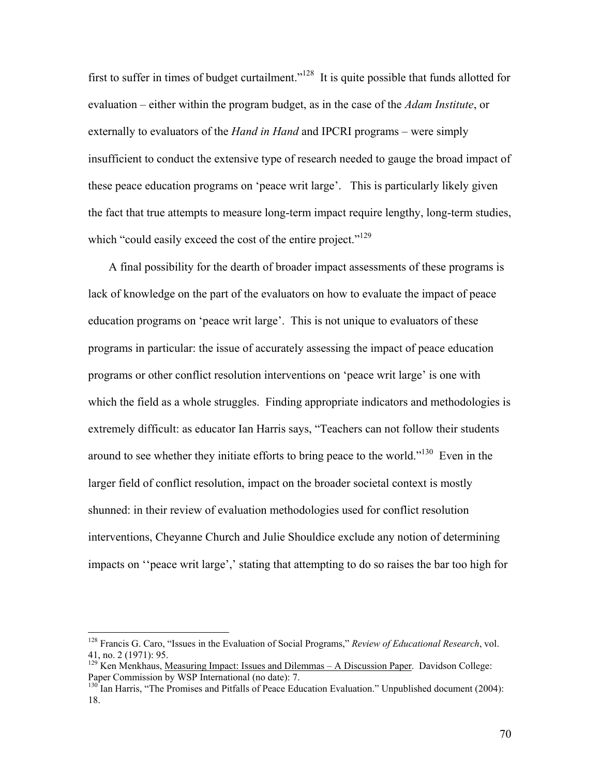first to suffer in times of budget curtailment."<sup>128</sup> It is quite possible that funds allotted for evaluation – either within the program budget, as in the case of the *Adam Institute*, or externally to evaluators of the *Hand in Hand* and IPCRI programs – were simply insufficient to conduct the extensive type of research needed to gauge the broad impact of these peace education programs on 'peace writ large'. This is particularly likely given the fact that true attempts to measure long-term impact require lengthy, long-term studies, which "could easily exceed the cost of the entire project."<sup>129</sup>

A final possibility for the dearth of broader impact assessments of these programs is lack of knowledge on the part of the evaluators on how to evaluate the impact of peace education programs on 'peace writ large'. This is not unique to evaluators of these programs in particular: the issue of accurately assessing the impact of peace education programs or other conflict resolution interventions on 'peace writ large' is one with which the field as a whole struggles. Finding appropriate indicators and methodologies is extremely difficult: as educator Ian Harris says, "Teachers can not follow their students around to see whether they initiate efforts to bring peace to the world."130 Even in the larger field of conflict resolution, impact on the broader societal context is mostly shunned: in their review of evaluation methodologies used for conflict resolution interventions, Cheyanne Church and Julie Shouldice exclude any notion of determining impacts on ''peace writ large',' stating that attempting to do so raises the bar too high for

<sup>128</sup> Francis G. Caro, "Issues in the Evaluation of Social Programs," *Review of Educational Research*, vol. 41, no. 2 (1971): 95.

<sup>11,</sup> no. 2 (1711). 33.<br><sup>129</sup> Ken Menkhaus, <u>Measuring Impact: Issues and Dilemmas – A Discussion Paper</u>. Davidson College: Paper Commission by WSP International (no date): 7.

 $130$  Ian Harris, "The Promises and Pitfalls of Peace Education Evaluation." Unpublished document (2004): 18.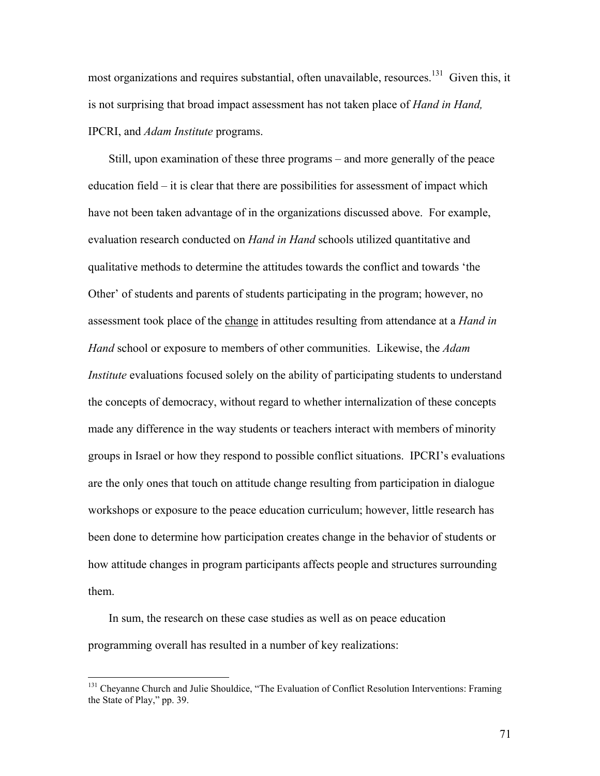most organizations and requires substantial, often unavailable, resources.<sup>131</sup> Given this, it is not surprising that broad impact assessment has not taken place of *Hand in Hand,*  IPCRI, and *Adam Institute* programs.

Still, upon examination of these three programs – and more generally of the peace education field – it is clear that there are possibilities for assessment of impact which have not been taken advantage of in the organizations discussed above. For example, evaluation research conducted on *Hand in Hand* schools utilized quantitative and qualitative methods to determine the attitudes towards the conflict and towards 'the Other' of students and parents of students participating in the program; however, no assessment took place of the change in attitudes resulting from attendance at a *Hand in Hand* school or exposure to members of other communities. Likewise, the *Adam Institute* evaluations focused solely on the ability of participating students to understand the concepts of democracy, without regard to whether internalization of these concepts made any difference in the way students or teachers interact with members of minority groups in Israel or how they respond to possible conflict situations. IPCRI's evaluations are the only ones that touch on attitude change resulting from participation in dialogue workshops or exposure to the peace education curriculum; however, little research has been done to determine how participation creates change in the behavior of students or how attitude changes in program participants affects people and structures surrounding them.

In sum, the research on these case studies as well as on peace education programming overall has resulted in a number of key realizations:

<sup>&</sup>lt;sup>131</sup> Cheyanne Church and Julie Shouldice, "The Evaluation of Conflict Resolution Interventions: Framing the State of Play," pp. 39.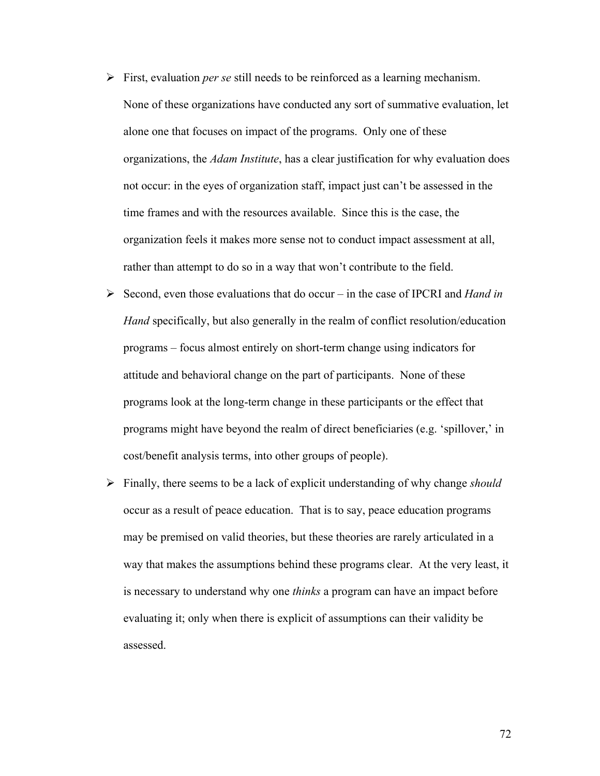- ¾ First, evaluation *per se* still needs to be reinforced as a learning mechanism. None of these organizations have conducted any sort of summative evaluation, let alone one that focuses on impact of the programs. Only one of these organizations, the *Adam Institute*, has a clear justification for why evaluation does not occur: in the eyes of organization staff, impact just can't be assessed in the time frames and with the resources available. Since this is the case, the organization feels it makes more sense not to conduct impact assessment at all, rather than attempt to do so in a way that won't contribute to the field.
- ¾ Second, even those evaluations that do occur in the case of IPCRI and *Hand in Hand* specifically, but also generally in the realm of conflict resolution/education programs – focus almost entirely on short-term change using indicators for attitude and behavioral change on the part of participants. None of these programs look at the long-term change in these participants or the effect that programs might have beyond the realm of direct beneficiaries (e.g. 'spillover,' in cost/benefit analysis terms, into other groups of people).
- ¾ Finally, there seems to be a lack of explicit understanding of why change *should* occur as a result of peace education. That is to say, peace education programs may be premised on valid theories, but these theories are rarely articulated in a way that makes the assumptions behind these programs clear. At the very least, it is necessary to understand why one *thinks* a program can have an impact before evaluating it; only when there is explicit of assumptions can their validity be assessed.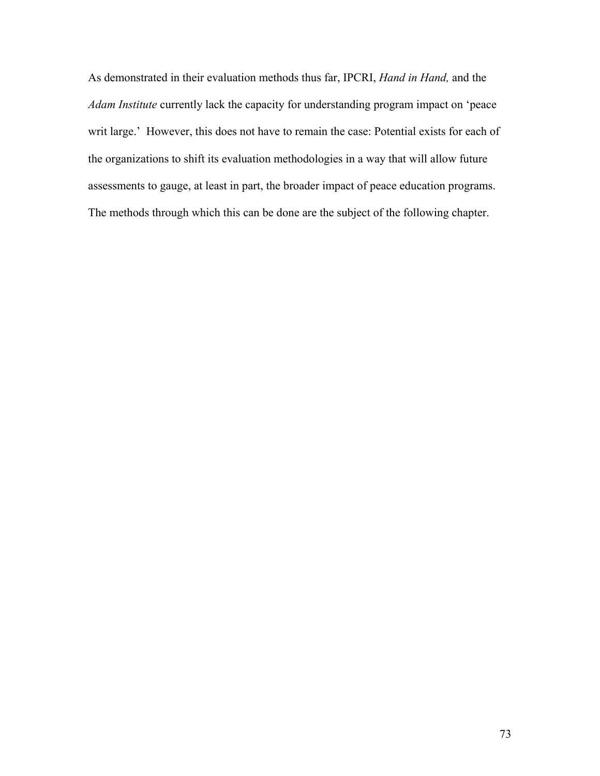As demonstrated in their evaluation methods thus far, IPCRI, *Hand in Hand,* and the *Adam Institute* currently lack the capacity for understanding program impact on 'peace writ large.' However, this does not have to remain the case: Potential exists for each of the organizations to shift its evaluation methodologies in a way that will allow future assessments to gauge, at least in part, the broader impact of peace education programs. The methods through which this can be done are the subject of the following chapter.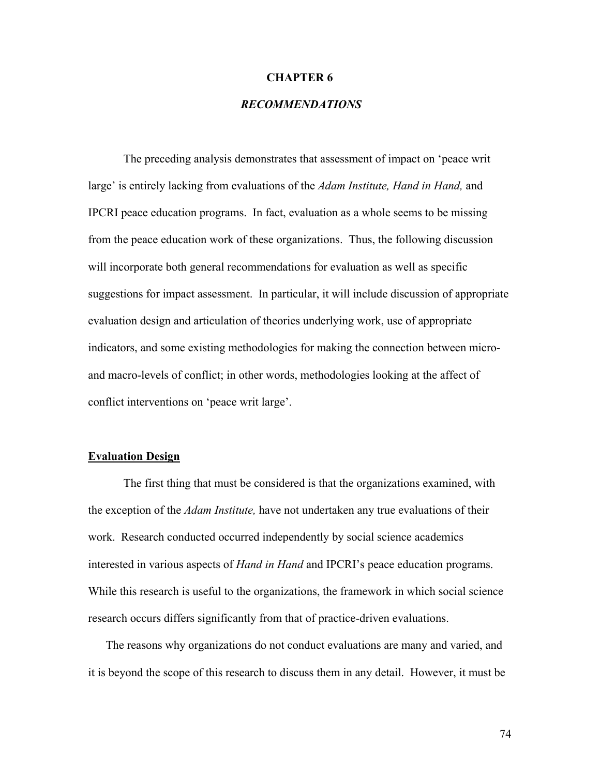#### **CHAPTER 6**

# *RECOMMENDATIONS*

The preceding analysis demonstrates that assessment of impact on 'peace writ large' is entirely lacking from evaluations of the *Adam Institute, Hand in Hand,* and IPCRI peace education programs. In fact, evaluation as a whole seems to be missing from the peace education work of these organizations. Thus, the following discussion will incorporate both general recommendations for evaluation as well as specific suggestions for impact assessment. In particular, it will include discussion of appropriate evaluation design and articulation of theories underlying work, use of appropriate indicators, and some existing methodologies for making the connection between microand macro-levels of conflict; in other words, methodologies looking at the affect of conflict interventions on 'peace writ large'.

#### **Evaluation Design**

 The first thing that must be considered is that the organizations examined, with the exception of the *Adam Institute,* have not undertaken any true evaluations of their work. Research conducted occurred independently by social science academics interested in various aspects of *Hand in Hand* and IPCRI's peace education programs. While this research is useful to the organizations, the framework in which social science research occurs differs significantly from that of practice-driven evaluations.

The reasons why organizations do not conduct evaluations are many and varied, and it is beyond the scope of this research to discuss them in any detail. However, it must be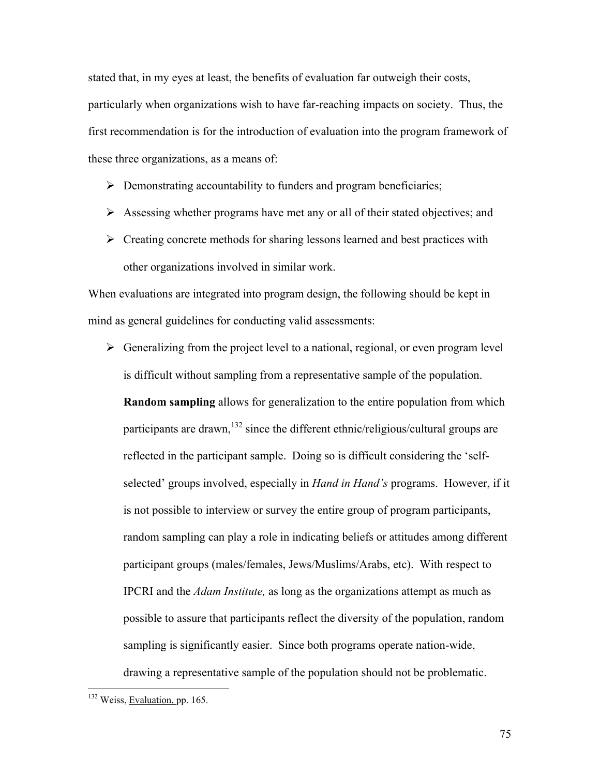stated that, in my eyes at least, the benefits of evaluation far outweigh their costs, particularly when organizations wish to have far-reaching impacts on society. Thus, the first recommendation is for the introduction of evaluation into the program framework of these three organizations, as a means of:

- $\triangleright$  Demonstrating accountability to funders and program beneficiaries;
- $\triangleright$  Assessing whether programs have met any or all of their stated objectives; and
- $\triangleright$  Creating concrete methods for sharing lessons learned and best practices with other organizations involved in similar work.

When evaluations are integrated into program design, the following should be kept in mind as general guidelines for conducting valid assessments:

 $\triangleright$  Generalizing from the project level to a national, regional, or even program level is difficult without sampling from a representative sample of the population. **Random sampling** allows for generalization to the entire population from which participants are drawn,<sup>132</sup> since the different ethnic/religious/cultural groups are reflected in the participant sample. Doing so is difficult considering the 'selfselected' groups involved, especially in *Hand in Hand's* programs. However, if it is not possible to interview or survey the entire group of program participants, random sampling can play a role in indicating beliefs or attitudes among different participant groups (males/females, Jews/Muslims/Arabs, etc). With respect to IPCRI and the *Adam Institute,* as long as the organizations attempt as much as possible to assure that participants reflect the diversity of the population, random sampling is significantly easier. Since both programs operate nation-wide, drawing a representative sample of the population should not be problematic.

<u>.</u>

<sup>&</sup>lt;sup>132</sup> Weiss, Evaluation, pp. 165.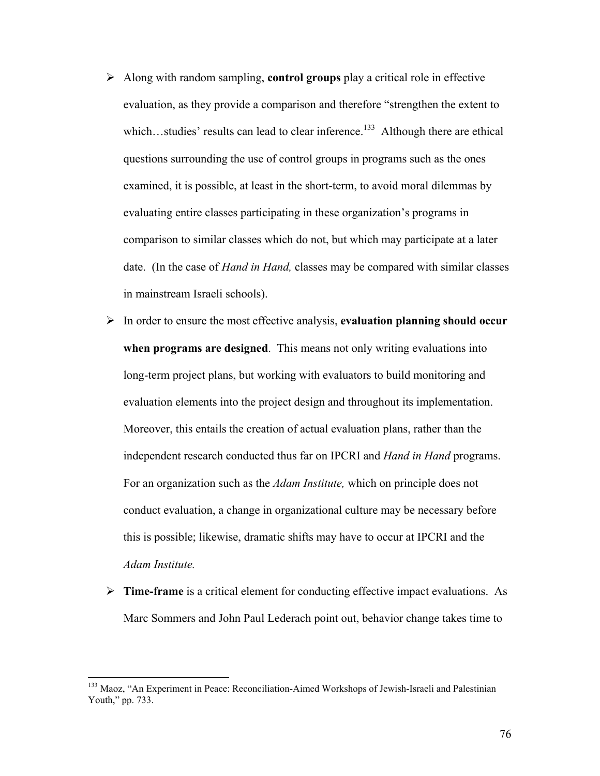- ¾ Along with random sampling, **control groups** play a critical role in effective evaluation, as they provide a comparison and therefore "strengthen the extent to which...studies' results can lead to clear inference.<sup>133</sup> Although there are ethical questions surrounding the use of control groups in programs such as the ones examined, it is possible, at least in the short-term, to avoid moral dilemmas by evaluating entire classes participating in these organization's programs in comparison to similar classes which do not, but which may participate at a later date. (In the case of *Hand in Hand,* classes may be compared with similar classes in mainstream Israeli schools).
- ¾ In order to ensure the most effective analysis, **evaluation planning should occur when programs are designed**. This means not only writing evaluations into long-term project plans, but working with evaluators to build monitoring and evaluation elements into the project design and throughout its implementation. Moreover, this entails the creation of actual evaluation plans, rather than the independent research conducted thus far on IPCRI and *Hand in Hand* programs. For an organization such as the *Adam Institute,* which on principle does not conduct evaluation, a change in organizational culture may be necessary before this is possible; likewise, dramatic shifts may have to occur at IPCRI and the *Adam Institute.*
- ¾ **Time-frame** is a critical element for conducting effective impact evaluations. As Marc Sommers and John Paul Lederach point out, behavior change takes time to

 $\overline{a}$ 

<sup>&</sup>lt;sup>133</sup> Maoz, "An Experiment in Peace: Reconciliation-Aimed Workshops of Jewish-Israeli and Palestinian Youth," pp. 733.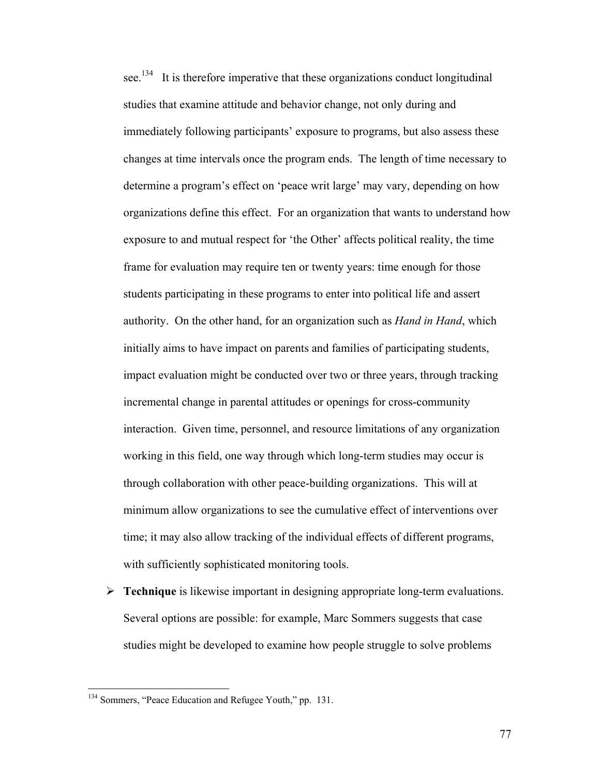see.<sup>134</sup> It is therefore imperative that these organizations conduct longitudinal studies that examine attitude and behavior change, not only during and immediately following participants' exposure to programs, but also assess these changes at time intervals once the program ends. The length of time necessary to determine a program's effect on 'peace writ large' may vary, depending on how organizations define this effect. For an organization that wants to understand how exposure to and mutual respect for 'the Other' affects political reality, the time frame for evaluation may require ten or twenty years: time enough for those students participating in these programs to enter into political life and assert authority. On the other hand, for an organization such as *Hand in Hand*, which initially aims to have impact on parents and families of participating students, impact evaluation might be conducted over two or three years, through tracking incremental change in parental attitudes or openings for cross-community interaction. Given time, personnel, and resource limitations of any organization working in this field, one way through which long-term studies may occur is through collaboration with other peace-building organizations. This will at minimum allow organizations to see the cumulative effect of interventions over time; it may also allow tracking of the individual effects of different programs, with sufficiently sophisticated monitoring tools.

¾ **Technique** is likewise important in designing appropriate long-term evaluations. Several options are possible: for example, Marc Sommers suggests that case studies might be developed to examine how people struggle to solve problems

<u>.</u>

<sup>&</sup>lt;sup>134</sup> Sommers, "Peace Education and Refugee Youth," pp. 131.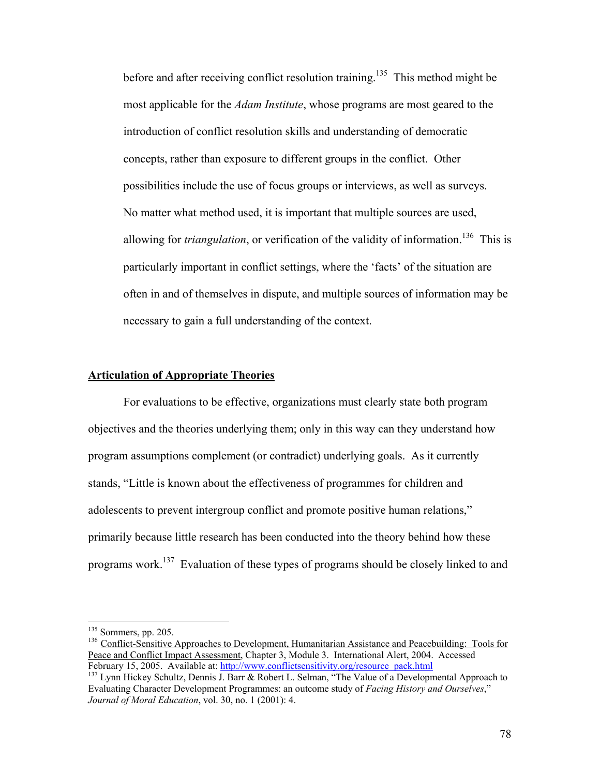before and after receiving conflict resolution training.<sup>135</sup> This method might be most applicable for the *Adam Institute*, whose programs are most geared to the introduction of conflict resolution skills and understanding of democratic concepts, rather than exposure to different groups in the conflict. Other possibilities include the use of focus groups or interviews, as well as surveys. No matter what method used, it is important that multiple sources are used, allowing for *triangulation*, or verification of the validity of information.<sup>136</sup> This is particularly important in conflict settings, where the 'facts' of the situation are often in and of themselves in dispute, and multiple sources of information may be necessary to gain a full understanding of the context.

#### **Articulation of Appropriate Theories**

For evaluations to be effective, organizations must clearly state both program objectives and the theories underlying them; only in this way can they understand how program assumptions complement (or contradict) underlying goals. As it currently stands, "Little is known about the effectiveness of programmes for children and adolescents to prevent intergroup conflict and promote positive human relations," primarily because little research has been conducted into the theory behind how these programs work.137 Evaluation of these types of programs should be closely linked to and

 $135$  Sommers, pp. 205.

<sup>&</sup>lt;sup>136</sup> Conflict-Sensitive Approaches to Development, Humanitarian Assistance and Peacebuilding: Tools for Peace and Conflict Impact Assessment, Chapter 3, Module 3. International Alert, 2004. Accessed February 15, 2005. Available at: http://www.conflictsensitivity.org/resource pack.html

<sup>&</sup>lt;sup>137</sup> Lynn Hickey Schultz, Dennis J. Barr & Robert L. Selman, "The Value of a Developmental Approach to Evaluating Character Development Programmes: an outcome study of *Facing History and Ourselves*," *Journal of Moral Education*, vol. 30, no. 1 (2001): 4.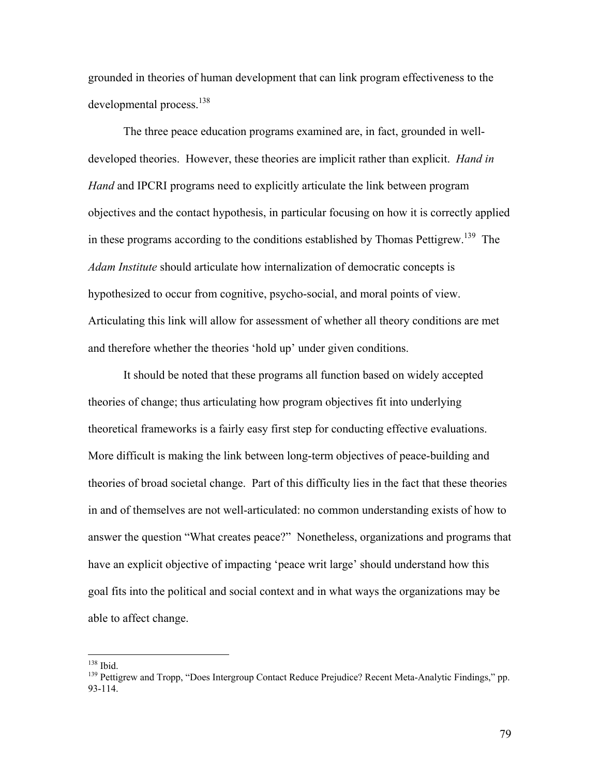grounded in theories of human development that can link program effectiveness to the developmental process.<sup>138</sup>

 The three peace education programs examined are, in fact, grounded in welldeveloped theories. However, these theories are implicit rather than explicit. *Hand in Hand* and IPCRI programs need to explicitly articulate the link between program objectives and the contact hypothesis, in particular focusing on how it is correctly applied in these programs according to the conditions established by Thomas Pettigrew.<sup>139</sup> The *Adam Institute* should articulate how internalization of democratic concepts is hypothesized to occur from cognitive, psycho-social, and moral points of view. Articulating this link will allow for assessment of whether all theory conditions are met and therefore whether the theories 'hold up' under given conditions.

 It should be noted that these programs all function based on widely accepted theories of change; thus articulating how program objectives fit into underlying theoretical frameworks is a fairly easy first step for conducting effective evaluations. More difficult is making the link between long-term objectives of peace-building and theories of broad societal change. Part of this difficulty lies in the fact that these theories in and of themselves are not well-articulated: no common understanding exists of how to answer the question "What creates peace?" Nonetheless, organizations and programs that have an explicit objective of impacting 'peace writ large' should understand how this goal fits into the political and social context and in what ways the organizations may be able to affect change.

 $138$  Ibid.

<sup>&</sup>lt;sup>139</sup> Pettigrew and Tropp, "Does Intergroup Contact Reduce Prejudice? Recent Meta-Analytic Findings," pp. 93-114.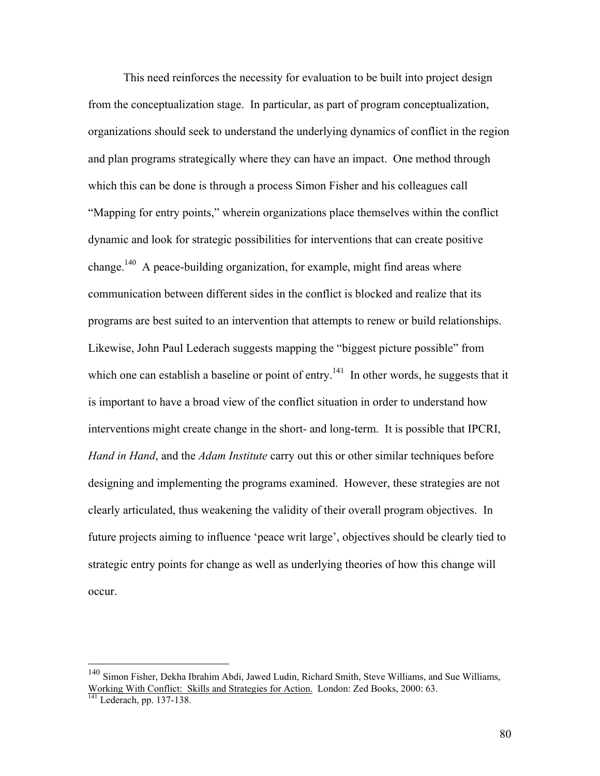This need reinforces the necessity for evaluation to be built into project design from the conceptualization stage. In particular, as part of program conceptualization, organizations should seek to understand the underlying dynamics of conflict in the region and plan programs strategically where they can have an impact. One method through which this can be done is through a process Simon Fisher and his colleagues call "Mapping for entry points," wherein organizations place themselves within the conflict dynamic and look for strategic possibilities for interventions that can create positive change.<sup>140</sup> A peace-building organization, for example, might find areas where communication between different sides in the conflict is blocked and realize that its programs are best suited to an intervention that attempts to renew or build relationships. Likewise, John Paul Lederach suggests mapping the "biggest picture possible" from which one can establish a baseline or point of entry.<sup>141</sup> In other words, he suggests that it is important to have a broad view of the conflict situation in order to understand how interventions might create change in the short- and long-term. It is possible that IPCRI, *Hand in Hand*, and the *Adam Institute* carry out this or other similar techniques before designing and implementing the programs examined. However, these strategies are not clearly articulated, thus weakening the validity of their overall program objectives. In future projects aiming to influence 'peace writ large', objectives should be clearly tied to strategic entry points for change as well as underlying theories of how this change will occur.

 $\overline{a}$ 

<sup>&</sup>lt;sup>140</sup> Simon Fisher, Dekha Ibrahim Abdi, Jawed Ludin, Richard Smith, Steve Williams, and Sue Williams, Working With Conflict: Skills and Strategies for Action. London: Zed Books, 2000: 63. <sup>141</sup> Lederach, pp. 137-138.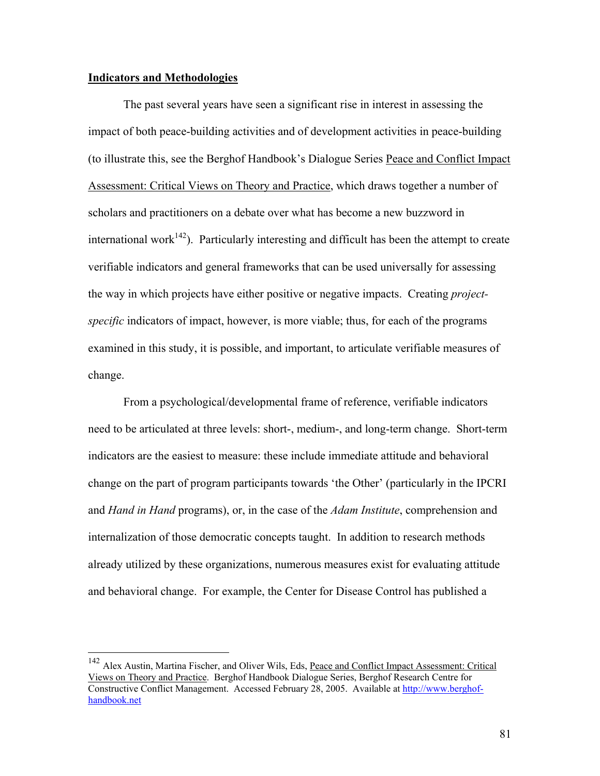#### **Indicators and Methodologies**

 $\overline{a}$ 

The past several years have seen a significant rise in interest in assessing the impact of both peace-building activities and of development activities in peace-building (to illustrate this, see the Berghof Handbook's Dialogue Series Peace and Conflict Impact Assessment: Critical Views on Theory and Practice, which draws together a number of scholars and practitioners on a debate over what has become a new buzzword in international work<sup>142</sup>). Particularly interesting and difficult has been the attempt to create verifiable indicators and general frameworks that can be used universally for assessing the way in which projects have either positive or negative impacts. Creating *projectspecific* indicators of impact, however, is more viable; thus, for each of the programs examined in this study, it is possible, and important, to articulate verifiable measures of change.

From a psychological/developmental frame of reference, verifiable indicators need to be articulated at three levels: short-, medium-, and long-term change. Short-term indicators are the easiest to measure: these include immediate attitude and behavioral change on the part of program participants towards 'the Other' (particularly in the IPCRI and *Hand in Hand* programs), or, in the case of the *Adam Institute*, comprehension and internalization of those democratic concepts taught. In addition to research methods already utilized by these organizations, numerous measures exist for evaluating attitude and behavioral change. For example, the Center for Disease Control has published a

<sup>&</sup>lt;sup>142</sup> Alex Austin, Martina Fischer, and Oliver Wils, Eds, Peace and Conflict Impact Assessment: Critical Views on Theory and Practice. Berghof Handbook Dialogue Series, Berghof Research Centre for Constructive Conflict Management. Accessed February 28, 2005. Available at http://www.berghofhandbook.net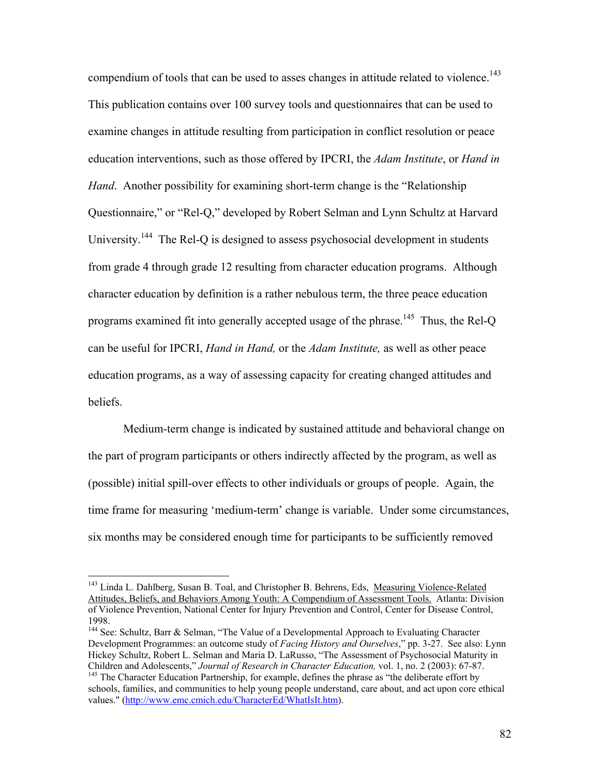compendium of tools that can be used to asses changes in attitude related to violence.<sup>143</sup> This publication contains over 100 survey tools and questionnaires that can be used to examine changes in attitude resulting from participation in conflict resolution or peace education interventions, such as those offered by IPCRI, the *Adam Institute*, or *Hand in Hand*. Another possibility for examining short-term change is the "Relationship Questionnaire," or "Rel-Q," developed by Robert Selman and Lynn Schultz at Harvard University.<sup>144</sup> The Rel-O is designed to assess psychosocial development in students from grade 4 through grade 12 resulting from character education programs. Although character education by definition is a rather nebulous term, the three peace education programs examined fit into generally accepted usage of the phrase.<sup>145</sup> Thus, the Rel-Q can be useful for IPCRI, *Hand in Hand,* or the *Adam Institute,* as well as other peace education programs, as a way of assessing capacity for creating changed attitudes and beliefs.

Medium-term change is indicated by sustained attitude and behavioral change on the part of program participants or others indirectly affected by the program, as well as (possible) initial spill-over effects to other individuals or groups of people. Again, the time frame for measuring 'medium-term' change is variable. Under some circumstances, six months may be considered enough time for participants to be sufficiently removed

<sup>&</sup>lt;sup>143</sup> Linda L. Dahlberg, Susan B. Toal, and Christopher B. Behrens, Eds, Measuring Violence-Related Attitudes, Beliefs, and Behaviors Among Youth: A Compendium of Assessment Tools. Atlanta: Division of Violence Prevention, National Center for Injury Prevention and Control, Center for Disease Control, 1998.

<sup>&</sup>lt;sup>144</sup> See: Schultz, Barr & Selman, "The Value of a Developmental Approach to Evaluating Character Development Programmes: an outcome study of *Facing History and Ourselves*," pp. 3-27. See also: Lynn Hickey Schultz, Robert L. Selman and Maria D. LaRusso, "The Assessment of Psychosocial Maturity in Children and Adolescents," Journal of Research in Character Education, vol. 1, no. 2 (2003): 67-87.

<sup>&</sup>lt;sup>145</sup> The Character Education Partnership, for example, defines the phrase as "the deliberate effort by schools, families, and communities to help young people understand, care about, and act upon core ethical values." (http://www.emc.cmich.edu/CharacterEd/WhatIsIt.htm).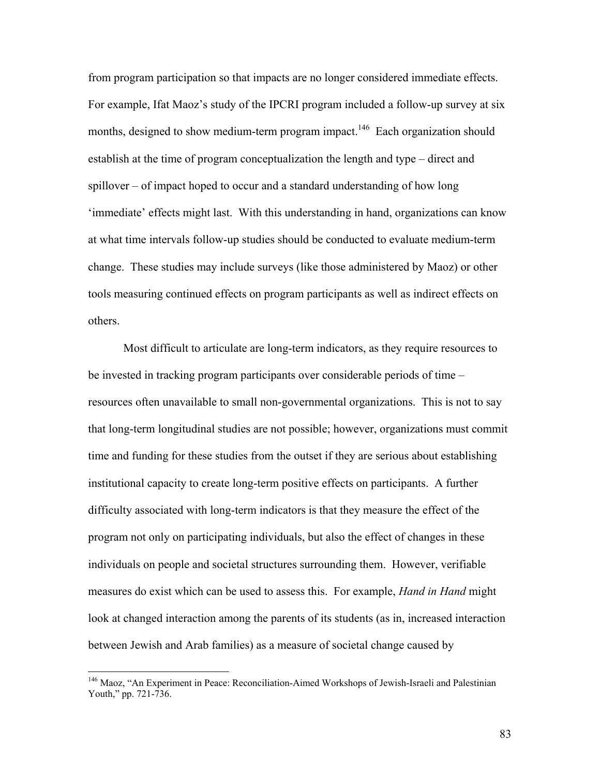from program participation so that impacts are no longer considered immediate effects. For example, Ifat Maoz's study of the IPCRI program included a follow-up survey at six months, designed to show medium-term program impact.<sup>146</sup> Each organization should establish at the time of program conceptualization the length and type – direct and spillover – of impact hoped to occur and a standard understanding of how long 'immediate' effects might last. With this understanding in hand, organizations can know at what time intervals follow-up studies should be conducted to evaluate medium-term change. These studies may include surveys (like those administered by Maoz) or other tools measuring continued effects on program participants as well as indirect effects on others.

 Most difficult to articulate are long-term indicators, as they require resources to be invested in tracking program participants over considerable periods of time – resources often unavailable to small non-governmental organizations. This is not to say that long-term longitudinal studies are not possible; however, organizations must commit time and funding for these studies from the outset if they are serious about establishing institutional capacity to create long-term positive effects on participants. A further difficulty associated with long-term indicators is that they measure the effect of the program not only on participating individuals, but also the effect of changes in these individuals on people and societal structures surrounding them. However, verifiable measures do exist which can be used to assess this. For example, *Hand in Hand* might look at changed interaction among the parents of its students (as in, increased interaction between Jewish and Arab families) as a measure of societal change caused by

 $\overline{a}$ 

<sup>&</sup>lt;sup>146</sup> Maoz, "An Experiment in Peace: Reconciliation-Aimed Workshops of Jewish-Israeli and Palestinian Youth," pp. 721-736.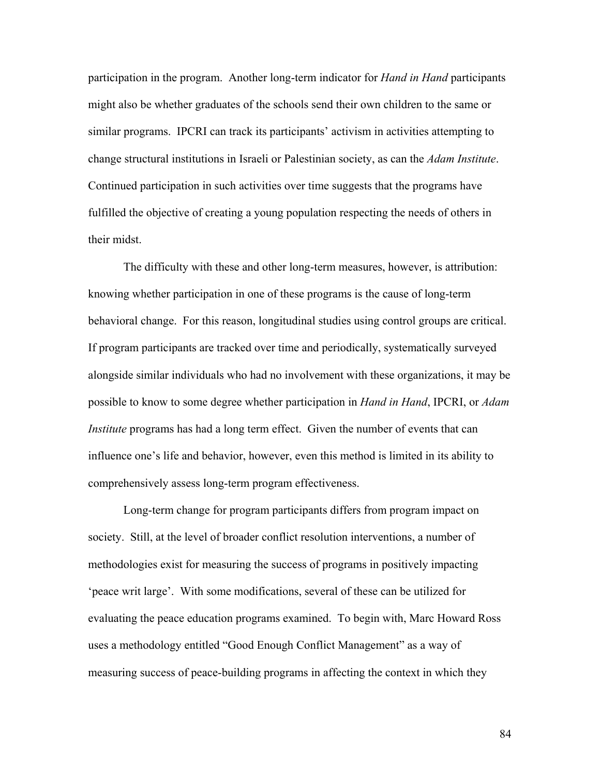participation in the program. Another long-term indicator for *Hand in Hand* participants might also be whether graduates of the schools send their own children to the same or similar programs. IPCRI can track its participants' activism in activities attempting to change structural institutions in Israeli or Palestinian society, as can the *Adam Institute*. Continued participation in such activities over time suggests that the programs have fulfilled the objective of creating a young population respecting the needs of others in their midst.

 The difficulty with these and other long-term measures, however, is attribution: knowing whether participation in one of these programs is the cause of long-term behavioral change. For this reason, longitudinal studies using control groups are critical. If program participants are tracked over time and periodically, systematically surveyed alongside similar individuals who had no involvement with these organizations, it may be possible to know to some degree whether participation in *Hand in Hand*, IPCRI, or *Adam Institute* programs has had a long term effect. Given the number of events that can influence one's life and behavior, however, even this method is limited in its ability to comprehensively assess long-term program effectiveness.

 Long-term change for program participants differs from program impact on society. Still, at the level of broader conflict resolution interventions, a number of methodologies exist for measuring the success of programs in positively impacting 'peace writ large'. With some modifications, several of these can be utilized for evaluating the peace education programs examined. To begin with, Marc Howard Ross uses a methodology entitled "Good Enough Conflict Management" as a way of measuring success of peace-building programs in affecting the context in which they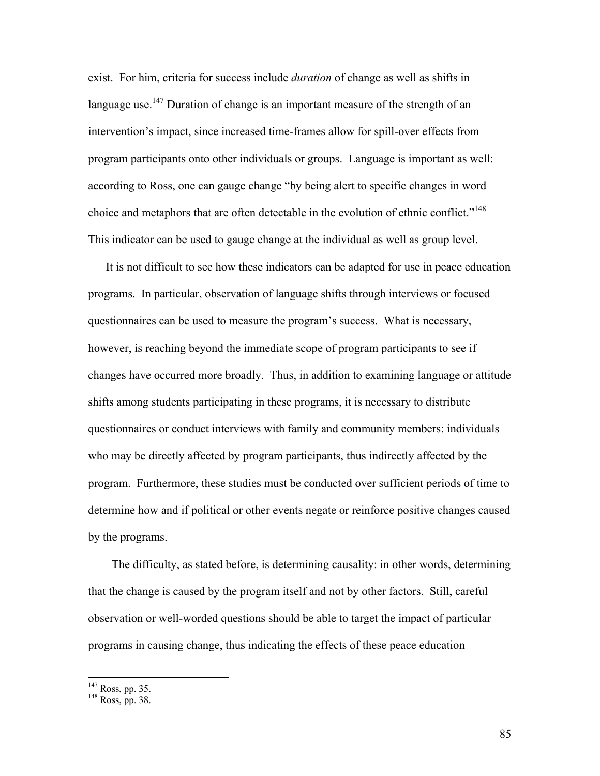exist. For him, criteria for success include *duration* of change as well as shifts in language use.<sup>147</sup> Duration of change is an important measure of the strength of an intervention's impact, since increased time-frames allow for spill-over effects from program participants onto other individuals or groups. Language is important as well: according to Ross, one can gauge change "by being alert to specific changes in word choice and metaphors that are often detectable in the evolution of ethnic conflict."<sup>148</sup> This indicator can be used to gauge change at the individual as well as group level.

It is not difficult to see how these indicators can be adapted for use in peace education programs. In particular, observation of language shifts through interviews or focused questionnaires can be used to measure the program's success. What is necessary, however, is reaching beyond the immediate scope of program participants to see if changes have occurred more broadly. Thus, in addition to examining language or attitude shifts among students participating in these programs, it is necessary to distribute questionnaires or conduct interviews with family and community members: individuals who may be directly affected by program participants, thus indirectly affected by the program. Furthermore, these studies must be conducted over sufficient periods of time to determine how and if political or other events negate or reinforce positive changes caused by the programs.

 The difficulty, as stated before, is determining causality: in other words, determining that the change is caused by the program itself and not by other factors. Still, careful observation or well-worded questions should be able to target the impact of particular programs in causing change, thus indicating the effects of these peace education

<sup>&</sup>lt;sup>147</sup> Ross, pp. 35.

<sup>148</sup> Ross, pp. 38.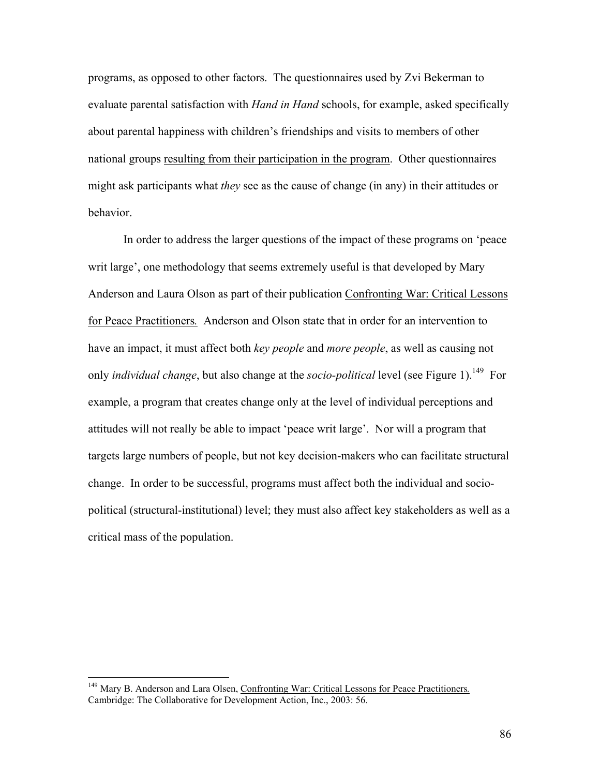programs, as opposed to other factors. The questionnaires used by Zvi Bekerman to evaluate parental satisfaction with *Hand in Hand* schools, for example, asked specifically about parental happiness with children's friendships and visits to members of other national groups resulting from their participation in the program. Other questionnaires might ask participants what *they* see as the cause of change (in any) in their attitudes or behavior.

 In order to address the larger questions of the impact of these programs on 'peace writ large', one methodology that seems extremely useful is that developed by Mary Anderson and Laura Olson as part of their publication Confronting War: Critical Lessons for Peace Practitioners*.* Anderson and Olson state that in order for an intervention to have an impact, it must affect both *key people* and *more people*, as well as causing not only *individual change*, but also change at the *socio-political* level (see Figure 1).<sup>149</sup> For example, a program that creates change only at the level of individual perceptions and attitudes will not really be able to impact 'peace writ large'. Nor will a program that targets large numbers of people, but not key decision-makers who can facilitate structural change. In order to be successful, programs must affect both the individual and sociopolitical (structural-institutional) level; they must also affect key stakeholders as well as a critical mass of the population.

<sup>149</sup> Mary B. Anderson and Lara Olsen, Confronting War: Critical Lessons for Peace Practitioners*.* Cambridge: The Collaborative for Development Action, Inc., 2003: 56.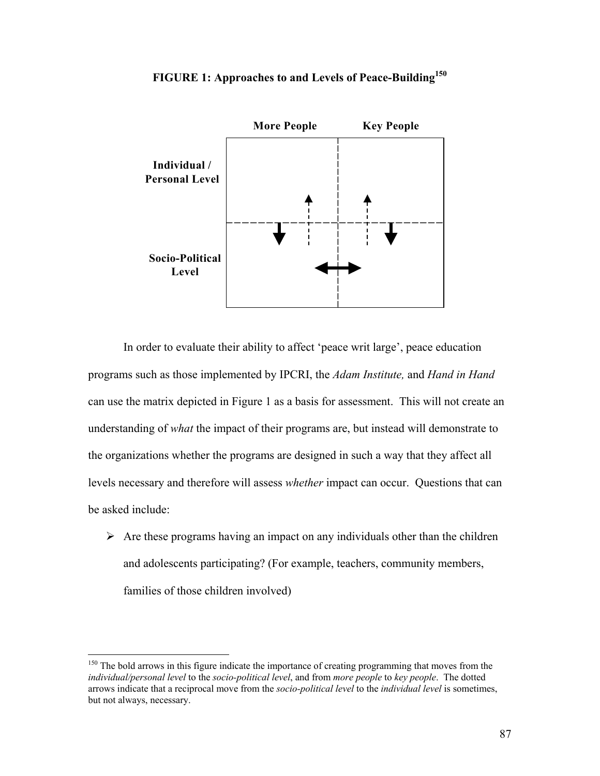

# **FIGURE 1: Approaches to and Levels of Peace-Building150**

 In order to evaluate their ability to affect 'peace writ large', peace education programs such as those implemented by IPCRI, the *Adam Institute,* and *Hand in Hand*  can use the matrix depicted in Figure 1 as a basis for assessment. This will not create an understanding of *what* the impact of their programs are, but instead will demonstrate to the organizations whether the programs are designed in such a way that they affect all levels necessary and therefore will assess *whether* impact can occur. Questions that can be asked include:

 $\triangleright$  Are these programs having an impact on any individuals other than the children and adolescents participating? (For example, teachers, community members, families of those children involved)

 $\overline{a}$ 

<sup>&</sup>lt;sup>150</sup> The bold arrows in this figure indicate the importance of creating programming that moves from the *individual/personal level* to the *socio-political level*, and from *more people* to *key people*. The dotted arrows indicate that a reciprocal move from the *socio-political level* to the *individual level* is sometimes, but not always, necessary.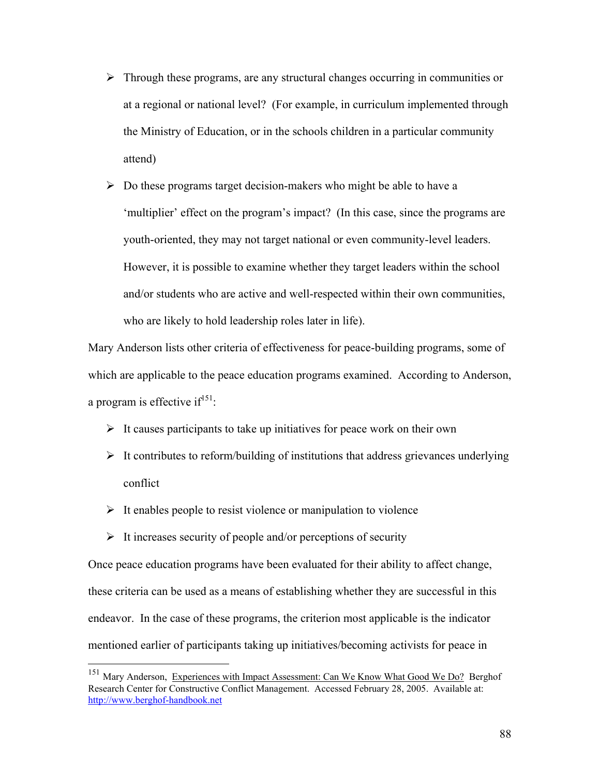- $\triangleright$  Through these programs, are any structural changes occurring in communities or at a regional or national level? (For example, in curriculum implemented through the Ministry of Education, or in the schools children in a particular community attend)
- $\triangleright$  Do these programs target decision-makers who might be able to have a 'multiplier' effect on the program's impact? (In this case, since the programs are youth-oriented, they may not target national or even community-level leaders. However, it is possible to examine whether they target leaders within the school and/or students who are active and well-respected within their own communities, who are likely to hold leadership roles later in life).

Mary Anderson lists other criteria of effectiveness for peace-building programs, some of which are applicable to the peace education programs examined. According to Anderson, a program is effective  $if^{151}$ :

- $\triangleright$  It causes participants to take up initiatives for peace work on their own
- $\triangleright$  It contributes to reform/building of institutions that address grievances underlying conflict
- $\triangleright$  It enables people to resist violence or manipulation to violence
- $\triangleright$  It increases security of people and/or perceptions of security

1

Once peace education programs have been evaluated for their ability to affect change, these criteria can be used as a means of establishing whether they are successful in this endeavor. In the case of these programs, the criterion most applicable is the indicator mentioned earlier of participants taking up initiatives/becoming activists for peace in

Mary Anderson, Experiences with Impact Assessment: Can We Know What Good We Do? Berghof Research Center for Constructive Conflict Management. Accessed February 28, 2005. Available at: http://www.berghof-handbook.net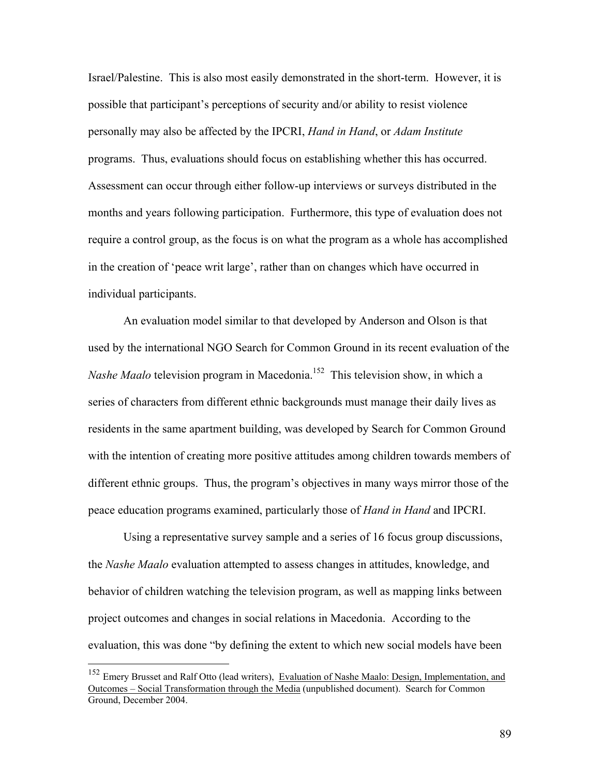Israel/Palestine. This is also most easily demonstrated in the short-term. However, it is possible that participant's perceptions of security and/or ability to resist violence personally may also be affected by the IPCRI, *Hand in Hand*, or *Adam Institute* programs. Thus, evaluations should focus on establishing whether this has occurred. Assessment can occur through either follow-up interviews or surveys distributed in the months and years following participation. Furthermore, this type of evaluation does not require a control group, as the focus is on what the program as a whole has accomplished in the creation of 'peace writ large', rather than on changes which have occurred in individual participants.

 An evaluation model similar to that developed by Anderson and Olson is that used by the international NGO Search for Common Ground in its recent evaluation of the *Nashe Maalo* television program in Macedonia.<sup>152</sup> This television show, in which a series of characters from different ethnic backgrounds must manage their daily lives as residents in the same apartment building, was developed by Search for Common Ground with the intention of creating more positive attitudes among children towards members of different ethnic groups. Thus, the program's objectives in many ways mirror those of the peace education programs examined, particularly those of *Hand in Hand* and IPCRI.

 Using a representative survey sample and a series of 16 focus group discussions, the *Nashe Maalo* evaluation attempted to assess changes in attitudes, knowledge, and behavior of children watching the television program, as well as mapping links between project outcomes and changes in social relations in Macedonia. According to the evaluation, this was done "by defining the extent to which new social models have been

 $\overline{a}$ 

<sup>&</sup>lt;sup>152</sup> Emery Brusset and Ralf Otto (lead writers), Evaluation of Nashe Maalo: Design, Implementation, and Outcomes – Social Transformation through the Media (unpublished document). Search for Common Ground, December 2004.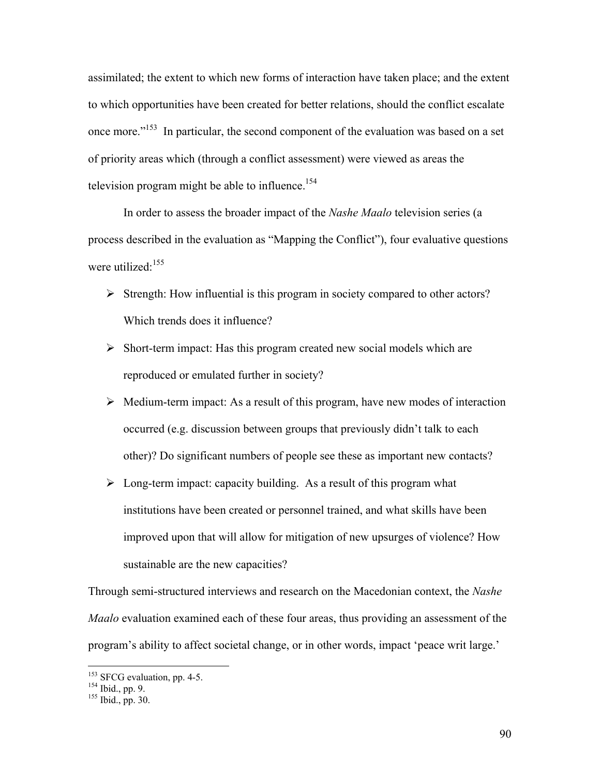assimilated; the extent to which new forms of interaction have taken place; and the extent to which opportunities have been created for better relations, should the conflict escalate once more."153 In particular, the second component of the evaluation was based on a set of priority areas which (through a conflict assessment) were viewed as areas the television program might be able to influence.<sup>154</sup>

 In order to assess the broader impact of the *Nashe Maalo* television series (a process described in the evaluation as "Mapping the Conflict"), four evaluative questions were utilized<sup>155</sup>

- $\triangleright$  Strength: How influential is this program in society compared to other actors? Which trends does it influence?
- $\triangleright$  Short-term impact: Has this program created new social models which are reproduced or emulated further in society?
- $\triangleright$  Medium-term impact: As a result of this program, have new modes of interaction occurred (e.g. discussion between groups that previously didn't talk to each other)? Do significant numbers of people see these as important new contacts?
- $\triangleright$  Long-term impact: capacity building. As a result of this program what institutions have been created or personnel trained, and what skills have been improved upon that will allow for mitigation of new upsurges of violence? How sustainable are the new capacities?

Through semi-structured interviews and research on the Macedonian context, the *Nashe Maalo* evaluation examined each of these four areas, thus providing an assessment of the program's ability to affect societal change, or in other words, impact 'peace writ large.'

<sup>&</sup>lt;sup>153</sup> SFCG evaluation, pp. 4-5.<br><sup>154</sup> Ibid., pp. 9.<br><sup>155</sup> Ibid., pp. 30.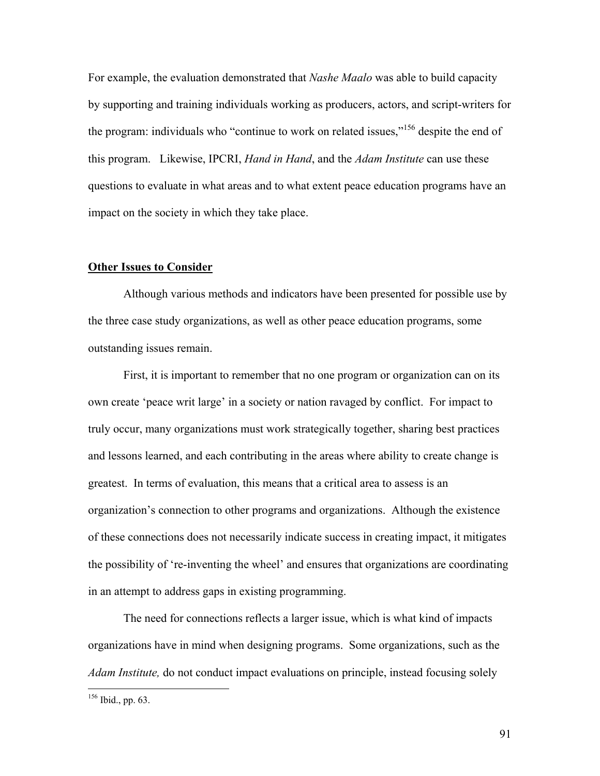For example, the evaluation demonstrated that *Nashe Maalo* was able to build capacity by supporting and training individuals working as producers, actors, and script-writers for the program: individuals who "continue to work on related issues,"<sup>156</sup> despite the end of this program. Likewise, IPCRI, *Hand in Hand*, and the *Adam Institute* can use these questions to evaluate in what areas and to what extent peace education programs have an impact on the society in which they take place.

#### **Other Issues to Consider**

 Although various methods and indicators have been presented for possible use by the three case study organizations, as well as other peace education programs, some outstanding issues remain.

 First, it is important to remember that no one program or organization can on its own create 'peace writ large' in a society or nation ravaged by conflict. For impact to truly occur, many organizations must work strategically together, sharing best practices and lessons learned, and each contributing in the areas where ability to create change is greatest. In terms of evaluation, this means that a critical area to assess is an organization's connection to other programs and organizations. Although the existence of these connections does not necessarily indicate success in creating impact, it mitigates the possibility of 're-inventing the wheel' and ensures that organizations are coordinating in an attempt to address gaps in existing programming.

 The need for connections reflects a larger issue, which is what kind of impacts organizations have in mind when designing programs. Some organizations, such as the *Adam Institute,* do not conduct impact evaluations on principle, instead focusing solely

 $\overline{a}$ 

 $156$  Ibid., pp. 63.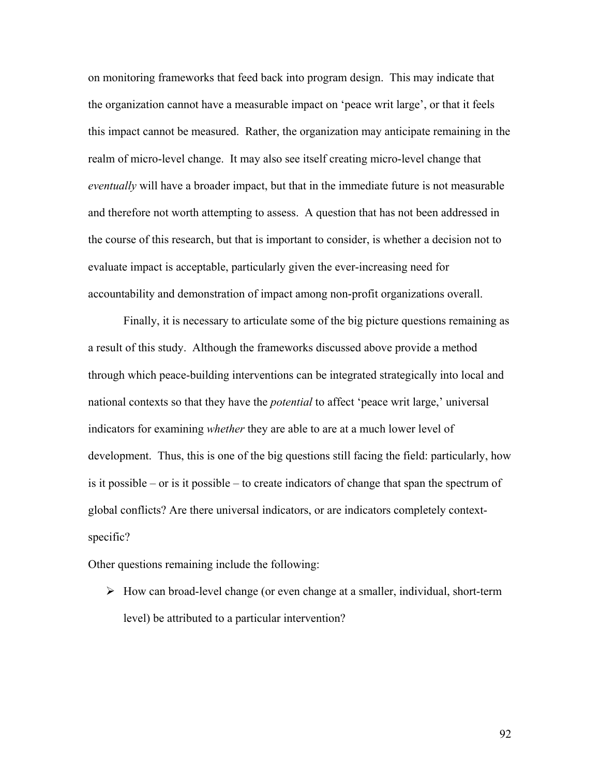on monitoring frameworks that feed back into program design. This may indicate that the organization cannot have a measurable impact on 'peace writ large', or that it feels this impact cannot be measured. Rather, the organization may anticipate remaining in the realm of micro-level change. It may also see itself creating micro-level change that *eventually* will have a broader impact, but that in the immediate future is not measurable and therefore not worth attempting to assess. A question that has not been addressed in the course of this research, but that is important to consider, is whether a decision not to evaluate impact is acceptable, particularly given the ever-increasing need for accountability and demonstration of impact among non-profit organizations overall.

 Finally, it is necessary to articulate some of the big picture questions remaining as a result of this study. Although the frameworks discussed above provide a method through which peace-building interventions can be integrated strategically into local and national contexts so that they have the *potential* to affect 'peace writ large,' universal indicators for examining *whether* they are able to are at a much lower level of development. Thus, this is one of the big questions still facing the field: particularly, how is it possible – or is it possible – to create indicators of change that span the spectrum of global conflicts? Are there universal indicators, or are indicators completely contextspecific?

Other questions remaining include the following:

 $\triangleright$  How can broad-level change (or even change at a smaller, individual, short-term level) be attributed to a particular intervention?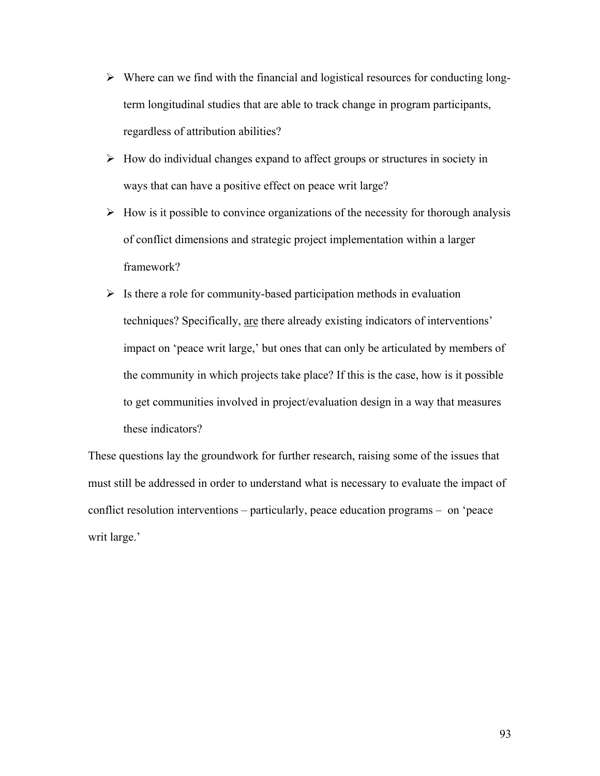- $\triangleright$  Where can we find with the financial and logistical resources for conducting longterm longitudinal studies that are able to track change in program participants, regardless of attribution abilities?
- $\triangleright$  How do individual changes expand to affect groups or structures in society in ways that can have a positive effect on peace writ large?
- $\triangleright$  How is it possible to convince organizations of the necessity for thorough analysis of conflict dimensions and strategic project implementation within a larger framework?
- $\triangleright$  Is there a role for community-based participation methods in evaluation techniques? Specifically, are there already existing indicators of interventions' impact on 'peace writ large,' but ones that can only be articulated by members of the community in which projects take place? If this is the case, how is it possible to get communities involved in project/evaluation design in a way that measures these indicators?

These questions lay the groundwork for further research, raising some of the issues that must still be addressed in order to understand what is necessary to evaluate the impact of conflict resolution interventions – particularly, peace education programs – on 'peace writ large.'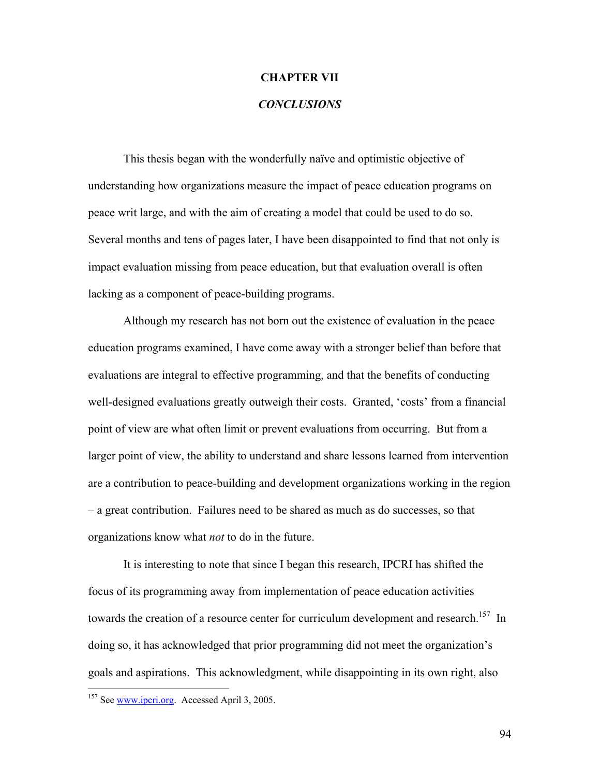## **CHAPTER VII**

# *CONCLUSIONS*

This thesis began with the wonderfully naïve and optimistic objective of understanding how organizations measure the impact of peace education programs on peace writ large, and with the aim of creating a model that could be used to do so. Several months and tens of pages later, I have been disappointed to find that not only is impact evaluation missing from peace education, but that evaluation overall is often lacking as a component of peace-building programs.

 Although my research has not born out the existence of evaluation in the peace education programs examined, I have come away with a stronger belief than before that evaluations are integral to effective programming, and that the benefits of conducting well-designed evaluations greatly outweigh their costs. Granted, 'costs' from a financial point of view are what often limit or prevent evaluations from occurring. But from a larger point of view, the ability to understand and share lessons learned from intervention are a contribution to peace-building and development organizations working in the region – a great contribution. Failures need to be shared as much as do successes, so that organizations know what *not* to do in the future.

 It is interesting to note that since I began this research, IPCRI has shifted the focus of its programming away from implementation of peace education activities towards the creation of a resource center for curriculum development and research.<sup>157</sup> In doing so, it has acknowledged that prior programming did not meet the organization's goals and aspirations. This acknowledgment, while disappointing in its own right, also

<u>.</u>

<sup>&</sup>lt;sup>157</sup> See www.ipcri.org. Accessed April 3, 2005.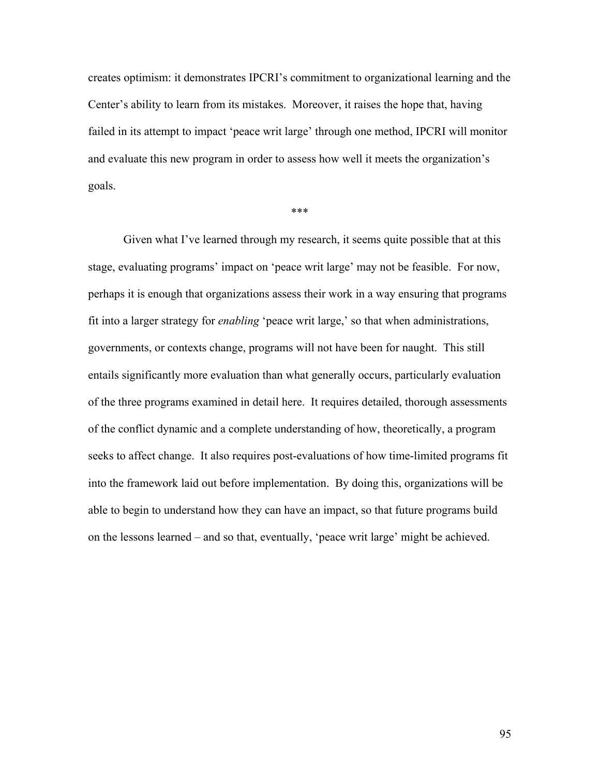creates optimism: it demonstrates IPCRI's commitment to organizational learning and the Center's ability to learn from its mistakes. Moreover, it raises the hope that, having failed in its attempt to impact 'peace writ large' through one method, IPCRI will monitor and evaluate this new program in order to assess how well it meets the organization's goals.

\*\*\*

Given what I've learned through my research, it seems quite possible that at this stage, evaluating programs' impact on 'peace writ large' may not be feasible. For now, perhaps it is enough that organizations assess their work in a way ensuring that programs fit into a larger strategy for *enabling* 'peace writ large,' so that when administrations, governments, or contexts change, programs will not have been for naught. This still entails significantly more evaluation than what generally occurs, particularly evaluation of the three programs examined in detail here. It requires detailed, thorough assessments of the conflict dynamic and a complete understanding of how, theoretically, a program seeks to affect change. It also requires post-evaluations of how time-limited programs fit into the framework laid out before implementation. By doing this, organizations will be able to begin to understand how they can have an impact, so that future programs build on the lessons learned – and so that, eventually, 'peace writ large' might be achieved.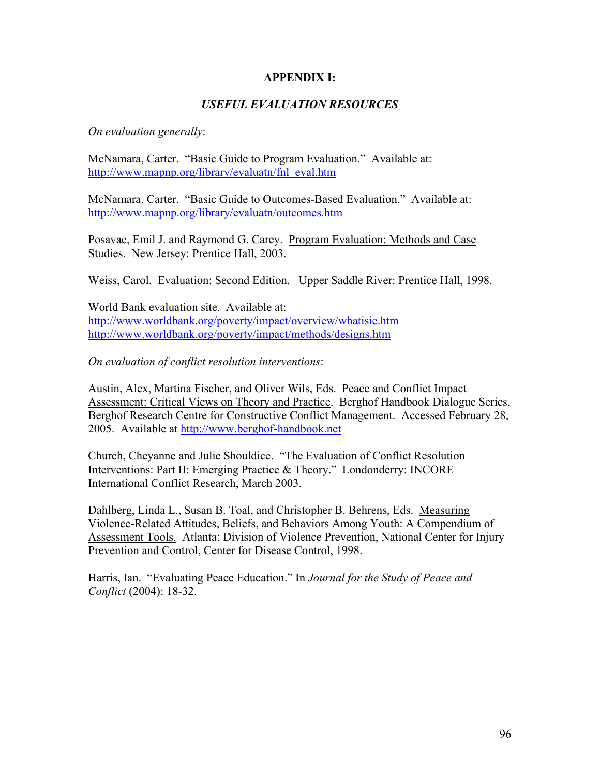# **APPENDIX I:**

# *USEFUL EVALUATION RESOURCES*

# *On evaluation generally*:

McNamara, Carter. "Basic Guide to Program Evaluation." Available at: http://www.mapnp.org/library/evaluatn/fnl\_eval.htm

McNamara, Carter. "Basic Guide to Outcomes-Based Evaluation." Available at: http://www.mapnp.org/library/evaluatn/outcomes.htm

Posavac, Emil J. and Raymond G. Carey. Program Evaluation: Methods and Case Studies. New Jersey: Prentice Hall, 2003.

Weiss, Carol. Evaluation: Second Edition. Upper Saddle River: Prentice Hall, 1998.

World Bank evaluation site. Available at: http://www.worldbank.org/poverty/impact/overview/whatisie.htm http://www.worldbank.org/poverty/impact/methods/designs.htm

## *On evaluation of conflict resolution interventions*:

Austin, Alex, Martina Fischer, and Oliver Wils, Eds. Peace and Conflict Impact Assessment: Critical Views on Theory and Practice. Berghof Handbook Dialogue Series, Berghof Research Centre for Constructive Conflict Management. Accessed February 28, 2005. Available at http://www.berghof-handbook.net

Church, Cheyanne and Julie Shouldice. "The Evaluation of Conflict Resolution Interventions: Part II: Emerging Practice & Theory." Londonderry: INCORE International Conflict Research, March 2003.

Dahlberg, Linda L., Susan B. Toal, and Christopher B. Behrens, Eds. Measuring Violence-Related Attitudes, Beliefs, and Behaviors Among Youth: A Compendium of Assessment Tools. Atlanta: Division of Violence Prevention, National Center for Injury Prevention and Control, Center for Disease Control, 1998.

Harris, Ian. "Evaluating Peace Education." In *Journal for the Study of Peace and Conflict* (2004): 18-32.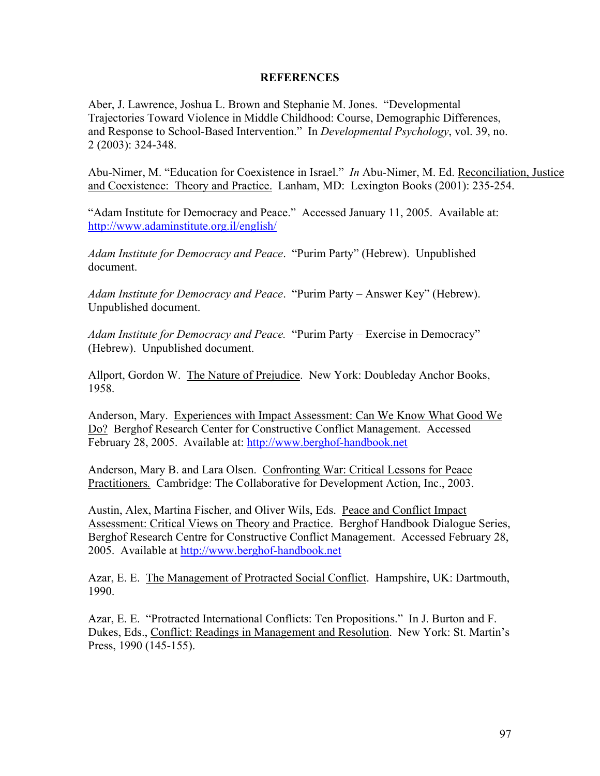# **REFERENCES**

Aber, J. Lawrence, Joshua L. Brown and Stephanie M. Jones. "Developmental Trajectories Toward Violence in Middle Childhood: Course, Demographic Differences, and Response to School-Based Intervention." In *Developmental Psychology*, vol. 39, no. 2 (2003): 324-348.

Abu-Nimer, M. "Education for Coexistence in Israel." *In* Abu-Nimer, M. Ed. Reconciliation, Justice and Coexistence: Theory and Practice. Lanham, MD: Lexington Books (2001): 235-254.

"Adam Institute for Democracy and Peace." Accessed January 11, 2005. Available at: http://www.adaminstitute.org.il/english/

*Adam Institute for Democracy and Peace*. "Purim Party" (Hebrew). Unpublished document.

*Adam Institute for Democracy and Peace*. "Purim Party – Answer Key" (Hebrew). Unpublished document.

*Adam Institute for Democracy and Peace.* "Purim Party – Exercise in Democracy" (Hebrew). Unpublished document.

Allport, Gordon W. The Nature of Prejudice. New York: Doubleday Anchor Books, 1958.

Anderson, Mary. Experiences with Impact Assessment: Can We Know What Good We Do? Berghof Research Center for Constructive Conflict Management. Accessed February 28, 2005. Available at: http://www.berghof-handbook.net

Anderson, Mary B. and Lara Olsen. Confronting War: Critical Lessons for Peace Practitioners*.* Cambridge: The Collaborative for Development Action, Inc., 2003.

Austin, Alex, Martina Fischer, and Oliver Wils, Eds. Peace and Conflict Impact Assessment: Critical Views on Theory and Practice. Berghof Handbook Dialogue Series, Berghof Research Centre for Constructive Conflict Management. Accessed February 28, 2005. Available at http://www.berghof-handbook.net

Azar, E. E. The Management of Protracted Social Conflict. Hampshire, UK: Dartmouth, 1990.

Azar, E. E. "Protracted International Conflicts: Ten Propositions." In J. Burton and F. Dukes, Eds., Conflict: Readings in Management and Resolution. New York: St. Martin's Press, 1990 (145-155).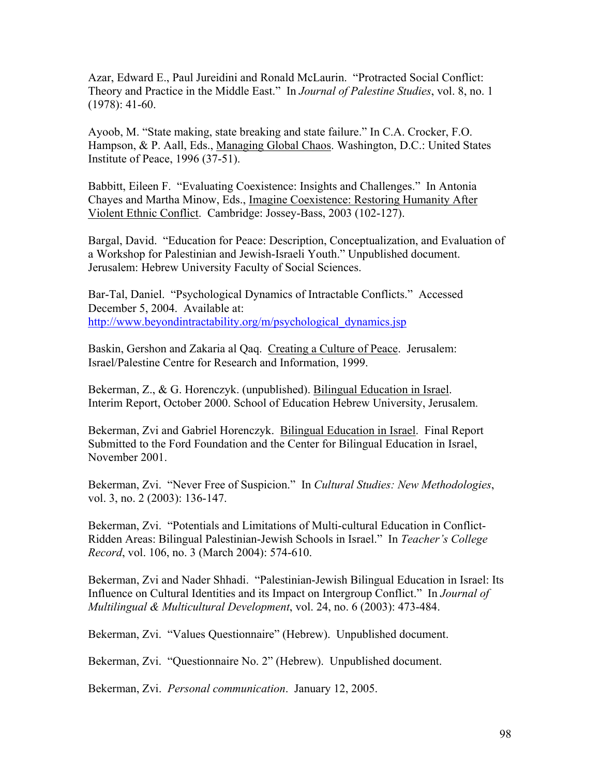Azar, Edward E., Paul Jureidini and Ronald McLaurin. "Protracted Social Conflict: Theory and Practice in the Middle East." In *Journal of Palestine Studies*, vol. 8, no. 1 (1978): 41-60.

Ayoob, M. "State making, state breaking and state failure." In C.A. Crocker, F.O. Hampson, & P. Aall, Eds., Managing Global Chaos. Washington, D.C.: United States Institute of Peace, 1996 (37-51).

Babbitt, Eileen F. "Evaluating Coexistence: Insights and Challenges." In Antonia Chayes and Martha Minow, Eds., Imagine Coexistence: Restoring Humanity After Violent Ethnic Conflict. Cambridge: Jossey-Bass, 2003 (102-127).

Bargal, David. "Education for Peace: Description, Conceptualization, and Evaluation of a Workshop for Palestinian and Jewish-Israeli Youth." Unpublished document. Jerusalem: Hebrew University Faculty of Social Sciences.

Bar-Tal, Daniel. "Psychological Dynamics of Intractable Conflicts." Accessed December 5, 2004. Available at: http://www.beyondintractability.org/m/psychological\_dynamics.jsp

Baskin, Gershon and Zakaria al Qaq. Creating a Culture of Peace. Jerusalem: Israel/Palestine Centre for Research and Information, 1999.

Bekerman, Z., & G. Horenczyk. (unpublished). Bilingual Education in Israel. Interim Report, October 2000. School of Education Hebrew University, Jerusalem.

Bekerman, Zvi and Gabriel Horenczyk. Bilingual Education in Israel. Final Report Submitted to the Ford Foundation and the Center for Bilingual Education in Israel, November 2001.

Bekerman, Zvi. "Never Free of Suspicion." In *Cultural Studies: New Methodologies*, vol. 3, no. 2 (2003): 136-147.

Bekerman, Zvi. "Potentials and Limitations of Multi-cultural Education in Conflict-Ridden Areas: Bilingual Palestinian-Jewish Schools in Israel." In *Teacher's College Record*, vol. 106, no. 3 (March 2004): 574-610.

Bekerman, Zvi and Nader Shhadi. "Palestinian-Jewish Bilingual Education in Israel: Its Influence on Cultural Identities and its Impact on Intergroup Conflict." In *Journal of Multilingual & Multicultural Development*, vol. 24, no. 6 (2003): 473-484.

Bekerman, Zvi. "Values Questionnaire" (Hebrew). Unpublished document.

Bekerman, Zvi. "Questionnaire No. 2" (Hebrew). Unpublished document.

Bekerman, Zvi. *Personal communication*. January 12, 2005.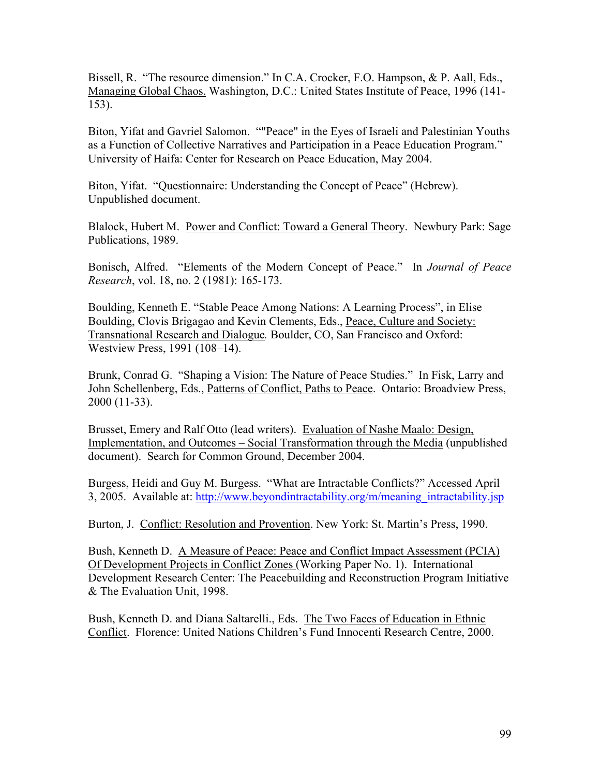Bissell, R. "The resource dimension." In C.A. Crocker, F.O. Hampson, & P. Aall, Eds., Managing Global Chaos. Washington, D.C.: United States Institute of Peace, 1996 (141- 153).

Biton, Yifat and Gavriel Salomon. ""Peace" in the Eyes of Israeli and Palestinian Youths as a Function of Collective Narratives and Participation in a Peace Education Program." University of Haifa: Center for Research on Peace Education, May 2004.

Biton, Yifat. "Questionnaire: Understanding the Concept of Peace" (Hebrew). Unpublished document.

Blalock, Hubert M. Power and Conflict: Toward a General Theory. Newbury Park: Sage Publications, 1989.

Bonisch, Alfred. "Elements of the Modern Concept of Peace." In *Journal of Peace Research*, vol. 18, no. 2 (1981): 165-173.

Boulding, Kenneth E. "Stable Peace Among Nations: A Learning Process", in Elise Boulding, Clovis Brigagao and Kevin Clements, Eds., Peace, Culture and Society: Transnational Research and Dialogue*.* Boulder, CO, San Francisco and Oxford: Westview Press, 1991 (108–14).

Brunk, Conrad G. "Shaping a Vision: The Nature of Peace Studies." In Fisk, Larry and John Schellenberg, Eds., Patterns of Conflict, Paths to Peace. Ontario: Broadview Press, 2000 (11-33).

Brusset, Emery and Ralf Otto (lead writers). Evaluation of Nashe Maalo: Design, Implementation, and Outcomes – Social Transformation through the Media (unpublished document). Search for Common Ground, December 2004.

Burgess, Heidi and Guy M. Burgess. "What are Intractable Conflicts?" Accessed April 3, 2005. Available at: http://www.beyondintractability.org/m/meaning\_intractability.jsp

Burton, J. Conflict: Resolution and Provention. New York: St. Martin's Press, 1990.

Bush, Kenneth D. A Measure of Peace: Peace and Conflict Impact Assessment (PCIA) Of Development Projects in Conflict Zones (Working Paper No. 1). International Development Research Center: The Peacebuilding and Reconstruction Program Initiative & The Evaluation Unit, 1998.

Bush, Kenneth D. and Diana Saltarelli., Eds. The Two Faces of Education in Ethnic Conflict. Florence: United Nations Children's Fund Innocenti Research Centre, 2000.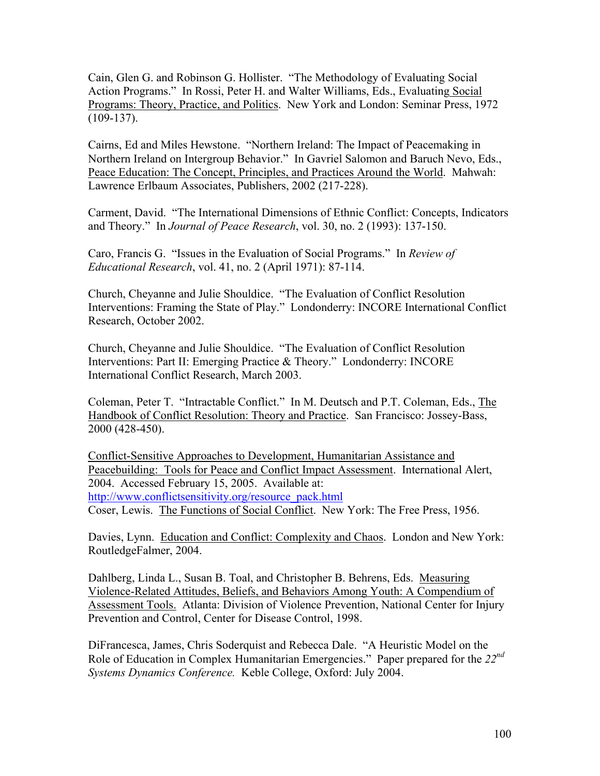Cain, Glen G. and Robinson G. Hollister. "The Methodology of Evaluating Social Action Programs." In Rossi, Peter H. and Walter Williams, Eds., Evaluating Social Programs: Theory, Practice, and Politics. New York and London: Seminar Press, 1972  $(109-137)$ .

Cairns, Ed and Miles Hewstone. "Northern Ireland: The Impact of Peacemaking in Northern Ireland on Intergroup Behavior." In Gavriel Salomon and Baruch Nevo, Eds., Peace Education: The Concept, Principles, and Practices Around the World. Mahwah: Lawrence Erlbaum Associates, Publishers, 2002 (217-228).

Carment, David. "The International Dimensions of Ethnic Conflict: Concepts, Indicators and Theory." In *Journal of Peace Research*, vol. 30, no. 2 (1993): 137-150.

Caro, Francis G. "Issues in the Evaluation of Social Programs." In *Review of Educational Research*, vol. 41, no. 2 (April 1971): 87-114.

Church, Cheyanne and Julie Shouldice. "The Evaluation of Conflict Resolution Interventions: Framing the State of Play." Londonderry: INCORE International Conflict Research, October 2002.

Church, Cheyanne and Julie Shouldice. "The Evaluation of Conflict Resolution Interventions: Part II: Emerging Practice & Theory." Londonderry: INCORE International Conflict Research, March 2003.

Coleman, Peter T. "Intractable Conflict." In M. Deutsch and P.T. Coleman, Eds., The Handbook of Conflict Resolution: Theory and Practice. San Francisco: Jossey-Bass, 2000 (428-450).

Conflict-Sensitive Approaches to Development, Humanitarian Assistance and Peacebuilding: Tools for Peace and Conflict Impact Assessment. International Alert, 2004. Accessed February 15, 2005. Available at: http://www.conflictsensitivity.org/resource\_pack.html Coser, Lewis. The Functions of Social Conflict. New York: The Free Press, 1956.

Davies, Lynn. Education and Conflict: Complexity and Chaos. London and New York: RoutledgeFalmer, 2004.

Dahlberg, Linda L., Susan B. Toal, and Christopher B. Behrens, Eds. Measuring Violence-Related Attitudes, Beliefs, and Behaviors Among Youth: A Compendium of Assessment Tools. Atlanta: Division of Violence Prevention, National Center for Injury Prevention and Control, Center for Disease Control, 1998.

DiFrancesca, James, Chris Soderquist and Rebecca Dale. "A Heuristic Model on the Role of Education in Complex Humanitarian Emergencies." Paper prepared for the *22nd Systems Dynamics Conference.* Keble College, Oxford: July 2004.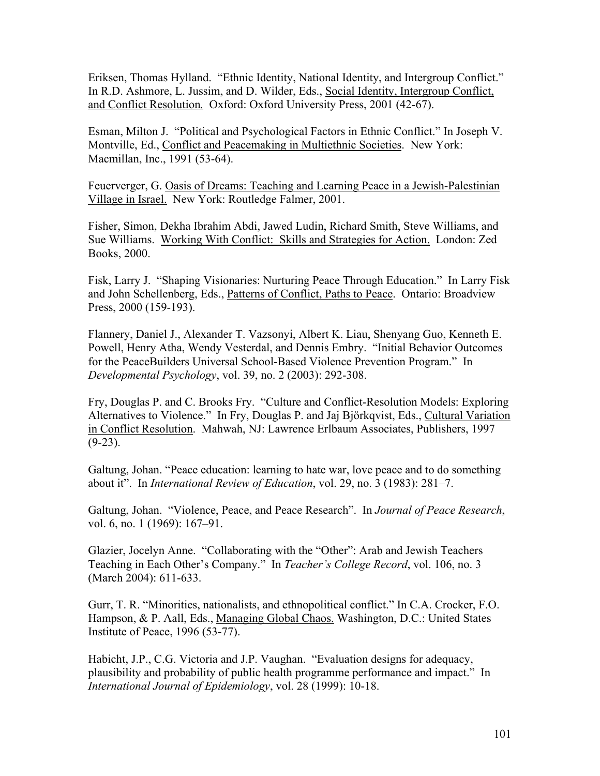Eriksen, Thomas Hylland. "Ethnic Identity, National Identity, and Intergroup Conflict." In R.D. Ashmore, L. Jussim, and D. Wilder, Eds., Social Identity, Intergroup Conflict, and Conflict Resolution*.* Oxford: Oxford University Press, 2001 (42-67).

Esman, Milton J. "Political and Psychological Factors in Ethnic Conflict." In Joseph V. Montville, Ed., Conflict and Peacemaking in Multiethnic Societies. New York: Macmillan, Inc., 1991 (53-64).

Feuerverger, G. Oasis of Dreams: Teaching and Learning Peace in a Jewish-Palestinian Village in Israel. New York: Routledge Falmer, 2001.

Fisher, Simon, Dekha Ibrahim Abdi, Jawed Ludin, Richard Smith, Steve Williams, and Sue Williams. Working With Conflict: Skills and Strategies for Action. London: Zed Books, 2000.

Fisk, Larry J. "Shaping Visionaries: Nurturing Peace Through Education." In Larry Fisk and John Schellenberg, Eds., Patterns of Conflict, Paths to Peace. Ontario: Broadview Press, 2000 (159-193).

Flannery, Daniel J., Alexander T. Vazsonyi, Albert K. Liau, Shenyang Guo, Kenneth E. Powell, Henry Atha, Wendy Vesterdal, and Dennis Embry. "Initial Behavior Outcomes for the PeaceBuilders Universal School-Based Violence Prevention Program." In *Developmental Psychology*, vol. 39, no. 2 (2003): 292-308.

Fry, Douglas P. and C. Brooks Fry. "Culture and Conflict-Resolution Models: Exploring Alternatives to Violence." In Fry, Douglas P. and Jaj Björkqvist, Eds., Cultural Variation in Conflict Resolution. Mahwah, NJ: Lawrence Erlbaum Associates, Publishers, 1997  $(9-23)$ .

Galtung, Johan. "Peace education: learning to hate war, love peace and to do something about it". In *International Review of Education*, vol. 29, no. 3 (1983): 281–7.

Galtung, Johan. "Violence, Peace, and Peace Research". In *Journal of Peace Research*, vol. 6, no. 1 (1969): 167–91.

Glazier, Jocelyn Anne. "Collaborating with the "Other": Arab and Jewish Teachers Teaching in Each Other's Company." In *Teacher's College Record*, vol. 106, no. 3 (March 2004): 611-633.

Gurr, T. R. "Minorities, nationalists, and ethnopolitical conflict." In C.A. Crocker, F.O. Hampson, & P. Aall, Eds., Managing Global Chaos. Washington, D.C.: United States Institute of Peace, 1996 (53-77).

Habicht, J.P., C.G. Victoria and J.P. Vaughan. "Evaluation designs for adequacy, plausibility and probability of public health programme performance and impact." In *International Journal of Epidemiology*, vol. 28 (1999): 10-18.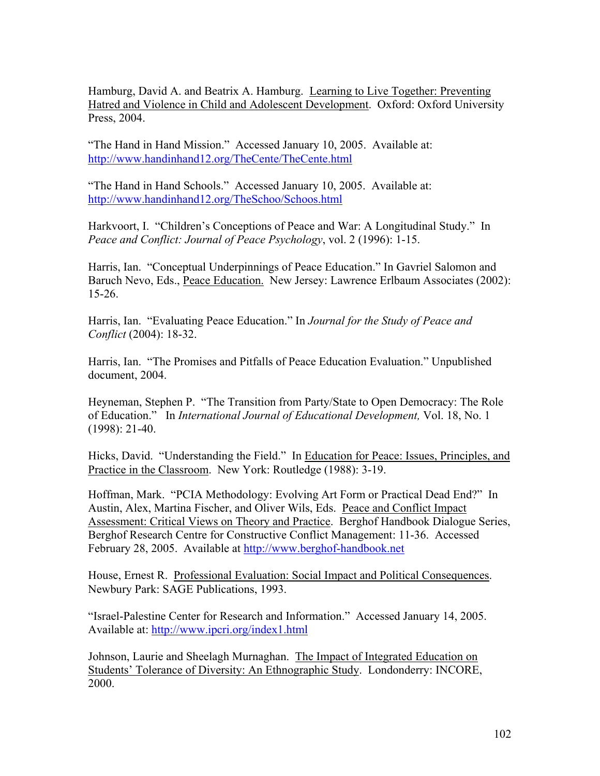Hamburg, David A. and Beatrix A. Hamburg. Learning to Live Together: Preventing Hatred and Violence in Child and Adolescent Development. Oxford: Oxford University Press, 2004.

"The Hand in Hand Mission." Accessed January 10, 2005. Available at: http://www.handinhand12.org/TheCente/TheCente.html

"The Hand in Hand Schools." Accessed January 10, 2005. Available at: http://www.handinhand12.org/TheSchoo/Schoos.html

Harkvoort, I. "Children's Conceptions of Peace and War: A Longitudinal Study." In *Peace and Conflict: Journal of Peace Psychology*, vol. 2 (1996): 1-15.

Harris, Ian. "Conceptual Underpinnings of Peace Education." In Gavriel Salomon and Baruch Nevo, Eds., Peace Education. New Jersey: Lawrence Erlbaum Associates (2002): 15-26.

Harris, Ian. "Evaluating Peace Education." In *Journal for the Study of Peace and Conflict* (2004): 18-32.

Harris, Ian. "The Promises and Pitfalls of Peace Education Evaluation." Unpublished document, 2004.

Heyneman, Stephen P. "The Transition from Party/State to Open Democracy: The Role of Education." In *International Journal of Educational Development,* Vol. 18, No. 1 (1998): 21-40.

Hicks, David. "Understanding the Field." In Education for Peace: Issues, Principles, and Practice in the Classroom. New York: Routledge (1988): 3-19.

Hoffman, Mark. "PCIA Methodology: Evolving Art Form or Practical Dead End?" In Austin, Alex, Martina Fischer, and Oliver Wils, Eds. Peace and Conflict Impact Assessment: Critical Views on Theory and Practice. Berghof Handbook Dialogue Series, Berghof Research Centre for Constructive Conflict Management: 11-36. Accessed February 28, 2005. Available at http://www.berghof-handbook.net

House, Ernest R. Professional Evaluation: Social Impact and Political Consequences. Newbury Park: SAGE Publications, 1993.

"Israel-Palestine Center for Research and Information." Accessed January 14, 2005. Available at: http://www.ipcri.org/index1.html

Johnson, Laurie and Sheelagh Murnaghan. The Impact of Integrated Education on Students' Tolerance of Diversity: An Ethnographic Study. Londonderry: INCORE, 2000.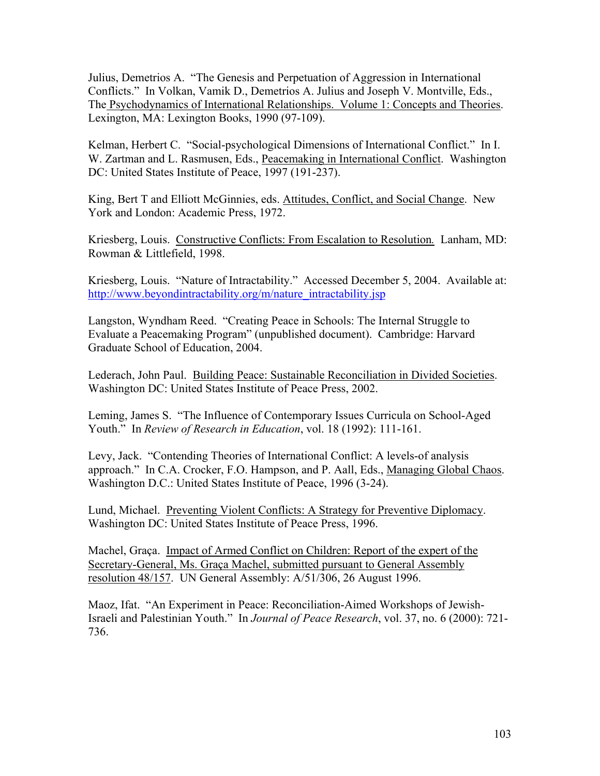Julius, Demetrios A. "The Genesis and Perpetuation of Aggression in International Conflicts." In Volkan, Vamik D., Demetrios A. Julius and Joseph V. Montville, Eds., The Psychodynamics of International Relationships. Volume 1: Concepts and Theories. Lexington, MA: Lexington Books, 1990 (97-109).

Kelman, Herbert C. "Social-psychological Dimensions of International Conflict." In I. W. Zartman and L. Rasmusen, Eds., Peacemaking in International Conflict. Washington DC: United States Institute of Peace, 1997 (191-237).

King, Bert T and Elliott McGinnies, eds. Attitudes, Conflict, and Social Change. New York and London: Academic Press, 1972.

Kriesberg, Louis. Constructive Conflicts: From Escalation to Resolution*.* Lanham, MD: Rowman & Littlefield, 1998.

Kriesberg, Louis. "Nature of Intractability." Accessed December 5, 2004. Available at: http://www.beyondintractability.org/m/nature\_intractability.jsp

Langston, Wyndham Reed. "Creating Peace in Schools: The Internal Struggle to Evaluate a Peacemaking Program" (unpublished document). Cambridge: Harvard Graduate School of Education, 2004.

Lederach, John Paul. Building Peace: Sustainable Reconciliation in Divided Societies. Washington DC: United States Institute of Peace Press, 2002.

Leming, James S. "The Influence of Contemporary Issues Curricula on School-Aged Youth." In *Review of Research in Education*, vol. 18 (1992): 111-161.

Levy, Jack. "Contending Theories of International Conflict: A levels-of analysis approach." In C.A. Crocker, F.O. Hampson, and P. Aall, Eds., Managing Global Chaos. Washington D.C.: United States Institute of Peace, 1996 (3-24).

Lund, Michael. Preventing Violent Conflicts: A Strategy for Preventive Diplomacy. Washington DC: United States Institute of Peace Press, 1996.

Machel, Graça. Impact of Armed Conflict on Children: Report of the expert of the Secretary-General, Ms. Graça Machel, submitted pursuant to General Assembly resolution 48/157. UN General Assembly: A/51/306, 26 August 1996.

Maoz, Ifat. "An Experiment in Peace: Reconciliation-Aimed Workshops of Jewish-Israeli and Palestinian Youth." In *Journal of Peace Research*, vol. 37, no. 6 (2000): 721- 736.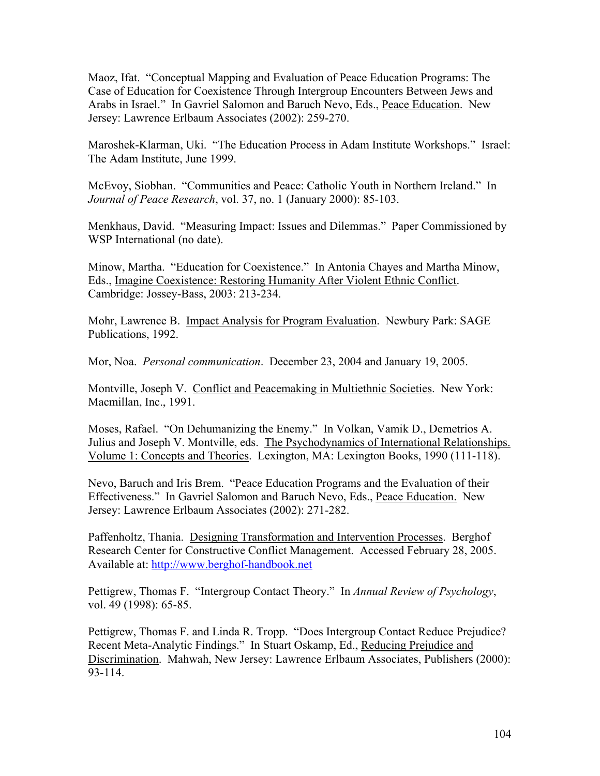Maoz, Ifat. "Conceptual Mapping and Evaluation of Peace Education Programs: The Case of Education for Coexistence Through Intergroup Encounters Between Jews and Arabs in Israel." In Gavriel Salomon and Baruch Nevo, Eds., Peace Education. New Jersey: Lawrence Erlbaum Associates (2002): 259-270.

Maroshek-Klarman, Uki. "The Education Process in Adam Institute Workshops." Israel: The Adam Institute, June 1999.

McEvoy, Siobhan. "Communities and Peace: Catholic Youth in Northern Ireland." In *Journal of Peace Research*, vol. 37, no. 1 (January 2000): 85-103.

Menkhaus, David. "Measuring Impact: Issues and Dilemmas." Paper Commissioned by WSP International (no date).

Minow, Martha. "Education for Coexistence." In Antonia Chayes and Martha Minow, Eds., Imagine Coexistence: Restoring Humanity After Violent Ethnic Conflict. Cambridge: Jossey-Bass, 2003: 213-234.

Mohr, Lawrence B. Impact Analysis for Program Evaluation. Newbury Park: SAGE Publications, 1992.

Mor, Noa. *Personal communication*. December 23, 2004 and January 19, 2005.

Montville, Joseph V. Conflict and Peacemaking in Multiethnic Societies. New York: Macmillan, Inc., 1991.

Moses, Rafael. "On Dehumanizing the Enemy." In Volkan, Vamik D., Demetrios A. Julius and Joseph V. Montville, eds. The Psychodynamics of International Relationships. Volume 1: Concepts and Theories. Lexington, MA: Lexington Books, 1990 (111-118).

Nevo, Baruch and Iris Brem. "Peace Education Programs and the Evaluation of their Effectiveness." In Gavriel Salomon and Baruch Nevo, Eds., Peace Education. New Jersey: Lawrence Erlbaum Associates (2002): 271-282.

Paffenholtz, Thania. Designing Transformation and Intervention Processes. Berghof Research Center for Constructive Conflict Management. Accessed February 28, 2005. Available at: http://www.berghof-handbook.net

Pettigrew, Thomas F. "Intergroup Contact Theory." In *Annual Review of Psychology*, vol. 49 (1998): 65-85.

Pettigrew, Thomas F. and Linda R. Tropp. "Does Intergroup Contact Reduce Prejudice? Recent Meta-Analytic Findings." In Stuart Oskamp, Ed., Reducing Prejudice and Discrimination. Mahwah, New Jersey: Lawrence Erlbaum Associates, Publishers (2000): 93-114.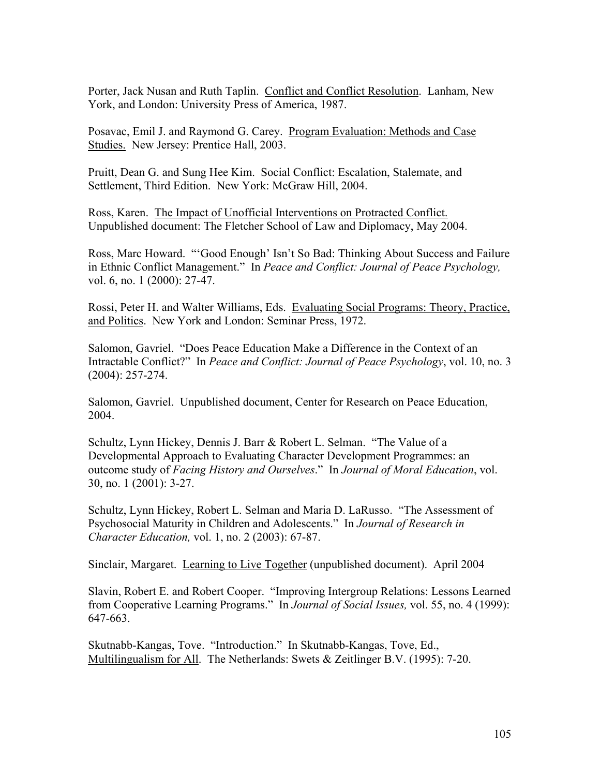Porter, Jack Nusan and Ruth Taplin. Conflict and Conflict Resolution. Lanham, New York, and London: University Press of America, 1987.

Posavac, Emil J. and Raymond G. Carey. Program Evaluation: Methods and Case Studies. New Jersey: Prentice Hall, 2003.

Pruitt, Dean G. and Sung Hee Kim. Social Conflict: Escalation, Stalemate, and Settlement, Third Edition. New York: McGraw Hill, 2004.

Ross, Karen. The Impact of Unofficial Interventions on Protracted Conflict. Unpublished document: The Fletcher School of Law and Diplomacy, May 2004.

Ross, Marc Howard. "'Good Enough' Isn't So Bad: Thinking About Success and Failure in Ethnic Conflict Management." In *Peace and Conflict: Journal of Peace Psychology,*  vol. 6, no. 1 (2000): 27-47.

Rossi, Peter H. and Walter Williams, Eds. Evaluating Social Programs: Theory, Practice, and Politics. New York and London: Seminar Press, 1972.

Salomon, Gavriel. "Does Peace Education Make a Difference in the Context of an Intractable Conflict?" In *Peace and Conflict: Journal of Peace Psychology*, vol. 10, no. 3 (2004): 257-274.

Salomon, Gavriel. Unpublished document, Center for Research on Peace Education, 2004.

Schultz, Lynn Hickey, Dennis J. Barr & Robert L. Selman. "The Value of a Developmental Approach to Evaluating Character Development Programmes: an outcome study of *Facing History and Ourselves*." In *Journal of Moral Education*, vol. 30, no. 1 (2001): 3-27.

Schultz, Lynn Hickey, Robert L. Selman and Maria D. LaRusso. "The Assessment of Psychosocial Maturity in Children and Adolescents." In *Journal of Research in Character Education,* vol. 1, no. 2 (2003): 67-87.

Sinclair, Margaret. Learning to Live Together (unpublished document). April 2004

Slavin, Robert E. and Robert Cooper. "Improving Intergroup Relations: Lessons Learned from Cooperative Learning Programs." In *Journal of Social Issues,* vol. 55, no. 4 (1999): 647-663.

Skutnabb-Kangas, Tove. "Introduction." In Skutnabb-Kangas, Tove, Ed., Multilingualism for All. The Netherlands: Swets & Zeitlinger B.V. (1995): 7-20.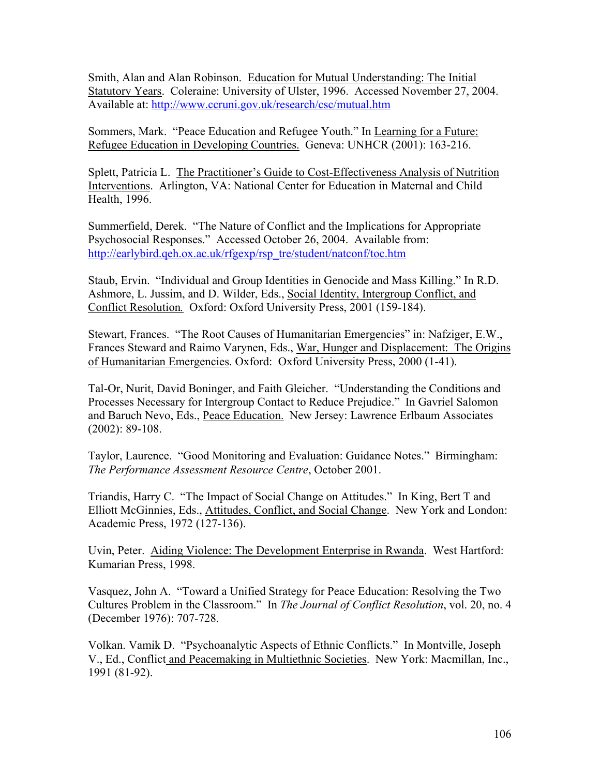Smith, Alan and Alan Robinson. Education for Mutual Understanding: The Initial Statutory Years. Coleraine: University of Ulster, 1996. Accessed November 27, 2004. Available at: http://www.ccruni.gov.uk/research/csc/mutual.htm

Sommers, Mark. "Peace Education and Refugee Youth." In Learning for a Future: Refugee Education in Developing Countries. Geneva: UNHCR (2001): 163-216.

Splett, Patricia L. The Practitioner's Guide to Cost-Effectiveness Analysis of Nutrition Interventions. Arlington, VA: National Center for Education in Maternal and Child Health, 1996.

Summerfield, Derek. "The Nature of Conflict and the Implications for Appropriate Psychosocial Responses." Accessed October 26, 2004. Available from: http://earlybird.qeh.ox.ac.uk/rfgexp/rsp\_tre/student/natconf/toc.htm

Staub, Ervin. "Individual and Group Identities in Genocide and Mass Killing." In R.D. Ashmore, L. Jussim, and D. Wilder, Eds., Social Identity, Intergroup Conflict, and Conflict Resolution*.* Oxford: Oxford University Press, 2001 (159-184).

Stewart, Frances. "The Root Causes of Humanitarian Emergencies" in: Nafziger, E.W., Frances Steward and Raimo Varynen, Eds., War, Hunger and Displacement: The Origins of Humanitarian Emergencies. Oxford: Oxford University Press, 2000 (1-41).

Tal-Or, Nurit, David Boninger, and Faith Gleicher. "Understanding the Conditions and Processes Necessary for Intergroup Contact to Reduce Prejudice." In Gavriel Salomon and Baruch Nevo, Eds., Peace Education. New Jersey: Lawrence Erlbaum Associates (2002): 89-108.

Taylor, Laurence. "Good Monitoring and Evaluation: Guidance Notes." Birmingham: *The Performance Assessment Resource Centre*, October 2001.

Triandis, Harry C. "The Impact of Social Change on Attitudes." In King, Bert T and Elliott McGinnies, Eds., Attitudes, Conflict, and Social Change. New York and London: Academic Press, 1972 (127-136).

Uvin, Peter. Aiding Violence: The Development Enterprise in Rwanda. West Hartford: Kumarian Press, 1998.

Vasquez, John A. "Toward a Unified Strategy for Peace Education: Resolving the Two Cultures Problem in the Classroom." In *The Journal of Conflict Resolution*, vol. 20, no. 4 (December 1976): 707-728.

Volkan. Vamik D. "Psychoanalytic Aspects of Ethnic Conflicts." In Montville, Joseph V., Ed., Conflict and Peacemaking in Multiethnic Societies. New York: Macmillan, Inc., 1991 (81-92).